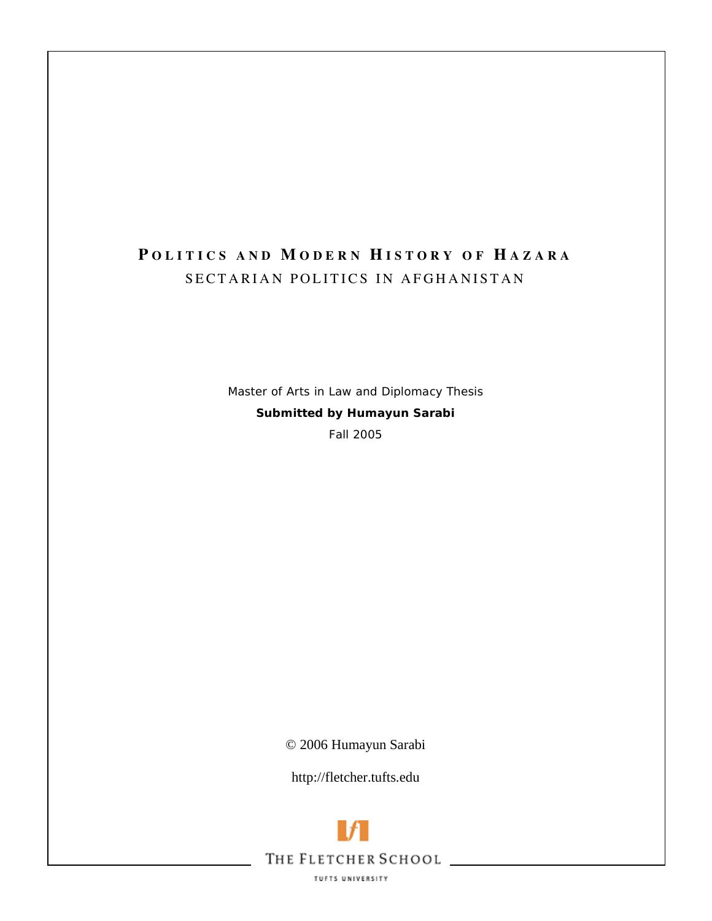## **P OLITICS AND M ODERN H ISTORY OF H AZARA** SECTARIAN POLITICS IN AFGHANISTAN

Master of Arts in Law and Diplomacy Thesis **Submitted by Humayun Sarabi**  Fall 2005

© 2006 Humayun Sarabi

http://fletcher.tufts.edu

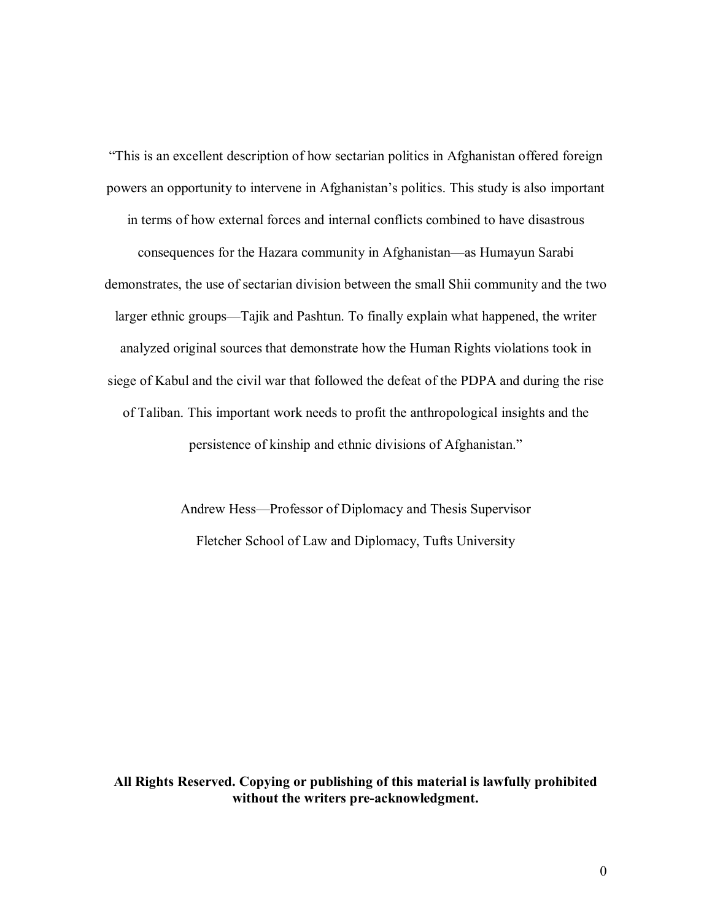ìThis is an excellent description of how sectarian politics in Afghanistan offered foreign powers an opportunity to intervene in Afghanistan's politics. This study is also important in terms of how external forces and internal conflicts combined to have disastrous consequences for the Hazara community in Afghanistan—as Humayun Sarabi demonstrates, the use of sectarian division between the small Shii community and the two larger ethnic groups—Tajik and Pashtun. To finally explain what happened, the writer analyzed original sources that demonstrate how the Human Rights violations took in siege of Kabul and the civil war that followed the defeat of the PDPA and during the rise of Taliban. This important work needs to profit the anthropological insights and the persistence of kinship and ethnic divisions of Afghanistan."

> Andrew Hess—Professor of Diplomacy and Thesis Supervisor Fletcher School of Law and Diplomacy, Tufts University

**All Rights Reserved. Copying or publishing of this material is lawfully prohibited without the writers pre-acknowledgment.**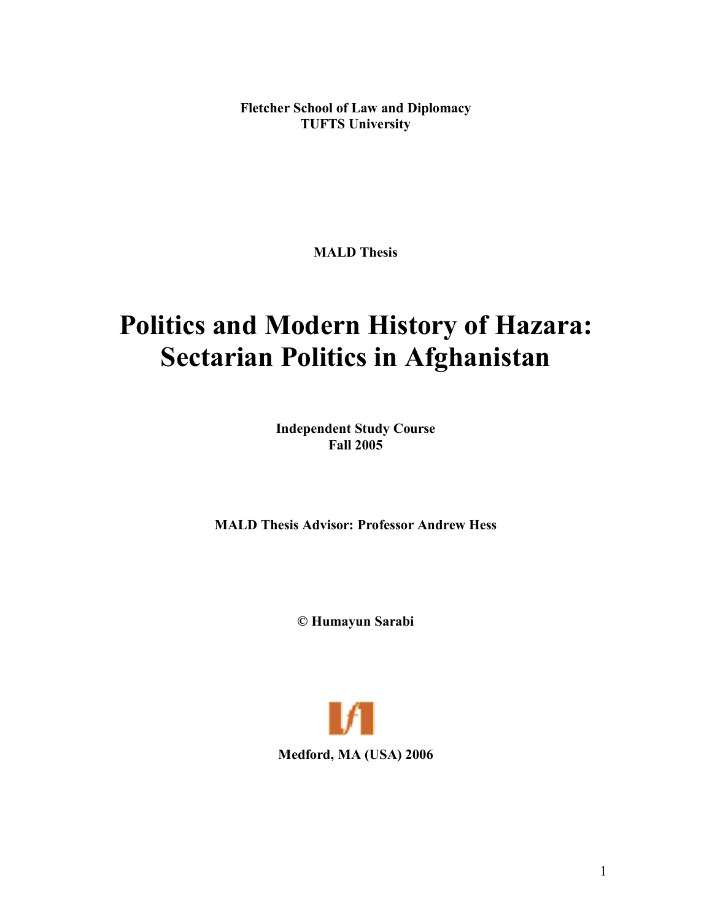**Fletcher School of Law and Diplomacy TUFTS University** 

**MALD Thesis** 

# **Politics and Modern History of Hazara: Sectarian Politics in Afghanistan**

**Independent Study Course Fall 2005** 

**MALD Thesis Advisor: Professor Andrew Hess** 

**© Humayun Sarabi** 

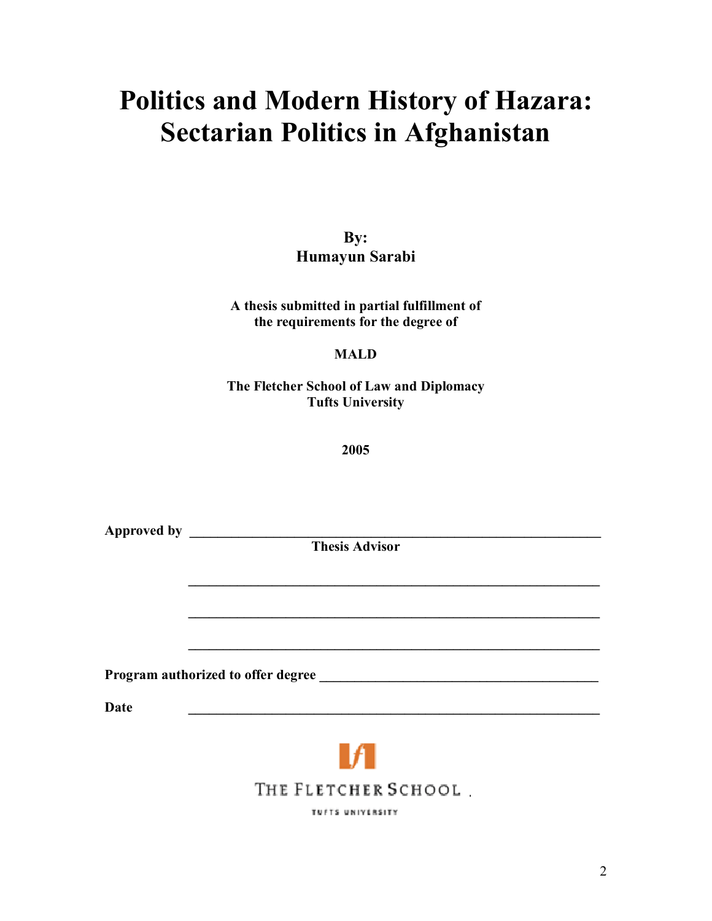# **Politics and Modern History of Hazara: Sectarian Politics in Afghanistan**

**By: Humayun Sarabi**

**A thesis submitted in partial fulfillment of the requirements for the degree of** 

#### **MALD**

**The Fletcher School of Law and Diplomacy Tufts University** 

**2005** 

| Approved by $\qquad$ |                                    |
|----------------------|------------------------------------|
|                      | <b>Thesis Advisor</b>              |
|                      |                                    |
|                      |                                    |
|                      |                                    |
|                      |                                    |
|                      | Program authorized to offer degree |
| <b>Date</b>          |                                    |
|                      |                                    |
|                      |                                    |
|                      | THE FLETCHER SCHOOL                |

**TUFTS UNIVERSITY**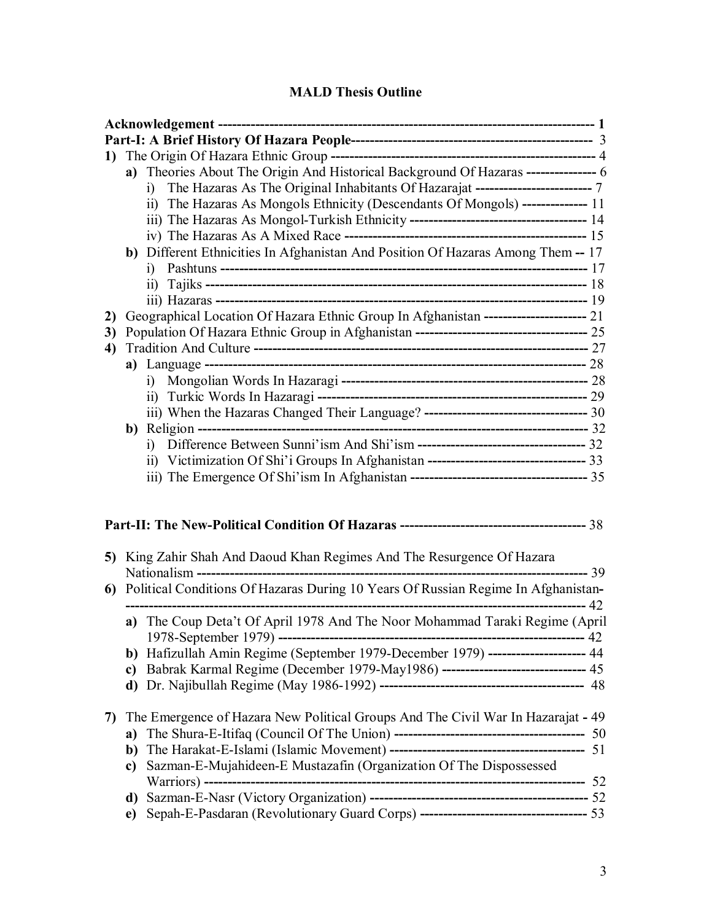### **MALD Thesis Outline**

| a) Theories About The Origin And Historical Background Of Hazaras --------------- 6 |                                                                                                  |  |  |  |  |
|-------------------------------------------------------------------------------------|--------------------------------------------------------------------------------------------------|--|--|--|--|
|                                                                                     | The Hazaras As The Original Inhabitants Of Hazarajat ---------------------------- 7<br>i)        |  |  |  |  |
|                                                                                     | ii) The Hazaras As Mongols Ethnicity (Descendants Of Mongols) -------------- 11                  |  |  |  |  |
|                                                                                     |                                                                                                  |  |  |  |  |
|                                                                                     |                                                                                                  |  |  |  |  |
|                                                                                     | b) Different Ethnicities In Afghanistan And Position Of Hazaras Among Them -- 17                 |  |  |  |  |
|                                                                                     |                                                                                                  |  |  |  |  |
|                                                                                     |                                                                                                  |  |  |  |  |
|                                                                                     |                                                                                                  |  |  |  |  |
| 2)                                                                                  | Geographical Location Of Hazara Ethnic Group In Afghanistan ---------------------- 21            |  |  |  |  |
| 3)                                                                                  |                                                                                                  |  |  |  |  |
| 4)                                                                                  |                                                                                                  |  |  |  |  |
|                                                                                     |                                                                                                  |  |  |  |  |
|                                                                                     | 1)                                                                                               |  |  |  |  |
|                                                                                     |                                                                                                  |  |  |  |  |
|                                                                                     | iii) When the Hazaras Changed Their Language? ---------------------------------- 30              |  |  |  |  |
|                                                                                     |                                                                                                  |  |  |  |  |
|                                                                                     | i)                                                                                               |  |  |  |  |
|                                                                                     | ii) Victimization Of Shi'i Groups In Afghanistan --------------------------------- 33            |  |  |  |  |
|                                                                                     |                                                                                                  |  |  |  |  |
|                                                                                     |                                                                                                  |  |  |  |  |
|                                                                                     |                                                                                                  |  |  |  |  |
|                                                                                     |                                                                                                  |  |  |  |  |
|                                                                                     |                                                                                                  |  |  |  |  |
|                                                                                     | 5) King Zahir Shah And Daoud Khan Regimes And The Resurgence Of Hazara                           |  |  |  |  |
|                                                                                     |                                                                                                  |  |  |  |  |
|                                                                                     | 6) Political Conditions Of Hazaras During 10 Years Of Russian Regime In Afghanistan-             |  |  |  |  |
|                                                                                     | a) The Coup Deta't Of April 1978 And The Noor Mohammad Taraki Regime (April                      |  |  |  |  |
|                                                                                     |                                                                                                  |  |  |  |  |
|                                                                                     | Hafizullah Amin Regime (September 1979-December 1979) --------------------- 44<br>b)             |  |  |  |  |
|                                                                                     | Babrak Karmal Regime (December 1979-May1986) ------------------------------- 45<br>$\mathbf{c})$ |  |  |  |  |
|                                                                                     | d)                                                                                               |  |  |  |  |
|                                                                                     |                                                                                                  |  |  |  |  |
| 7)                                                                                  | The Emergence of Hazara New Political Groups And The Civil War In Hazarajat - 49                 |  |  |  |  |
|                                                                                     | a)                                                                                               |  |  |  |  |
|                                                                                     | b)                                                                                               |  |  |  |  |
|                                                                                     | Sazman-E-Mujahideen-E Mustazafin (Organization Of The Dispossessed<br>c)                         |  |  |  |  |
|                                                                                     |                                                                                                  |  |  |  |  |
|                                                                                     |                                                                                                  |  |  |  |  |
|                                                                                     | d)                                                                                               |  |  |  |  |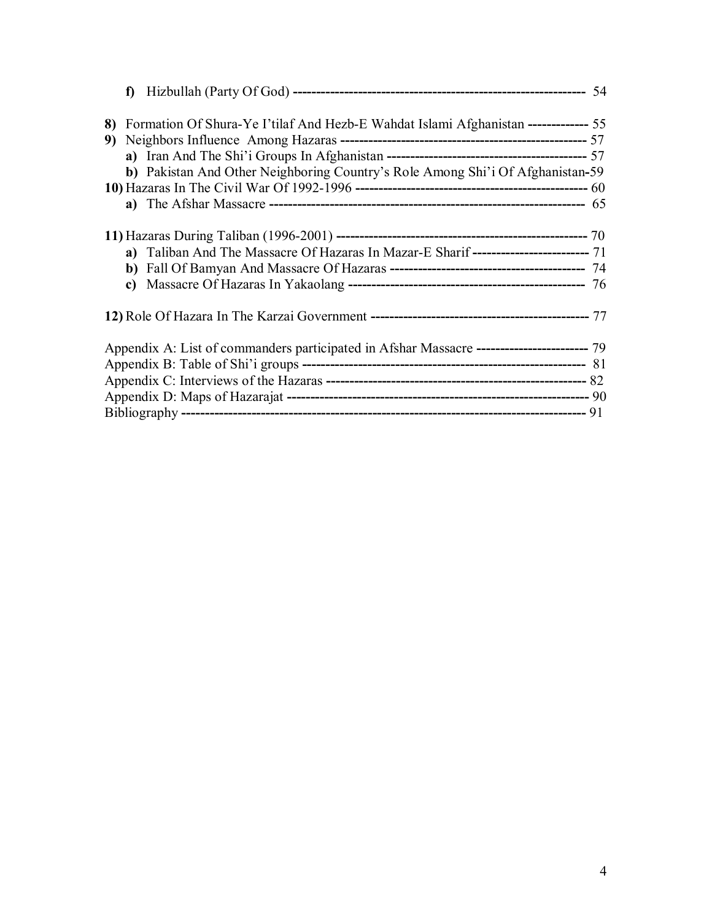|    | $\mathbf f$ |                                                                                         |  |
|----|-------------|-----------------------------------------------------------------------------------------|--|
|    |             | 8) Formation Of Shura-Ye I'tilaf And Hezb-E Wahdat Islami Afghanistan -------------- 55 |  |
| 9) |             |                                                                                         |  |
|    |             |                                                                                         |  |
|    |             | b) Pakistan And Other Neighboring Country's Role Among Shi'i Of Afghanistan-59          |  |
|    |             |                                                                                         |  |
|    |             |                                                                                         |  |
|    |             |                                                                                         |  |
|    |             |                                                                                         |  |
|    |             |                                                                                         |  |
|    |             |                                                                                         |  |
|    |             |                                                                                         |  |
|    |             |                                                                                         |  |
|    |             |                                                                                         |  |
|    |             |                                                                                         |  |
|    |             |                                                                                         |  |
|    |             |                                                                                         |  |
|    |             |                                                                                         |  |
|    |             |                                                                                         |  |
|    |             |                                                                                         |  |
|    |             |                                                                                         |  |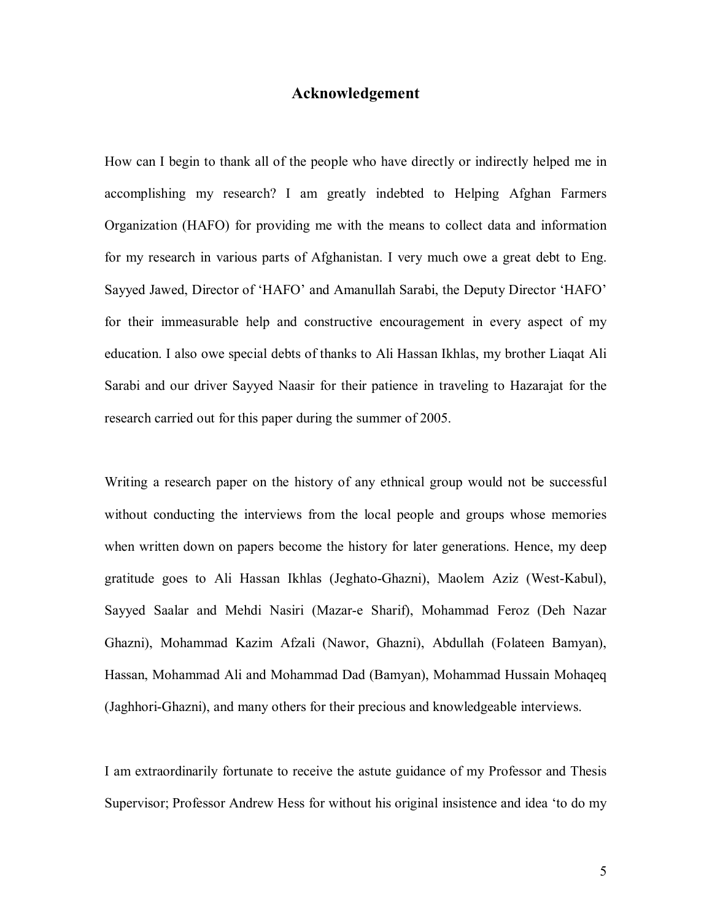#### **Acknowledgement**

How can I begin to thank all of the people who have directly or indirectly helped me in accomplishing my research? I am greatly indebted to Helping Afghan Farmers Organization (HAFO) for providing me with the means to collect data and information for my research in various parts of Afghanistan. I very much owe a great debt to Eng. Sayyed Jawed, Director of 'HAFO' and Amanullah Sarabi, the Deputy Director 'HAFO' for their immeasurable help and constructive encouragement in every aspect of my education. I also owe special debts of thanks to Ali Hassan Ikhlas, my brother Liaqat Ali Sarabi and our driver Sayyed Naasir for their patience in traveling to Hazarajat for the research carried out for this paper during the summer of 2005.

Writing a research paper on the history of any ethnical group would not be successful without conducting the interviews from the local people and groups whose memories when written down on papers become the history for later generations. Hence, my deep gratitude goes to Ali Hassan Ikhlas (Jeghato-Ghazni), Maolem Aziz (West-Kabul), Sayyed Saalar and Mehdi Nasiri (Mazar-e Sharif), Mohammad Feroz (Deh Nazar Ghazni), Mohammad Kazim Afzali (Nawor, Ghazni), Abdullah (Folateen Bamyan), Hassan, Mohammad Ali and Mohammad Dad (Bamyan), Mohammad Hussain Mohaqeq (Jaghhori-Ghazni), and many others for their precious and knowledgeable interviews.

I am extraordinarily fortunate to receive the astute guidance of my Professor and Thesis Supervisor; Professor Andrew Hess for without his original insistence and idea 'to do my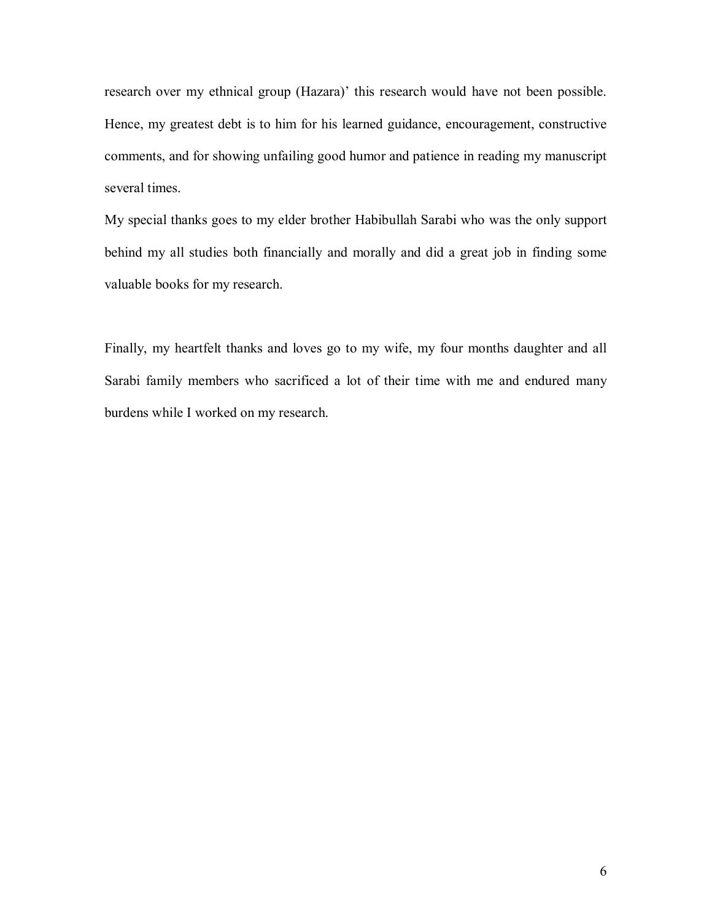research over my ethnical group (Hazara)' this research would have not been possible. Hence, my greatest debt is to him for his learned guidance, encouragement, constructive comments, and for showing unfailing good humor and patience in reading my manuscript several times.

My special thanks goes to my elder brother Habibullah Sarabi who was the only support behind my all studies both financially and morally and did a great job in finding some valuable books for my research.

Finally, my heartfelt thanks and loves go to my wife, my four months daughter and all Sarabi family members who sacrificed a lot of their time with me and endured many burdens while I worked on my research.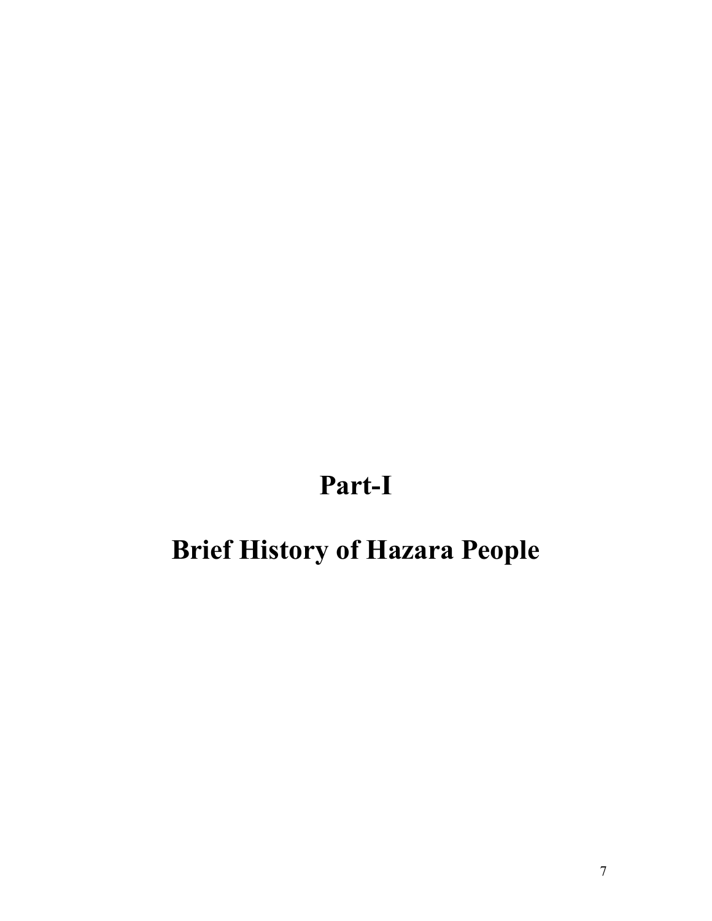# **Part-I**

# **Brief History of Hazara People**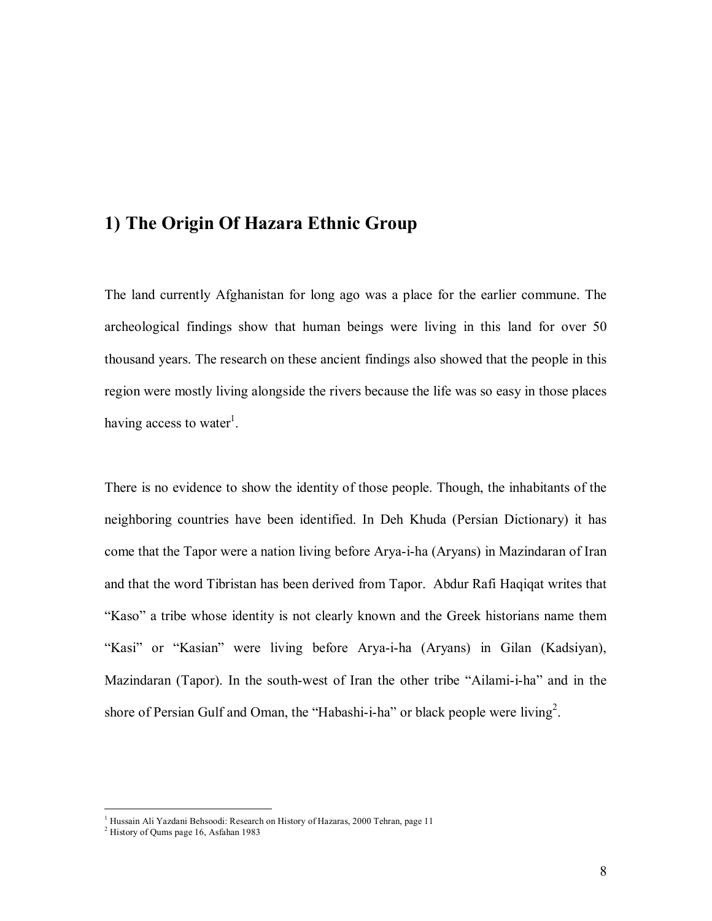## **1) The Origin Of Hazara Ethnic Group**

The land currently Afghanistan for long ago was a place for the earlier commune. The archeological findings show that human beings were living in this land for over 50 thousand years. The research on these ancient findings also showed that the people in this region were mostly living alongside the rivers because the life was so easy in those places having access to water<sup>1</sup>.

There is no evidence to show the identity of those people. Though, the inhabitants of the neighboring countries have been identified. In Deh Khuda (Persian Dictionary) it has come that the Tapor were a nation living before Arya-i-ha (Aryans) in Mazindaran of Iran and that the word Tibristan has been derived from Tapor. Abdur Rafi Haqiqat writes that "Kaso" a tribe whose identity is not clearly known and the Greek historians name them "Kasi" or "Kasian" were living before Arya-i-ha (Aryans) in Gilan (Kadsiyan), Mazindaran (Tapor). In the south-west of Iran the other tribe "Ailami-i-ha" and in the shore of Persian Gulf and Oman, the "Habashi-i-ha" or black people were living<sup>2</sup>.

<u>.</u>

<sup>&</sup>lt;sup>1</sup> Hussain Ali Yazdani Behsoodi: Research on History of Hazaras, 2000 Tehran, page 11

<sup>&</sup>lt;sup>2</sup> History of Qums page 16, Asfahan 1983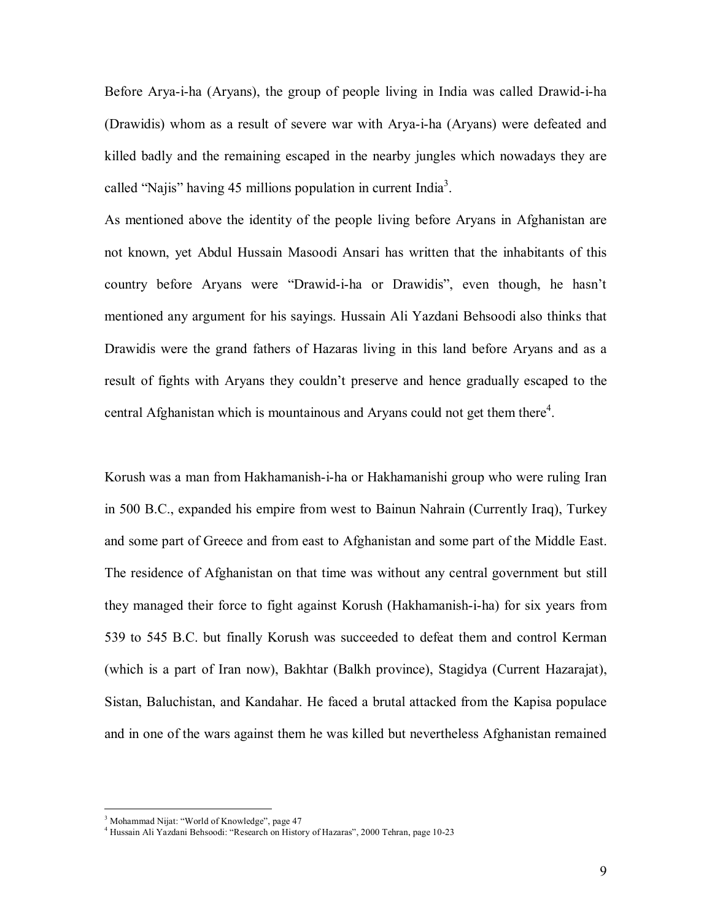Before Arya-i-ha (Aryans), the group of people living in India was called Drawid-i-ha (Drawidis) whom as a result of severe war with Arya-i-ha (Aryans) were defeated and killed badly and the remaining escaped in the nearby jungles which nowadays they are called "Najis" having 45 millions population in current India<sup>3</sup>.

As mentioned above the identity of the people living before Aryans in Afghanistan are not known, yet Abdul Hussain Masoodi Ansari has written that the inhabitants of this country before Aryans were "Drawid-i-ha or Drawidis", even though, he hasn't mentioned any argument for his sayings. Hussain Ali Yazdani Behsoodi also thinks that Drawidis were the grand fathers of Hazaras living in this land before Aryans and as a result of fights with Aryans they couldn't preserve and hence gradually escaped to the central Afghanistan which is mountainous and Aryans could not get them there $4$ .

Korush was a man from Hakhamanish-i-ha or Hakhamanishi group who were ruling Iran in 500 B.C., expanded his empire from west to Bainun Nahrain (Currently Iraq), Turkey and some part of Greece and from east to Afghanistan and some part of the Middle East. The residence of Afghanistan on that time was without any central government but still they managed their force to fight against Korush (Hakhamanish-i-ha) for six years from 539 to 545 B.C. but finally Korush was succeeded to defeat them and control Kerman (which is a part of Iran now), Bakhtar (Balkh province), Stagidya (Current Hazarajat), Sistan, Baluchistan, and Kandahar. He faced a brutal attacked from the Kapisa populace and in one of the wars against them he was killed but nevertheless Afghanistan remained

<sup>&</sup>lt;sup>3</sup> Mohammad Nijat: "World of Knowledge", page 47

<sup>&</sup>lt;sup>4</sup> Hussain Ali Yazdani Behsoodi: "Research on History of Hazaras", 2000 Tehran, page 10-23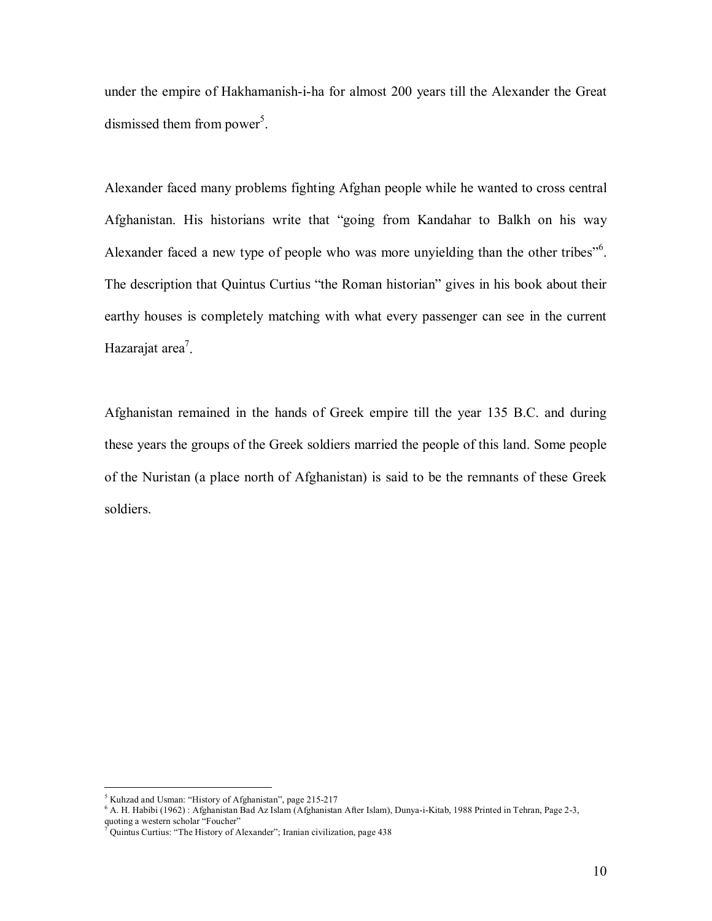under the empire of Hakhamanish-i-ha for almost 200 years till the Alexander the Great dismissed them from power<sup>5</sup>.

Alexander faced many problems fighting Afghan people while he wanted to cross central Afghanistan. His historians write that "going from Kandahar to Balkh on his way Alexander faced a new type of people who was more unyielding than the other tribes<sup> $16$ </sup>. The description that Quintus Curtius "the Roman historian" gives in his book about their earthy houses is completely matching with what every passenger can see in the current Hazarajat area<sup>7</sup>.

Afghanistan remained in the hands of Greek empire till the year 135 B.C. and during these years the groups of the Greek soldiers married the people of this land. Some people of the Nuristan (a place north of Afghanistan) is said to be the remnants of these Greek soldiers.

<u>.</u>

<sup>&</sup>lt;sup>5</sup> Kuhzad and Usman: "History of Afghanistan", page 215-217

<sup>6</sup> A. H. Habibi (1962) : Afghanistan Bad Az Islam (Afghanistan After Islam), Dunya-i-Kitab, 1988 Printed in Tehran, Page 2-3, quoting a western scholar "Foucher"<br><sup>7</sup> Quintus Curtius: "The History of Alexander"; Iranian civilization, page 438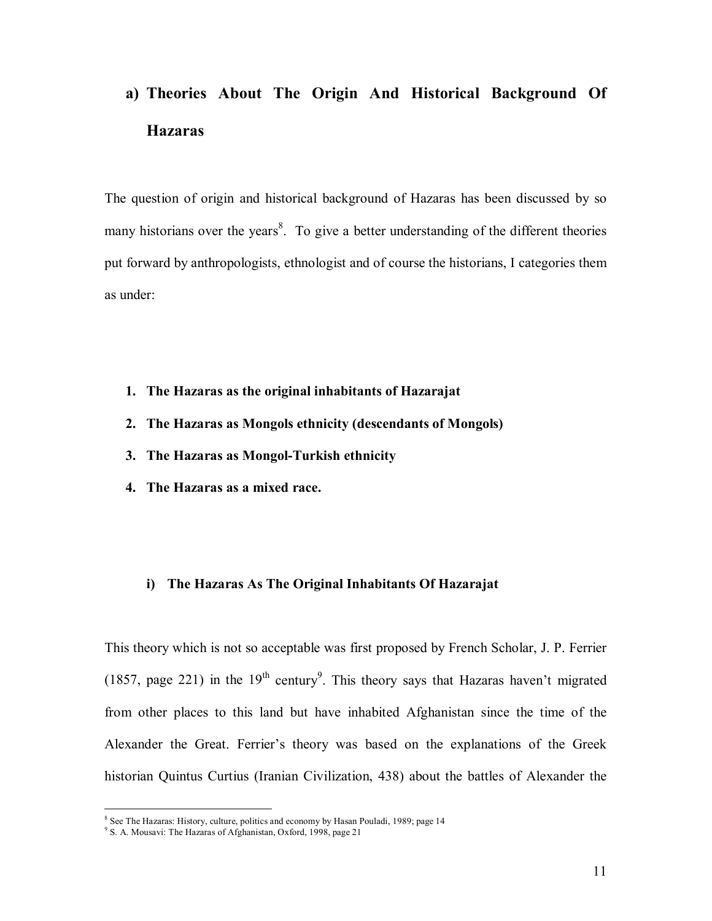## **a) Theories About The Origin And Historical Background Of Hazaras**

The question of origin and historical background of Hazaras has been discussed by so many historians over the years<sup>8</sup>. To give a better understanding of the different theories put forward by anthropologists, ethnologist and of course the historians, I categories them as under:

- **1. The Hazaras as the original inhabitants of Hazarajat**
- **2. The Hazaras as Mongols ethnicity (descendants of Mongols)**
- **3. The Hazaras as Mongol-Turkish ethnicity**
- **4. The Hazaras as a mixed race.**

#### **i) The Hazaras As The Original Inhabitants Of Hazarajat**

This theory which is not so acceptable was first proposed by French Scholar, J. P. Ferrier (1857, page 221) in the 19<sup>th</sup> century<sup>9</sup>. This theory says that Hazaras haven't migrated from other places to this land but have inhabited Afghanistan since the time of the Alexander the Great. Ferrier's theory was based on the explanations of the Greek historian Quintus Curtius (Iranian Civilization, 438) about the battles of Alexander the

<sup>&</sup>lt;sup>8</sup> See The Hazaras: History, culture, politics and economy by Hasan Pouladi, 1989; page 14

<sup>&</sup>lt;sup>9</sup> S. A. Mousavi: The Hazaras of Afghanistan, Oxford, 1998, page 21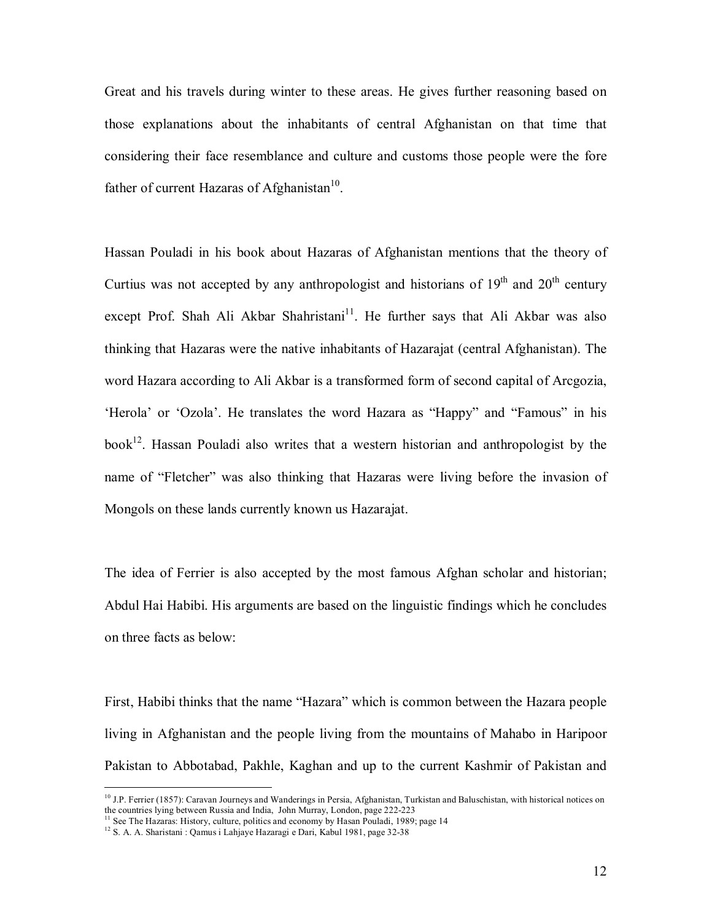Great and his travels during winter to these areas. He gives further reasoning based on those explanations about the inhabitants of central Afghanistan on that time that considering their face resemblance and culture and customs those people were the fore father of current Hazaras of Afghanistan $^{10}$ .

Hassan Pouladi in his book about Hazaras of Afghanistan mentions that the theory of Curtius was not accepted by any anthropologist and historians of  $19<sup>th</sup>$  and  $20<sup>th</sup>$  century except Prof. Shah Ali Akbar Shahristani<sup>11</sup>. He further says that Ali Akbar was also thinking that Hazaras were the native inhabitants of Hazarajat (central Afghanistan). The word Hazara according to Ali Akbar is a transformed form of second capital of Arcgozia, 'Herola' or 'Ozola'. He translates the word Hazara as "Happy" and "Famous" in his  $book<sup>12</sup>$ . Hassan Pouladi also writes that a western historian and anthropologist by the name of "Fletcher" was also thinking that Hazaras were living before the invasion of Mongols on these lands currently known us Hazarajat.

The idea of Ferrier is also accepted by the most famous Afghan scholar and historian; Abdul Hai Habibi. His arguments are based on the linguistic findings which he concludes on three facts as below:

First, Habibi thinks that the name "Hazara" which is common between the Hazara people living in Afghanistan and the people living from the mountains of Mahabo in Haripoor Pakistan to Abbotabad, Pakhle, Kaghan and up to the current Kashmir of Pakistan and

<sup>&</sup>lt;sup>10</sup> J.P. Ferrier (1857): Caravan Journeys and Wanderings in Persia, Afghanistan, Turkistan and Baluschistan, with historical notices on the countries lying between Russia and India, John Murray, London, page 222-223<br>
<sup>11</sup> S. The Countries lying between Russia and India, John Murray, London, page 222-223

<sup>&</sup>lt;sup>1</sup> See The Hazaras: History, culture, politics and economy by Hasan Pouladi, 1989; page 14

<sup>12</sup> S. A. A. Sharistani : Qamus i Lahjaye Hazaragi e Dari, Kabul 1981, page 32-38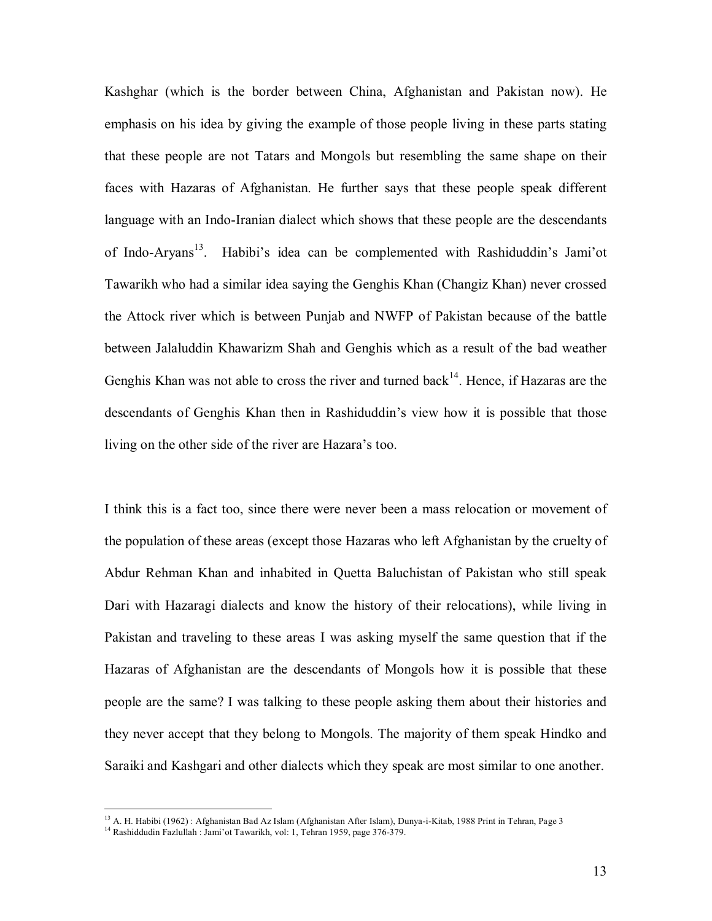Kashghar (which is the border between China, Afghanistan and Pakistan now). He emphasis on his idea by giving the example of those people living in these parts stating that these people are not Tatars and Mongols but resembling the same shape on their faces with Hazaras of Afghanistan. He further says that these people speak different language with an Indo-Iranian dialect which shows that these people are the descendants of Indo-Aryans<sup>13</sup>. Habibi's idea can be complemented with Rashiduddin's Jami'ot Tawarikh who had a similar idea saying the Genghis Khan (Changiz Khan) never crossed the Attock river which is between Punjab and NWFP of Pakistan because of the battle between Jalaluddin Khawarizm Shah and Genghis which as a result of the bad weather Genghis Khan was not able to cross the river and turned back<sup>14</sup>. Hence, if Hazaras are the descendants of Genghis Khan then in Rashiduddin's view how it is possible that those living on the other side of the river are Hazara's too.

I think this is a fact too, since there were never been a mass relocation or movement of the population of these areas (except those Hazaras who left Afghanistan by the cruelty of Abdur Rehman Khan and inhabited in Quetta Baluchistan of Pakistan who still speak Dari with Hazaragi dialects and know the history of their relocations), while living in Pakistan and traveling to these areas I was asking myself the same question that if the Hazaras of Afghanistan are the descendants of Mongols how it is possible that these people are the same? I was talking to these people asking them about their histories and they never accept that they belong to Mongols. The majority of them speak Hindko and Saraiki and Kashgari and other dialects which they speak are most similar to one another.

<sup>13</sup> A. H. Habibi (1962) : Afghanistan Bad Az Islam (Afghanistan After Islam), Dunya-i-Kitab, 1988 Print in Tehran, Page 3

<sup>&</sup>lt;sup>14</sup> Rashiddudin Fazlullah : Jami'ot Tawarikh, vol: 1, Tehran 1959, page 376-379.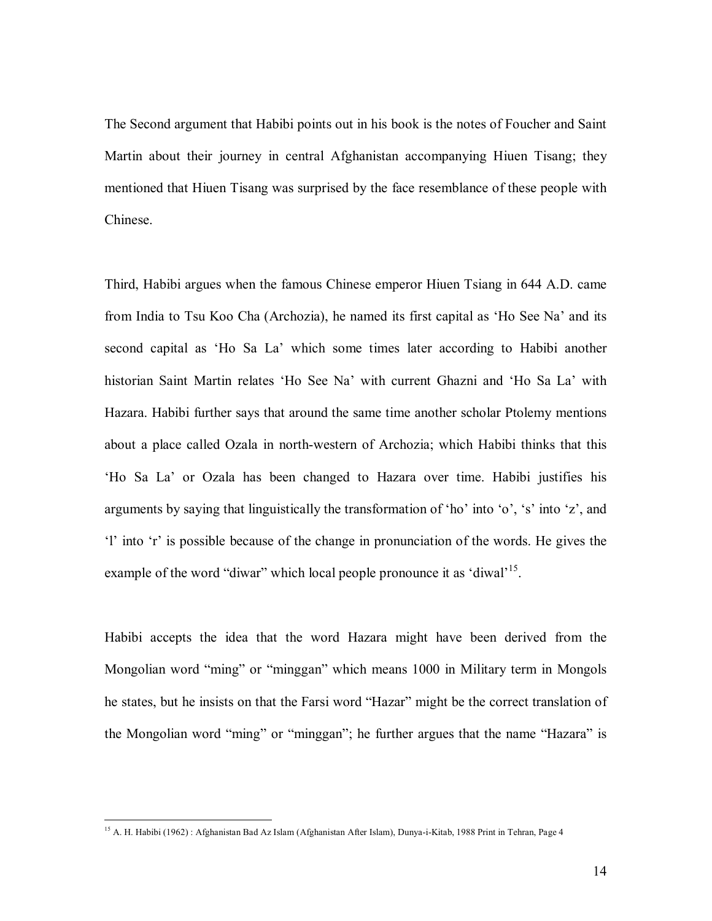The Second argument that Habibi points out in his book is the notes of Foucher and Saint Martin about their journey in central Afghanistan accompanying Hiuen Tisang; they mentioned that Hiuen Tisang was surprised by the face resemblance of these people with Chinese.

Third, Habibi argues when the famous Chinese emperor Hiuen Tsiang in 644 A.D. came from India to Tsu Koo Cha (Archozia), he named its first capital as 'Ho See Na' and its second capital as ëHo Sa Laí which some times later according to Habibi another historian Saint Martin relates 'Ho See Na' with current Ghazni and 'Ho Sa La' with Hazara. Habibi further says that around the same time another scholar Ptolemy mentions about a place called Ozala in north-western of Archozia; which Habibi thinks that this ëHo Sa Laí or Ozala has been changed to Hazara over time. Habibi justifies his arguments by saying that linguistically the transformation of 'ho' into 'o', 's' into 'z', and ëlí into ërí is possible because of the change in pronunciation of the words. He gives the example of the word "diwar" which local people pronounce it as 'diwal'<sup>15</sup>.

Habibi accepts the idea that the word Hazara might have been derived from the Mongolian word "ming" or "minggan" which means 1000 in Military term in Mongols he states, but he insists on that the Farsi word "Hazar" might be the correct translation of the Mongolian word "ming" or "minggan"; he further argues that the name "Hazara" is

1

<sup>15</sup> A. H. Habibi (1962) : Afghanistan Bad Az Islam (Afghanistan After Islam), Dunya-i-Kitab, 1988 Print in Tehran, Page 4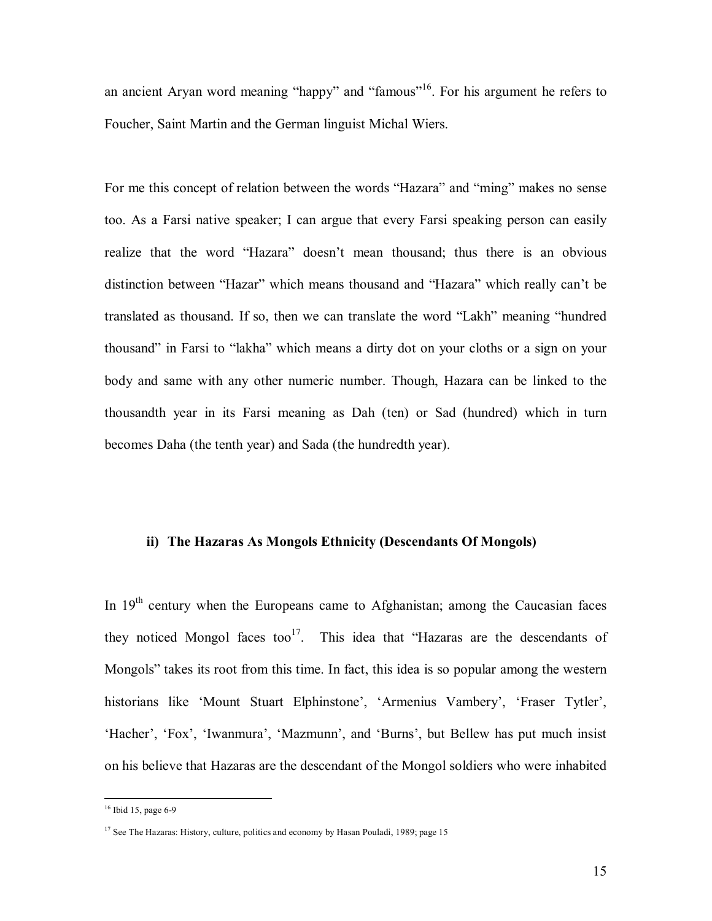an ancient Aryan word meaning "happy" and "famous"<sup>16</sup>. For his argument he refers to Foucher, Saint Martin and the German linguist Michal Wiers.

For me this concept of relation between the words "Hazara" and "ming" makes no sense too. As a Farsi native speaker; I can argue that every Farsi speaking person can easily realize that the word "Hazara" doesn't mean thousand; thus there is an obvious distinction between "Hazar" which means thousand and "Hazara" which really can't be translated as thousand. If so, then we can translate the word "Lakh" meaning "hundred thousand" in Farsi to "lakha" which means a dirty dot on your cloths or a sign on your body and same with any other numeric number. Though, Hazara can be linked to the thousandth year in its Farsi meaning as Dah (ten) or Sad (hundred) which in turn becomes Daha (the tenth year) and Sada (the hundredth year).

#### **ii) The Hazaras As Mongols Ethnicity (Descendants Of Mongols)**

In  $19<sup>th</sup>$  century when the Europeans came to Afghanistan; among the Caucasian faces they noticed Mongol faces too<sup>17</sup>. This idea that "Hazaras are the descendants of Mongols" takes its root from this time. In fact, this idea is so popular among the western historians like 'Mount Stuart Elphinstone', 'Armenius Vambery', 'Fraser Tytler', 'Hacher', 'Fox', 'Iwanmura', 'Mazmunn', and 'Burns', but Bellew has put much insist on his believe that Hazaras are the descendant of the Mongol soldiers who were inhabited

 $16$  Ibid 15, page 6-9

<sup>&</sup>lt;sup>17</sup> See The Hazaras: History, culture, politics and economy by Hasan Pouladi, 1989; page 15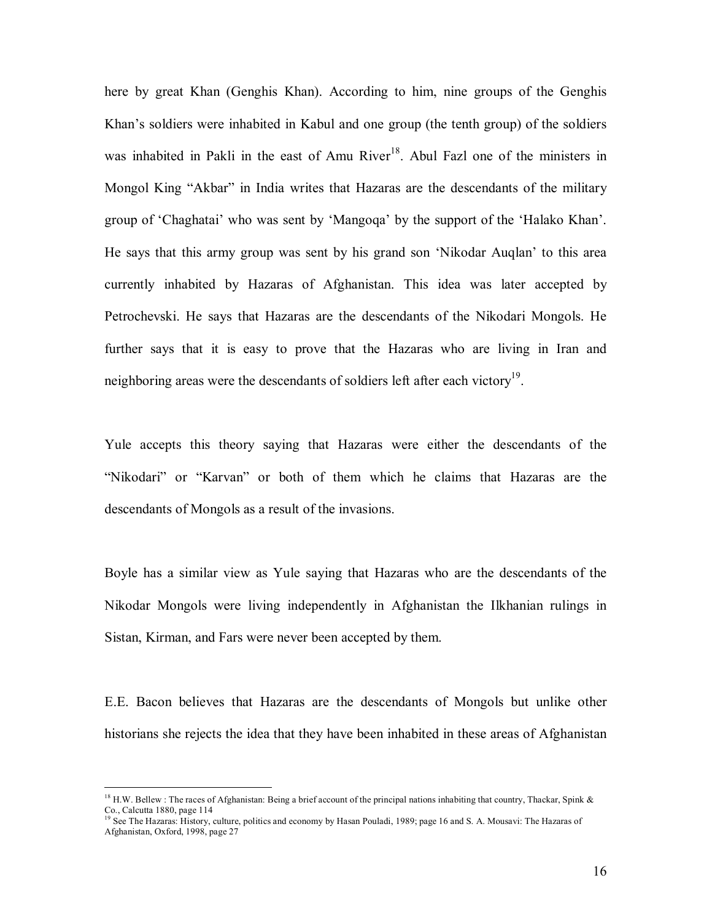here by great Khan (Genghis Khan). According to him, nine groups of the Genghis Khan's soldiers were inhabited in Kabul and one group (the tenth group) of the soldiers was inhabited in Pakli in the east of Amu River<sup>18</sup>. Abul Fazl one of the ministers in Mongol King "Akbar" in India writes that Hazaras are the descendants of the military group of 'Chaghatai' who was sent by 'Mangoqa' by the support of the 'Halako Khan'. He says that this army group was sent by his grand son 'Nikodar Auqlan' to this area currently inhabited by Hazaras of Afghanistan. This idea was later accepted by Petrochevski. He says that Hazaras are the descendants of the Nikodari Mongols. He further says that it is easy to prove that the Hazaras who are living in Iran and neighboring areas were the descendants of soldiers left after each victory<sup>19</sup>.

Yule accepts this theory saying that Hazaras were either the descendants of the "Nikodari" or "Karvan" or both of them which he claims that Hazaras are the descendants of Mongols as a result of the invasions.

Boyle has a similar view as Yule saying that Hazaras who are the descendants of the Nikodar Mongols were living independently in Afghanistan the Ilkhanian rulings in Sistan, Kirman, and Fars were never been accepted by them.

E.E. Bacon believes that Hazaras are the descendants of Mongols but unlike other historians she rejects the idea that they have been inhabited in these areas of Afghanistan

 $18$  H.W. Bellew : The races of Afghanistan: Being a brief account of the principal nations inhabiting that country, Thackar, Spink & Co., Calcutta 1880, page 114

<sup>19</sup> See The Hazaras: History, culture, politics and economy by Hasan Pouladi, 1989; page 16 and S. A. Mousavi: The Hazaras of Afghanistan, Oxford, 1998, page 27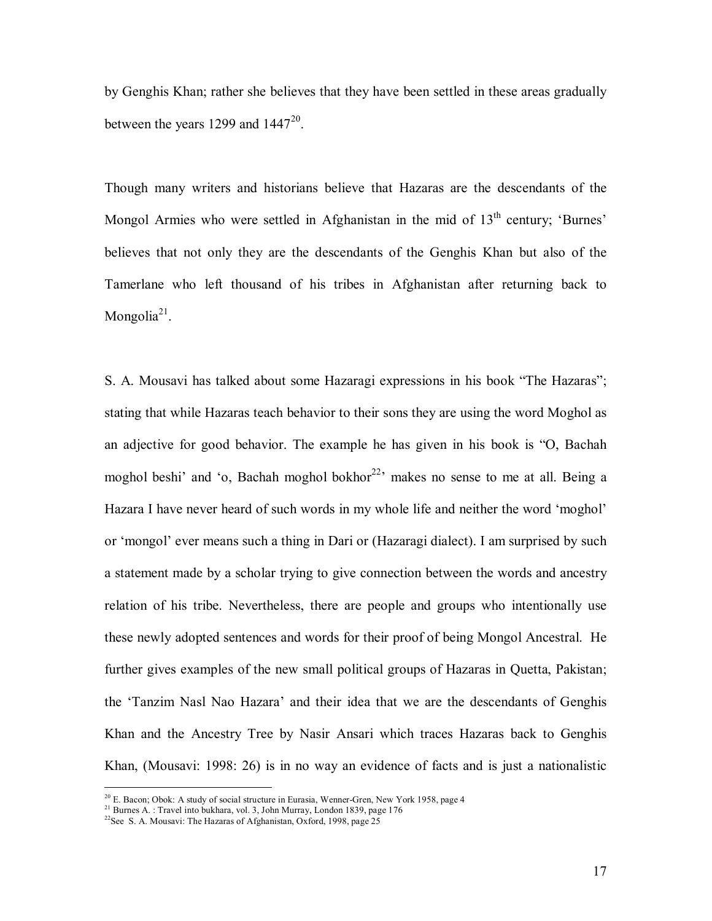by Genghis Khan; rather she believes that they have been settled in these areas gradually between the years 1299 and  $1447^{20}$ .

Though many writers and historians believe that Hazaras are the descendants of the Mongol Armies who were settled in Afghanistan in the mid of  $13<sup>th</sup>$  century; 'Burnes' believes that not only they are the descendants of the Genghis Khan but also of the Tamerlane who left thousand of his tribes in Afghanistan after returning back to Mongolia<sup>21</sup>.

S. A. Mousavi has talked about some Hazaragi expressions in his book "The Hazaras"; stating that while Hazaras teach behavior to their sons they are using the word Moghol as an adjective for good behavior. The example he has given in his book is "O, Bachah moghol beshi' and 'o, Bachah moghol bokhor<sup>22</sup> makes no sense to me at all. Being a Hazara I have never heard of such words in my whole life and neither the word 'moghol' or 'mongol' ever means such a thing in Dari or (Hazaragi dialect). I am surprised by such a statement made by a scholar trying to give connection between the words and ancestry relation of his tribe. Nevertheless, there are people and groups who intentionally use these newly adopted sentences and words for their proof of being Mongol Ancestral. He further gives examples of the new small political groups of Hazaras in Quetta, Pakistan; the ëTanzim Nasl Nao Hazaraí and their idea that we are the descendants of Genghis Khan and the Ancestry Tree by Nasir Ansari which traces Hazaras back to Genghis Khan, (Mousavi: 1998: 26) is in no way an evidence of facts and is just a nationalistic

 $20$  E. Bacon; Obok: A study of social structure in Eurasia, Wenner-Gren, New York 1958, page 4

 $21$  Burnes A. : Travel into bukhara, vol. 3, John Murray, London 1839, page 176

 $22$ See S. A. Mousavi: The Hazaras of Afghanistan, Oxford, 1998, page 25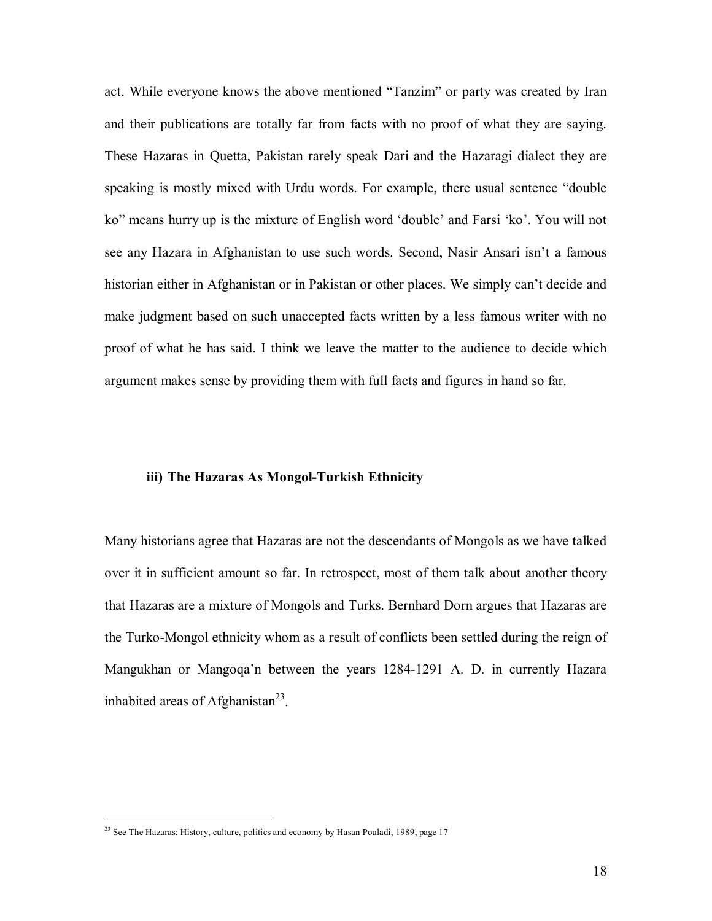act. While everyone knows the above mentioned "Tanzim" or party was created by Iran and their publications are totally far from facts with no proof of what they are saying. These Hazaras in Quetta, Pakistan rarely speak Dari and the Hazaragi dialect they are speaking is mostly mixed with Urdu words. For example, there usual sentence "double" ko" means hurry up is the mixture of English word 'double' and Farsi 'ko'. You will not see any Hazara in Afghanistan to use such words. Second, Nasir Ansari isn't a famous historian either in Afghanistan or in Pakistan or other places. We simply can't decide and make judgment based on such unaccepted facts written by a less famous writer with no proof of what he has said. I think we leave the matter to the audience to decide which argument makes sense by providing them with full facts and figures in hand so far.

#### **iii) The Hazaras As Mongol-Turkish Ethnicity**

Many historians agree that Hazaras are not the descendants of Mongols as we have talked over it in sufficient amount so far. In retrospect, most of them talk about another theory that Hazaras are a mixture of Mongols and Turks. Bernhard Dorn argues that Hazaras are the Turko-Mongol ethnicity whom as a result of conflicts been settled during the reign of Mangukhan or Mangoqaín between the years 1284-1291 A. D. in currently Hazara inhabited areas of Afghanistan<sup>23</sup>.

1

<sup>&</sup>lt;sup>23</sup> See The Hazaras: History, culture, politics and economy by Hasan Pouladi, 1989; page 17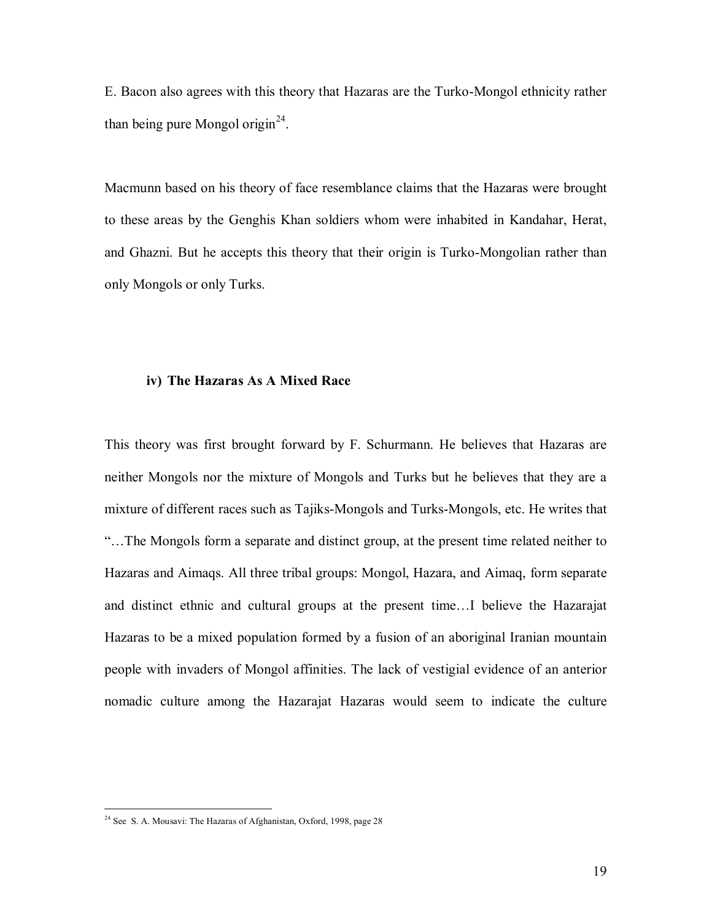E. Bacon also agrees with this theory that Hazaras are the Turko-Mongol ethnicity rather than being pure Mongol origin<sup>24</sup>.

Macmunn based on his theory of face resemblance claims that the Hazaras were brought to these areas by the Genghis Khan soldiers whom were inhabited in Kandahar, Herat, and Ghazni. But he accepts this theory that their origin is Turko-Mongolian rather than only Mongols or only Turks.

#### **iv) The Hazaras As A Mixed Race**

This theory was first brought forward by F. Schurmann. He believes that Hazaras are neither Mongols nor the mixture of Mongols and Turks but he believes that they are a mixture of different races such as Tajiks-Mongols and Turks-Mongols, etc. He writes that ìÖThe Mongols form a separate and distinct group, at the present time related neither to Hazaras and Aimaqs. All three tribal groups: Mongol, Hazara, and Aimaq, form separate and distinct ethnic and cultural groups at the present time. I believe the Hazarajat Hazaras to be a mixed population formed by a fusion of an aboriginal Iranian mountain people with invaders of Mongol affinities. The lack of vestigial evidence of an anterior nomadic culture among the Hazarajat Hazaras would seem to indicate the culture

<sup>&</sup>lt;sup>24</sup> See S. A. Mousavi: The Hazaras of Afghanistan, Oxford, 1998, page 28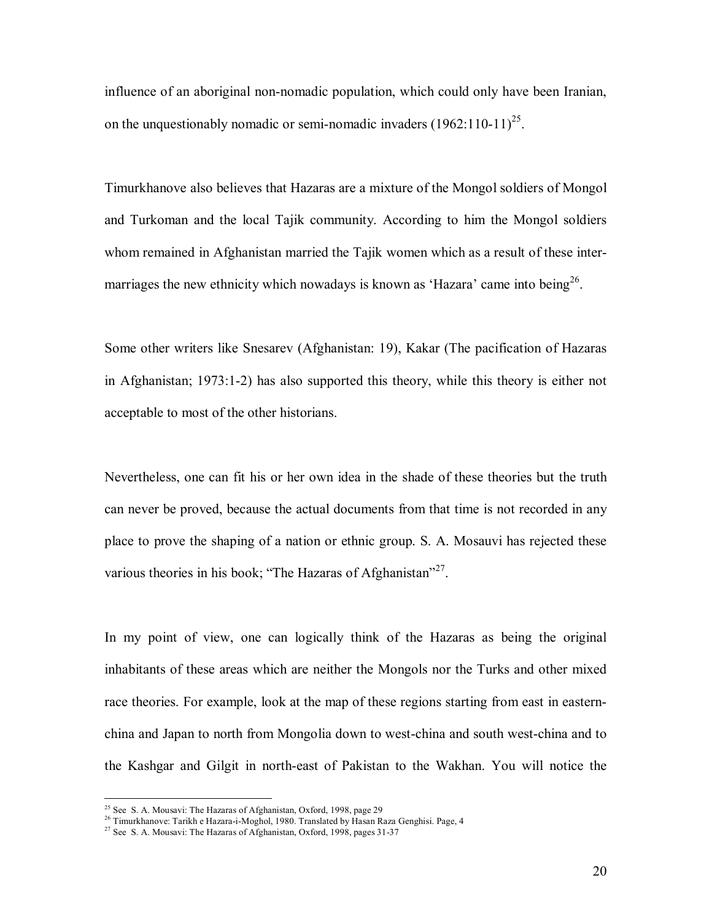influence of an aboriginal non-nomadic population, which could only have been Iranian, on the unquestionably nomadic or semi-nomadic invaders  $(1962:110-11)^{25}$ .

Timurkhanove also believes that Hazaras are a mixture of the Mongol soldiers of Mongol and Turkoman and the local Tajik community. According to him the Mongol soldiers whom remained in Afghanistan married the Tajik women which as a result of these intermarriages the new ethnicity which nowadays is known as 'Hazara' came into being<sup>26</sup>.

Some other writers like Snesarev (Afghanistan: 19), Kakar (The pacification of Hazaras in Afghanistan; 1973:1-2) has also supported this theory, while this theory is either not acceptable to most of the other historians.

Nevertheless, one can fit his or her own idea in the shade of these theories but the truth can never be proved, because the actual documents from that time is not recorded in any place to prove the shaping of a nation or ethnic group. S. A. Mosauvi has rejected these various theories in his book; "The Hazaras of Afghanistan"<sup>27</sup>.

In my point of view, one can logically think of the Hazaras as being the original inhabitants of these areas which are neither the Mongols nor the Turks and other mixed race theories. For example, look at the map of these regions starting from east in easternchina and Japan to north from Mongolia down to west-china and south west-china and to the Kashgar and Gilgit in north-east of Pakistan to the Wakhan. You will notice the

<sup>&</sup>lt;sup>25</sup> See S. A. Mousavi: The Hazaras of Afghanistan, Oxford, 1998, page 29

<sup>&</sup>lt;sup>26</sup> Timurkhanove: Tarikh e Hazara-i-Moghol, 1980. Translated by Hasan Raza Genghisi. Page, 4

<sup>&</sup>lt;sup>27</sup> See S. A. Mousavi: The Hazaras of Afghanistan, Oxford, 1998, pages 31-37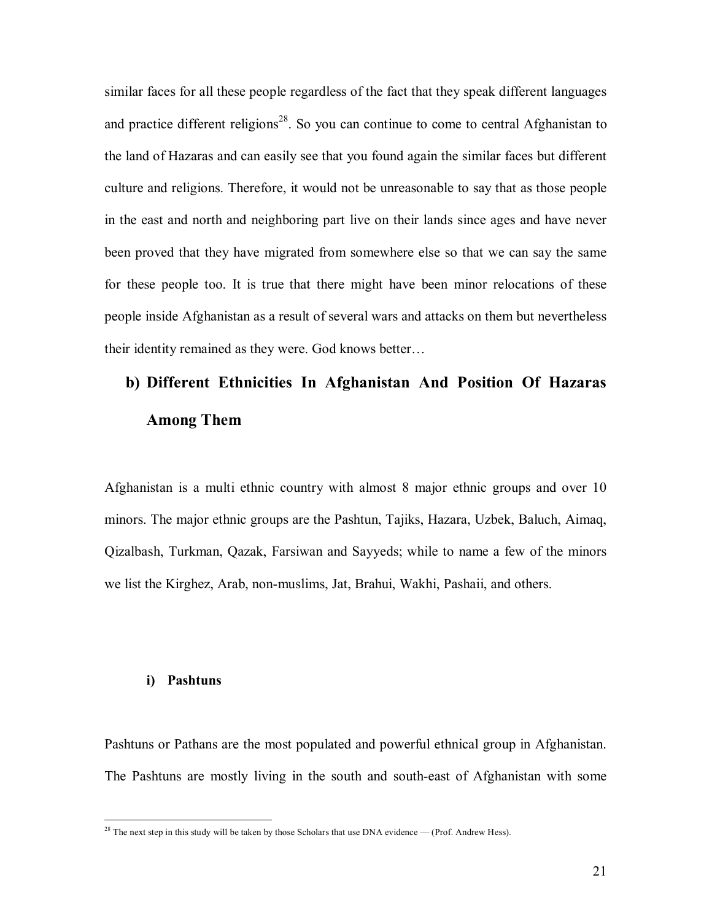similar faces for all these people regardless of the fact that they speak different languages and practice different religions<sup>28</sup>. So you can continue to come to central Afghanistan to the land of Hazaras and can easily see that you found again the similar faces but different culture and religions. Therefore, it would not be unreasonable to say that as those people in the east and north and neighboring part live on their lands since ages and have never been proved that they have migrated from somewhere else so that we can say the same for these people too. It is true that there might have been minor relocations of these people inside Afghanistan as a result of several wars and attacks on them but nevertheless their identity remained as they were. God knows better...

## **b) Different Ethnicities In Afghanistan And Position Of Hazaras Among Them**

Afghanistan is a multi ethnic country with almost 8 major ethnic groups and over 10 minors. The major ethnic groups are the Pashtun, Tajiks, Hazara, Uzbek, Baluch, Aimaq, Qizalbash, Turkman, Qazak, Farsiwan and Sayyeds; while to name a few of the minors we list the Kirghez, Arab, non-muslims, Jat, Brahui, Wakhi, Pashaii, and others.

#### **i) Pashtuns**

 $\overline{a}$ 

Pashtuns or Pathans are the most populated and powerful ethnical group in Afghanistan. The Pashtuns are mostly living in the south and south-east of Afghanistan with some

<sup>&</sup>lt;sup>28</sup> The next step in this study will be taken by those Scholars that use DNA evidence — (Prof. Andrew Hess).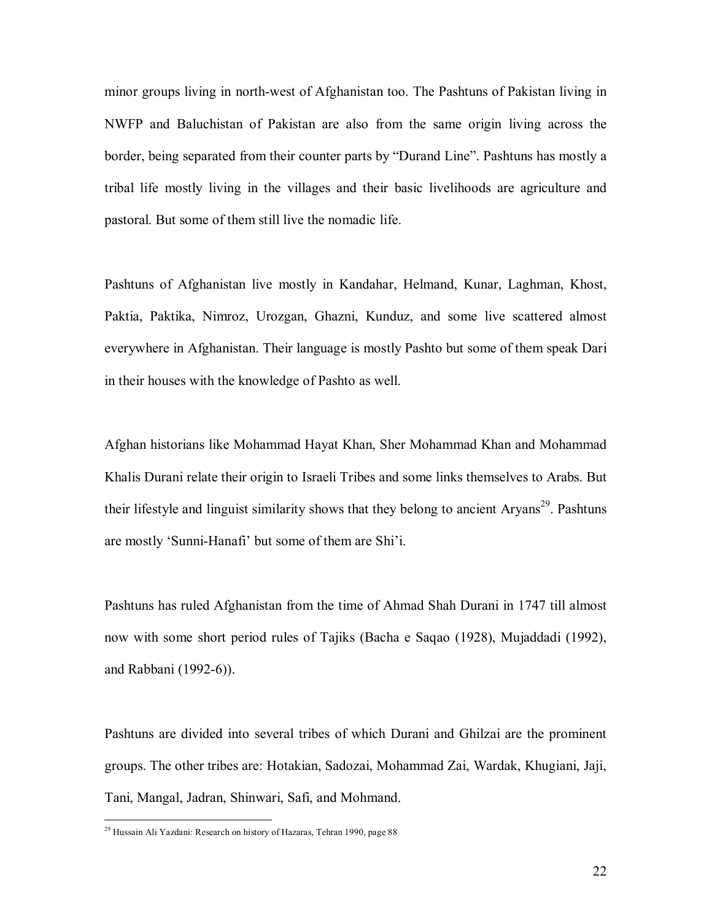minor groups living in north-west of Afghanistan too. The Pashtuns of Pakistan living in NWFP and Baluchistan of Pakistan are also from the same origin living across the border, being separated from their counter parts by "Durand Line". Pashtuns has mostly a tribal life mostly living in the villages and their basic livelihoods are agriculture and pastoral. But some of them still live the nomadic life.

Pashtuns of Afghanistan live mostly in Kandahar, Helmand, Kunar, Laghman, Khost, Paktia, Paktika, Nimroz, Urozgan, Ghazni, Kunduz, and some live scattered almost everywhere in Afghanistan. Their language is mostly Pashto but some of them speak Dari in their houses with the knowledge of Pashto as well.

Afghan historians like Mohammad Hayat Khan, Sher Mohammad Khan and Mohammad Khalis Durani relate their origin to Israeli Tribes and some links themselves to Arabs. But their lifestyle and linguist similarity shows that they belong to ancient Aryans<sup>29</sup>. Pashtuns are mostly 'Sunni-Hanafi' but some of them are Shi'i.

Pashtuns has ruled Afghanistan from the time of Ahmad Shah Durani in 1747 till almost now with some short period rules of Tajiks (Bacha e Saqao (1928), Mujaddadi (1992), and Rabbani (1992-6)).

Pashtuns are divided into several tribes of which Durani and Ghilzai are the prominent groups. The other tribes are: Hotakian, Sadozai, Mohammad Zai, Wardak, Khugiani, Jaji, Tani, Mangal, Jadran, Shinwari, Safi, and Mohmand.

<sup>&</sup>lt;sup>29</sup> Hussain Ali Yazdani: Research on history of Hazaras, Tehran 1990, page 88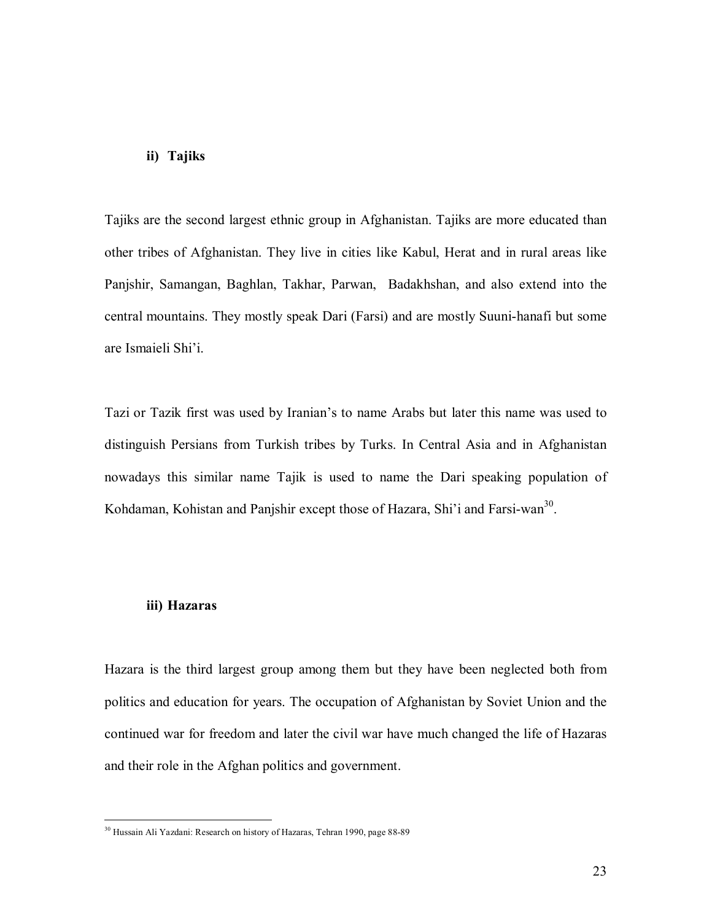#### **ii) Tajiks**

Tajiks are the second largest ethnic group in Afghanistan. Tajiks are more educated than other tribes of Afghanistan. They live in cities like Kabul, Herat and in rural areas like Panjshir, Samangan, Baghlan, Takhar, Parwan, Badakhshan, and also extend into the central mountains. They mostly speak Dari (Farsi) and are mostly Suuni-hanafi but some are Ismaieli Shi'i.

Tazi or Tazik first was used by Iranian's to name Arabs but later this name was used to distinguish Persians from Turkish tribes by Turks. In Central Asia and in Afghanistan nowadays this similar name Tajik is used to name the Dari speaking population of Kohdaman, Kohistan and Panjshir except those of Hazara, Shi'i and Farsi-wan<sup>30</sup>.

#### **iii) Hazaras**

 $\overline{a}$ 

Hazara is the third largest group among them but they have been neglected both from politics and education for years. The occupation of Afghanistan by Soviet Union and the continued war for freedom and later the civil war have much changed the life of Hazaras and their role in the Afghan politics and government.

<sup>&</sup>lt;sup>30</sup> Hussain Ali Yazdani: Research on history of Hazaras, Tehran 1990, page 88-89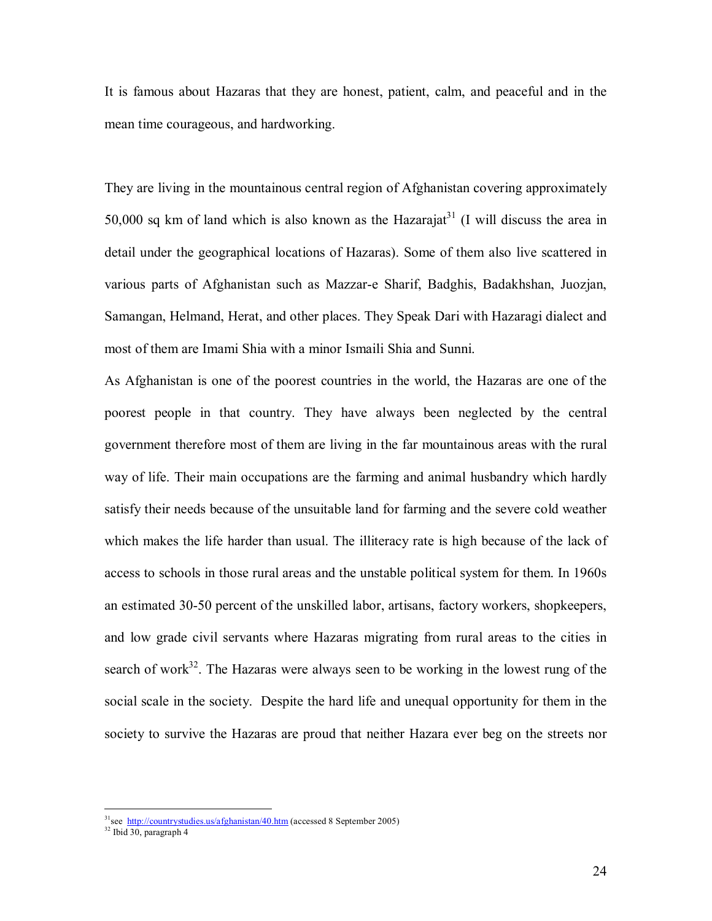It is famous about Hazaras that they are honest, patient, calm, and peaceful and in the mean time courageous, and hardworking.

They are living in the mountainous central region of Afghanistan covering approximately 50,000 sq km of land which is also known as the Hazarajat<sup>31</sup> (I will discuss the area in detail under the geographical locations of Hazaras). Some of them also live scattered in various parts of Afghanistan such as Mazzar-e Sharif, Badghis, Badakhshan, Juozjan, Samangan, Helmand, Herat, and other places. They Speak Dari with Hazaragi dialect and most of them are Imami Shia with a minor Ismaili Shia and Sunni.

As Afghanistan is one of the poorest countries in the world, the Hazaras are one of the poorest people in that country. They have always been neglected by the central government therefore most of them are living in the far mountainous areas with the rural way of life. Their main occupations are the farming and animal husbandry which hardly satisfy their needs because of the unsuitable land for farming and the severe cold weather which makes the life harder than usual. The illiteracy rate is high because of the lack of access to schools in those rural areas and the unstable political system for them. In 1960s an estimated 30-50 percent of the unskilled labor, artisans, factory workers, shopkeepers, and low grade civil servants where Hazaras migrating from rural areas to the cities in search of work $32$ . The Hazaras were always seen to be working in the lowest rung of the social scale in the society. Despite the hard life and unequal opportunity for them in the society to survive the Hazaras are proud that neither Hazara ever beg on the streets nor

<sup>&</sup>lt;sup>31</sup>see http://countrystudies.us/afghanistan/40.htm (accessed 8 September 2005) <sup>32</sup> Ibid 30, paragraph 4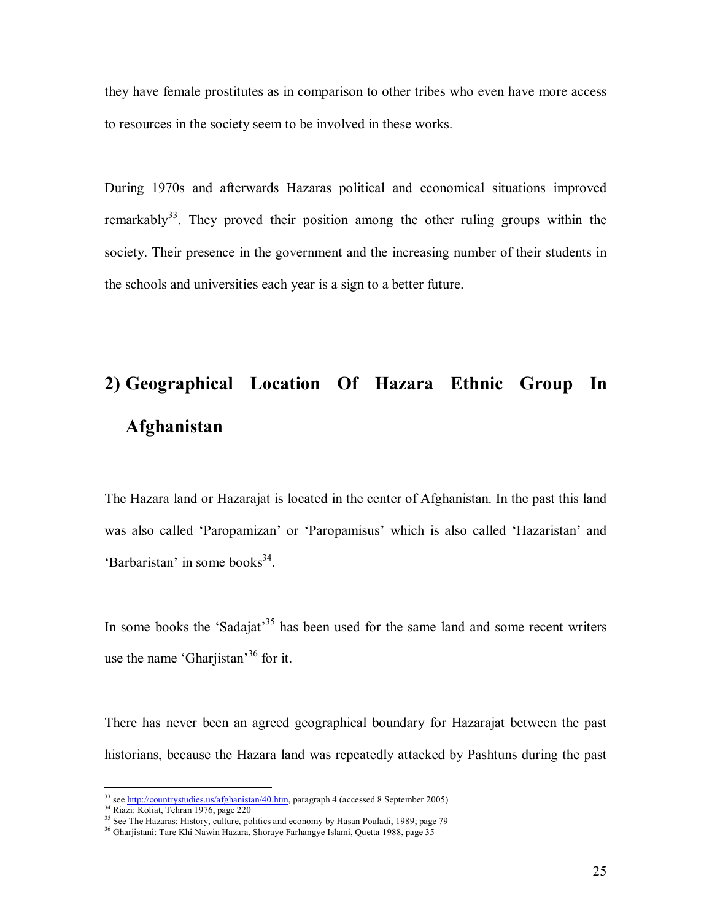they have female prostitutes as in comparison to other tribes who even have more access to resources in the society seem to be involved in these works.

During 1970s and afterwards Hazaras political and economical situations improved remarkably<sup>33</sup>. They proved their position among the other ruling groups within the society. Their presence in the government and the increasing number of their students in the schools and universities each year is a sign to a better future.

# **2) Geographical Location Of Hazara Ethnic Group In Afghanistan**

The Hazara land or Hazarajat is located in the center of Afghanistan. In the past this land was also called 'Paropamizan' or 'Paropamisus' which is also called 'Hazaristan' and 'Barbaristan' in some books $34$ .

In some books the 'Sadajat'<sup>35</sup> has been used for the same land and some recent writers use the name 'Gharjistan'<sup>36</sup> for it.

There has never been an agreed geographical boundary for Hazarajat between the past historians, because the Hazara land was repeatedly attacked by Pashtuns during the past

<sup>&</sup>lt;sup>33</sup> see <u>http://countrystudies.us/afghanistan/40.htm</u>, paragraph 4 (accessed 8 September 2005) <sup>34</sup> Riazi: Koliat, Tehran 1976, page 220

<sup>&</sup>lt;sup>35</sup> See The Hazaras: History, culture, politics and economy by Hasan Pouladi, 1989; page 79

<sup>36</sup> Gharjistani: Tare Khi Nawin Hazara, Shoraye Farhangye Islami, Quetta 1988, page 35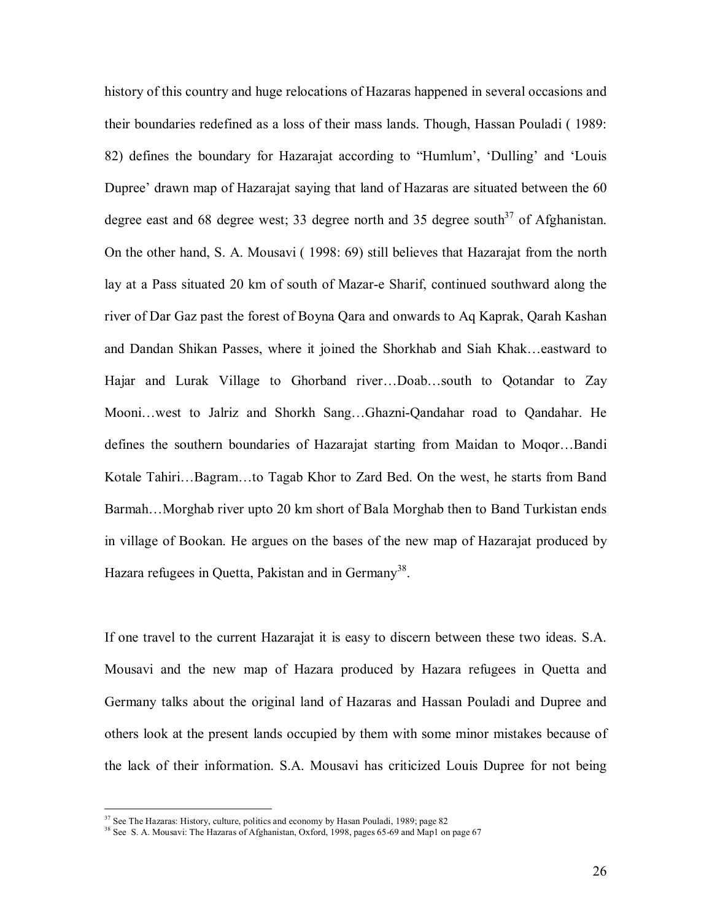history of this country and huge relocations of Hazaras happened in several occasions and their boundaries redefined as a loss of their mass lands. Though, Hassan Pouladi ( 1989: 82) defines the boundary for Hazarajat according to "Humlum', 'Dulling' and 'Louis Dupree' drawn map of Hazarajat saying that land of Hazaras are situated between the 60 degree east and 68 degree west; 33 degree north and 35 degree south<sup>37</sup> of Afghanistan. On the other hand, S. A. Mousavi ( 1998: 69) still believes that Hazarajat from the north lay at a Pass situated 20 km of south of Mazar-e Sharif, continued southward along the river of Dar Gaz past the forest of Boyna Qara and onwards to Aq Kaprak, Qarah Kashan and Dandan Shikan Passes, where it joined the Shorkhab and Siah Khak...eastward to Hajar and Lurak Village to Ghorband river...Doab...south to Qotandar to Zay Mooni...west to Jalriz and Shorkh Sang...Ghazni-Qandahar road to Qandahar. He defines the southern boundaries of Hazarajat starting from Maidan to Moqor...Bandi Kotale Tahiri...Bagram...to Tagab Khor to Zard Bed. On the west, he starts from Band Barmah... Morghab river upto 20 km short of Bala Morghab then to Band Turkistan ends in village of Bookan. He argues on the bases of the new map of Hazarajat produced by Hazara refugees in Quetta, Pakistan and in Germany<sup>38</sup>.

If one travel to the current Hazarajat it is easy to discern between these two ideas. S.A. Mousavi and the new map of Hazara produced by Hazara refugees in Quetta and Germany talks about the original land of Hazaras and Hassan Pouladi and Dupree and others look at the present lands occupied by them with some minor mistakes because of the lack of their information. S.A. Mousavi has criticized Louis Dupree for not being

<sup>&</sup>lt;sup>37</sup> See The Hazaras: History, culture, politics and economy by Hasan Pouladi, 1989; page 82

<sup>&</sup>lt;sup>38</sup> See S. A. Mousavi: The Hazaras of Afghanistan, Oxford, 1998, pages 65-69 and Map1 on page 67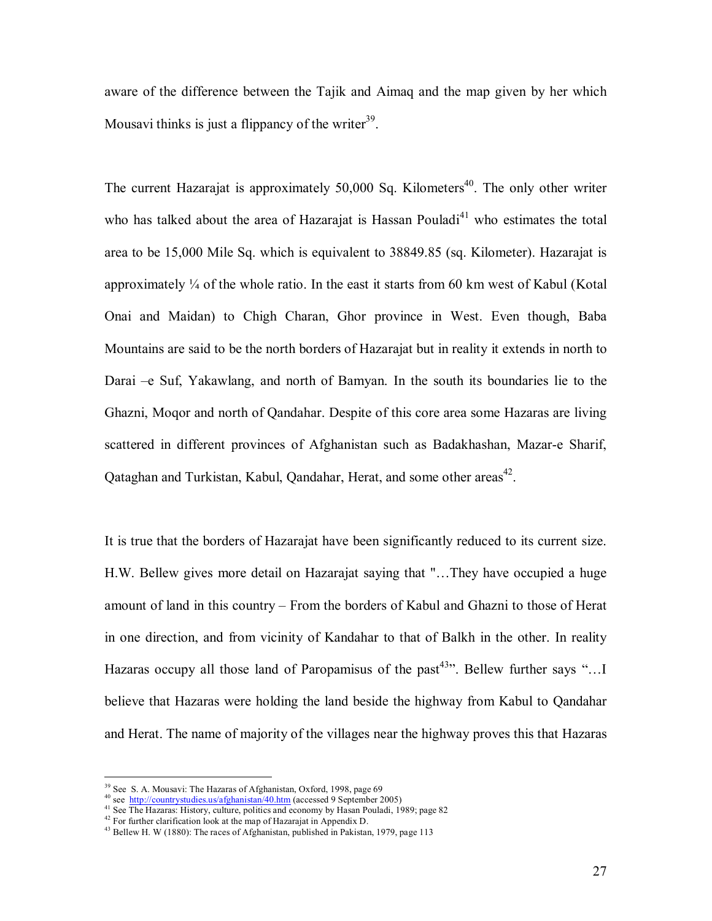aware of the difference between the Tajik and Aimaq and the map given by her which Mousavi thinks is just a flippancy of the writer  $39$ .

The current Hazarajat is approximately  $50,000$  Sq. Kilometers<sup>40</sup>. The only other writer who has talked about the area of Hazarajat is Hassan Pouladi<sup>41</sup> who estimates the total area to be 15,000 Mile Sq. which is equivalent to 38849.85 (sq. Kilometer). Hazarajat is approximately  $\frac{1}{4}$  of the whole ratio. In the east it starts from 60 km west of Kabul (Kotal Onai and Maidan) to Chigh Charan, Ghor province in West. Even though, Baba Mountains are said to be the north borders of Hazarajat but in reality it extends in north to Darai –e Suf, Yakawlang, and north of Bamyan. In the south its boundaries lie to the Ghazni, Moqor and north of Qandahar. Despite of this core area some Hazaras are living scattered in different provinces of Afghanistan such as Badakhashan, Mazar-e Sharif, Qataghan and Turkistan, Kabul, Qandahar, Herat, and some other areas<sup>42</sup>.

It is true that the borders of Hazarajat have been significantly reduced to its current size. H.W. Bellew gives more detail on Hazarajat saying that "...They have occupied a huge amount of land in this country – From the borders of Kabul and Ghazni to those of Herat in one direction, and from vicinity of Kandahar to that of Balkh in the other. In reality Hazaras occupy all those land of Paropamisus of the past<sup>435</sup>. Bellew further says  $\cdot^{\alpha}$ ... believe that Hazaras were holding the land beside the highway from Kabul to Qandahar and Herat. The name of majority of the villages near the highway proves this that Hazaras

1

<sup>&</sup>lt;sup>39</sup> See S. A. Mousavi: The Hazaras of Afghanistan, Oxford, 1998, page 69

<sup>&</sup>lt;sup>40</sup> see http://countrystudies.us/afghanistan/40.htm (accessed 9 September 2005)<br><sup>41</sup> See The Hazaras: History, culture, politics and economy by Hasan Pouladi, 1989; page 82

<sup>&</sup>lt;sup>42</sup> For further clarification look at the map of Hazarajat in Appendix D.

<sup>&</sup>lt;sup>43</sup> Bellew H. W (1880): The races of Afghanistan, published in Pakistan, 1979, page 113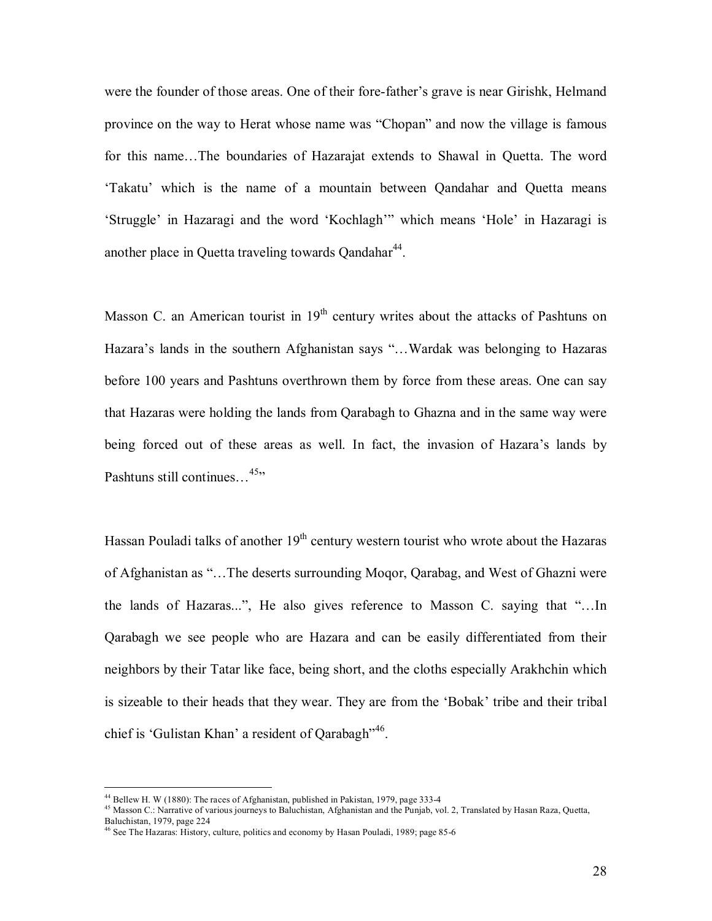were the founder of those areas. One of their fore-father's grave is near Girishk, Helmand province on the way to Herat whose name was "Chopan" and now the village is famous for this name...The boundaries of Hazarajat extends to Shawal in Quetta. The word ëTakatuí which is the name of a mountain between Qandahar and Quetta means 'Struggle' in Hazaragi and the word 'Kochlagh'" which means 'Hole' in Hazaragi is another place in Quetta traveling towards  $O$ andahar $^{44}$ .

Masson C. an American tourist in  $19<sup>th</sup>$  century writes about the attacks of Pashtuns on Hazara's lands in the southern Afghanistan says "...Wardak was belonging to Hazaras before 100 years and Pashtuns overthrown them by force from these areas. One can say that Hazaras were holding the lands from Qarabagh to Ghazna and in the same way were being forced out of these areas as well. In fact, the invasion of Hazara's lands by Pashtuns still continues... $^{45}$ 

Hassan Pouladi talks of another  $19<sup>th</sup>$  century western tourist who wrote about the Hazaras of Afghanistan as "...The deserts surrounding Moqor, Qarabag, and West of Ghazni were the lands of Hazaras...", He also gives reference to Masson C. saying that  $\ldots$ In Qarabagh we see people who are Hazara and can be easily differentiated from their neighbors by their Tatar like face, being short, and the cloths especially Arakhchin which is sizeable to their heads that they wear. They are from the 'Bobak' tribe and their tribal chief is 'Gulistan Khan' a resident of Qarabagh<sup>746</sup>.

<sup>44</sup> Bellew H. W (1880): The races of Afghanistan, published in Pakistan, 1979, page 333-4

<sup>45</sup> Masson C.: Narrative of various journeys to Baluchistan, Afghanistan and the Punjab, vol. 2, Translated by Hasan Raza, Quetta, Baluchistan, 1979, page 224

<sup>&</sup>lt;sup>46</sup> See The Hazaras: History, culture, politics and economy by Hasan Pouladi, 1989; page 85-6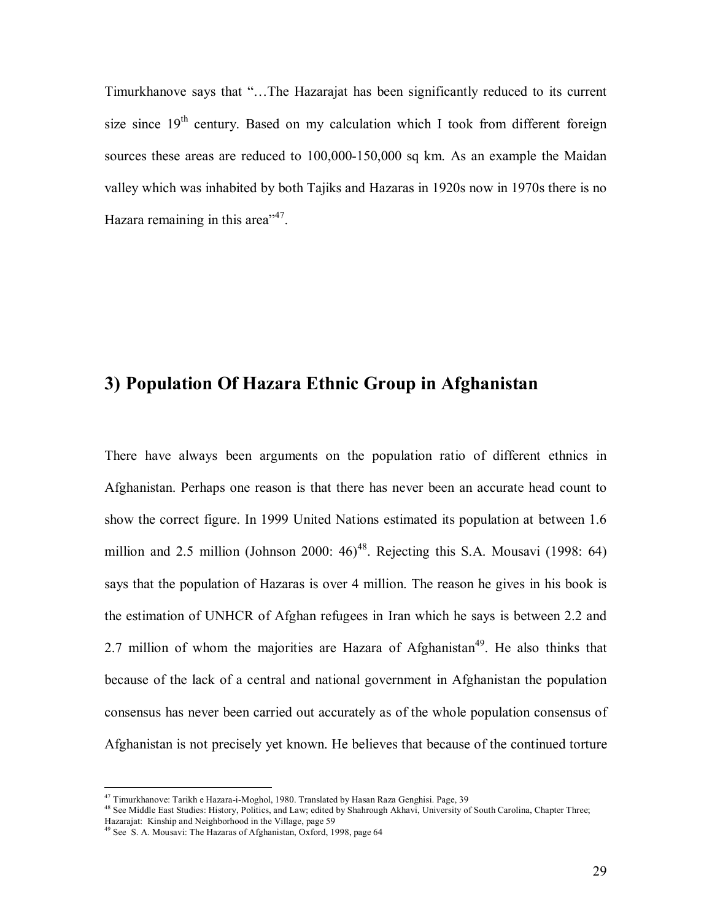Timurkhanove says that "...The Hazarajat has been significantly reduced to its current size since 19<sup>th</sup> century. Based on my calculation which I took from different foreign sources these areas are reduced to 100,000-150,000 sq km. As an example the Maidan valley which was inhabited by both Tajiks and Hazaras in 1920s now in 1970s there is no Hazara remaining in this area<sup> $47$ </sup>.

## **3) Population Of Hazara Ethnic Group in Afghanistan**

There have always been arguments on the population ratio of different ethnics in Afghanistan. Perhaps one reason is that there has never been an accurate head count to show the correct figure. In 1999 United Nations estimated its population at between 1.6 million and 2.5 million (Johnson 2000:  $46$ <sup>48</sup>. Rejecting this S.A. Mousavi (1998: 64) says that the population of Hazaras is over 4 million. The reason he gives in his book is the estimation of UNHCR of Afghan refugees in Iran which he says is between 2.2 and 2.7 million of whom the majorities are Hazara of Afghanistan<sup>49</sup>. He also thinks that because of the lack of a central and national government in Afghanistan the population consensus has never been carried out accurately as of the whole population consensus of Afghanistan is not precisely yet known. He believes that because of the continued torture

<u>.</u>

<sup>&</sup>lt;sup>47</sup> Timurkhanove: Tarikh e Hazara-i-Moghol, 1980. Translated by Hasan Raza Genghisi. Page, 39

<sup>&</sup>lt;sup>48</sup> See Middle East Studies: History, Politics, and Law; edited by Shahrough Akhavi, University of South Carolina, Chapter Three; Hazarajat: Kinship and Neighborhood in the Village, page 59

<sup>49</sup> See S. A. Mousavi: The Hazaras of Afghanistan, Oxford, 1998, page 64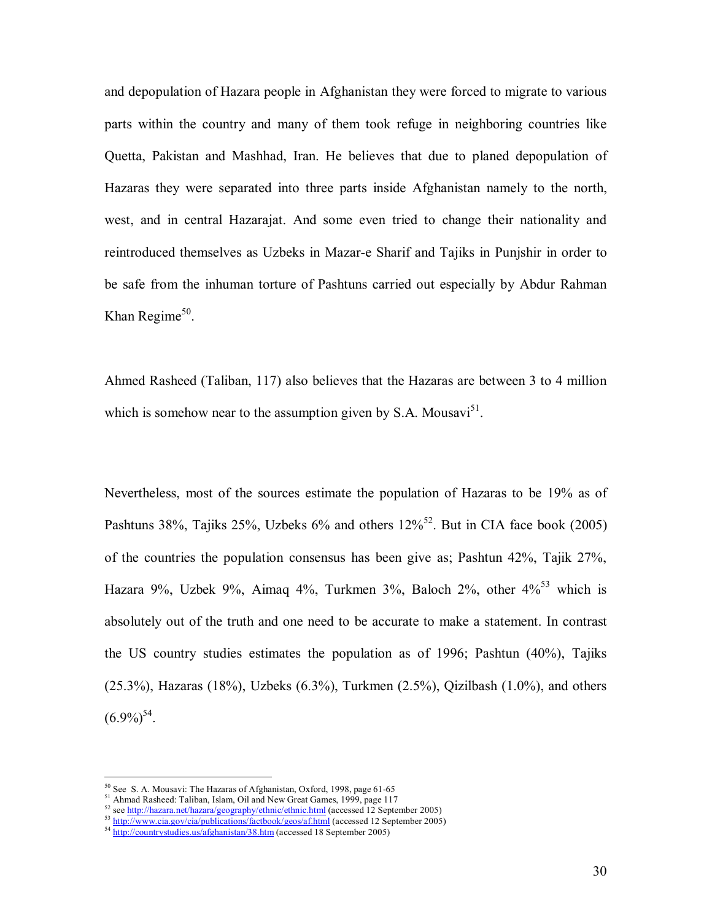and depopulation of Hazara people in Afghanistan they were forced to migrate to various parts within the country and many of them took refuge in neighboring countries like Quetta, Pakistan and Mashhad, Iran. He believes that due to planed depopulation of Hazaras they were separated into three parts inside Afghanistan namely to the north, west, and in central Hazarajat. And some even tried to change their nationality and reintroduced themselves as Uzbeks in Mazar-e Sharif and Tajiks in Punjshir in order to be safe from the inhuman torture of Pashtuns carried out especially by Abdur Rahman Khan Regime $50$ .

Ahmed Rasheed (Taliban, 117) also believes that the Hazaras are between 3 to 4 million which is somehow near to the assumption given by  $S.A.$  Mousavi<sup>51</sup>.

Nevertheless, most of the sources estimate the population of Hazaras to be 19% as of Pashtuns 38%, Tajiks 25%, Uzbeks 6% and others  $12\frac{52}{5}$ . But in CIA face book (2005) of the countries the population consensus has been give as; Pashtun 42%, Tajik 27%, Hazara 9%, Uzbek 9%, Aimaq 4%, Turkmen 3%, Baloch 2%, other 4%53 which is absolutely out of the truth and one need to be accurate to make a statement. In contrast the US country studies estimates the population as of 1996; Pashtun (40%), Tajiks  $(25.3\%)$ , Hazaras  $(18\%)$ , Uzbeks  $(6.3\%)$ , Turkmen  $(2.5\%)$ , Qizilbash  $(1.0\%)$ , and others  $(6.9\%)^{54}$ .

1

<sup>50</sup> See S. A. Mousavi: The Hazaras of Afghanistan, Oxford, 1998, page 61-65

<sup>&</sup>lt;sup>51</sup> Ahmad Rasheed: Taliban, Islam, Oil and New Great Games, 1999, page 117<br><sup>52</sup> see http://hazara.net/hazara/geography/ethnic/ethnic.html (accessed 12 September 2005)

<sup>&</sup>lt;sup>53</sup> http://www.cia.gov/cia/publications/factbook/geos/af.html (accessed 12 September 2005)<br><sup>54</sup> http://countrystudies.us/afghanistan/38.htm (accessed 18 September 2005)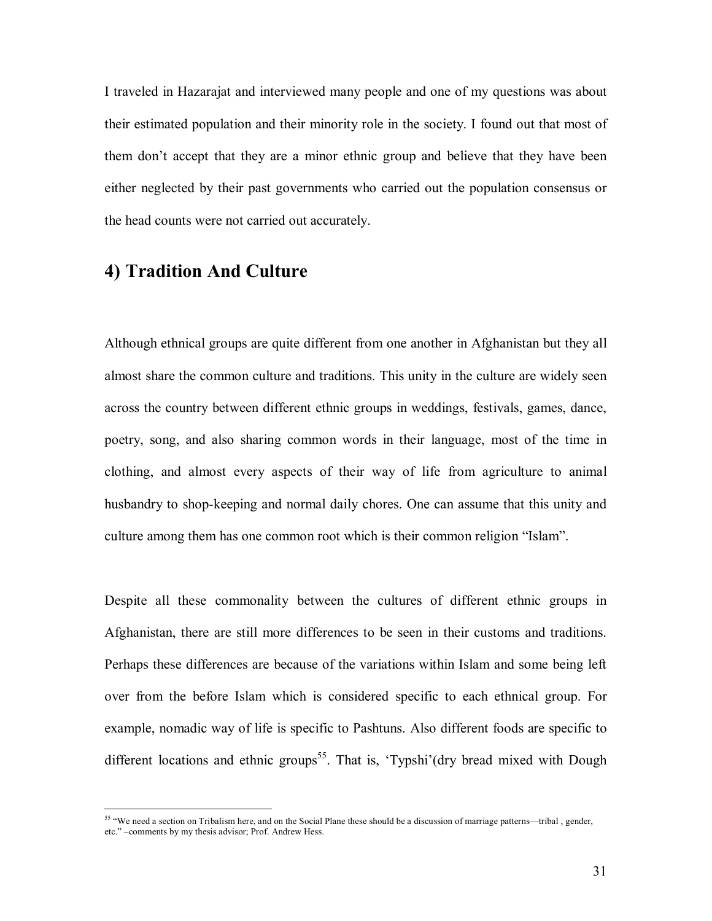I traveled in Hazarajat and interviewed many people and one of my questions was about their estimated population and their minority role in the society. I found out that most of them donít accept that they are a minor ethnic group and believe that they have been either neglected by their past governments who carried out the population consensus or the head counts were not carried out accurately.

### **4) Tradition And Culture**

 $\overline{a}$ 

Although ethnical groups are quite different from one another in Afghanistan but they all almost share the common culture and traditions. This unity in the culture are widely seen across the country between different ethnic groups in weddings, festivals, games, dance, poetry, song, and also sharing common words in their language, most of the time in clothing, and almost every aspects of their way of life from agriculture to animal husbandry to shop-keeping and normal daily chores. One can assume that this unity and culture among them has one common root which is their common religion "Islam".

Despite all these commonality between the cultures of different ethnic groups in Afghanistan, there are still more differences to be seen in their customs and traditions. Perhaps these differences are because of the variations within Islam and some being left over from the before Islam which is considered specific to each ethnical group. For example, nomadic way of life is specific to Pashtuns. Also different foods are specific to different locations and ethnic groups<sup>55</sup>. That is, 'Typshi'(dry bread mixed with Dough

 $55$  "We need a section on Tribalism here, and on the Social Plane these should be a discussion of marriage patterns—tribal , gender, etc." - comments by my thesis advisor; Prof. Andrew Hess.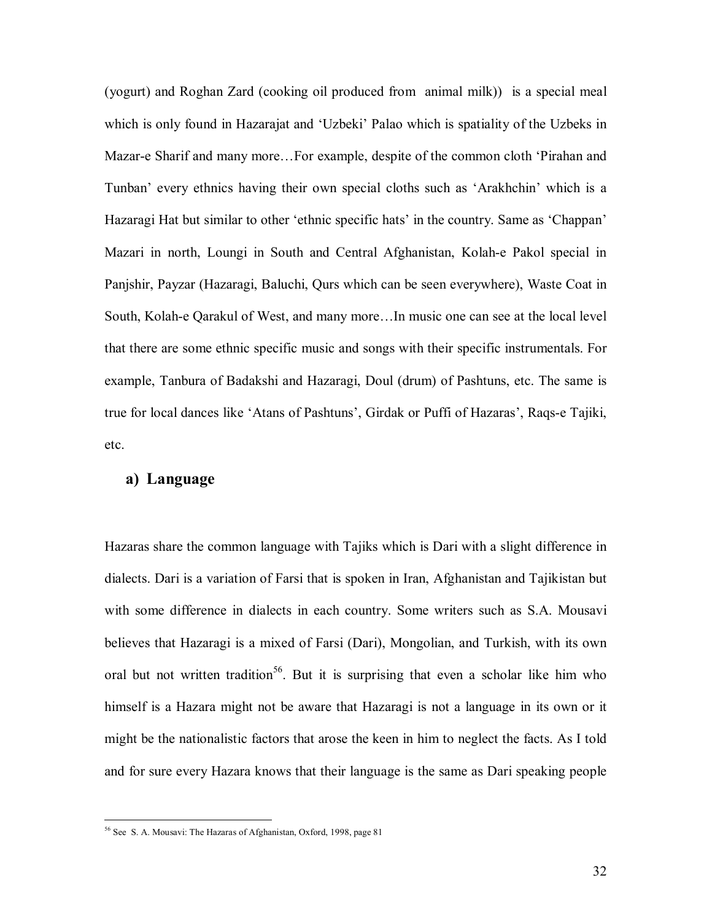(yogurt) and Roghan Zard (cooking oil produced from animal milk)) is a special meal which is only found in Hazarajat and 'Uzbeki' Palao which is spatiality of the Uzbeks in Mazar-e Sharif and many more...For example, despite of the common cloth 'Pirahan and Tunban<sup>'</sup> every ethnics having their own special cloths such as 'Arakhchin' which is a Hazaragi Hat but similar to other 'ethnic specific hats' in the country. Same as 'Chappan' Mazari in north, Loungi in South and Central Afghanistan, Kolah-e Pakol special in Panjshir, Payzar (Hazaragi, Baluchi, Qurs which can be seen everywhere), Waste Coat in South, Kolah-e Qarakul of West, and many more...In music one can see at the local level that there are some ethnic specific music and songs with their specific instrumentals. For example, Tanbura of Badakshi and Hazaragi, Doul (drum) of Pashtuns, etc. The same is true for local dances like 'Atans of Pashtuns', Girdak or Puffi of Hazaras', Raqs-e Tajiki, etc.

#### **a) Language**

 $\overline{a}$ 

Hazaras share the common language with Tajiks which is Dari with a slight difference in dialects. Dari is a variation of Farsi that is spoken in Iran, Afghanistan and Tajikistan but with some difference in dialects in each country. Some writers such as S.A. Mousavi believes that Hazaragi is a mixed of Farsi (Dari), Mongolian, and Turkish, with its own oral but not written tradition<sup>56</sup>. But it is surprising that even a scholar like him who himself is a Hazara might not be aware that Hazaragi is not a language in its own or it might be the nationalistic factors that arose the keen in him to neglect the facts. As I told and for sure every Hazara knows that their language is the same as Dari speaking people

<sup>&</sup>lt;sup>56</sup> See S. A. Mousavi: The Hazaras of Afghanistan, Oxford, 1998, page 81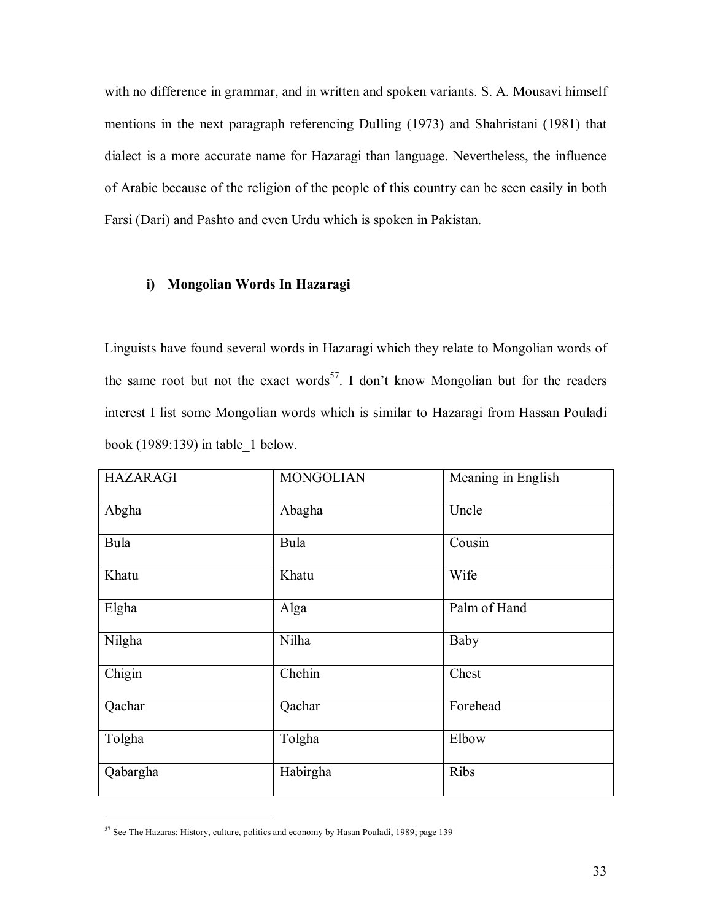with no difference in grammar, and in written and spoken variants. S. A. Mousavi himself mentions in the next paragraph referencing Dulling (1973) and Shahristani (1981) that dialect is a more accurate name for Hazaragi than language. Nevertheless, the influence of Arabic because of the religion of the people of this country can be seen easily in both Farsi (Dari) and Pashto and even Urdu which is spoken in Pakistan.

#### **i) Mongolian Words In Hazaragi**

Linguists have found several words in Hazaragi which they relate to Mongolian words of the same root but not the exact words<sup>57</sup>. I don't know Mongolian but for the readers interest I list some Mongolian words which is similar to Hazaragi from Hassan Pouladi book (1989:139) in table\_1 below.

| <b>HAZARAGI</b> | <b>MONGOLIAN</b> | Meaning in English |
|-----------------|------------------|--------------------|
| Abgha           | Abagha           | Uncle              |
| Bula            | Bula             | Cousin             |
| Khatu           | Khatu            | Wife               |
| Elgha           | Alga             | Palm of Hand       |
| Nilgha          | Nilha            | Baby               |
| Chigin          | Chehin           | Chest              |
| Qachar          | Qachar           | Forehead           |
| Tolgha          | Tolgha           | Elbow              |
| Qabargha        | Habirgha         | Ribs               |

 $57$  See The Hazaras: History, culture, politics and economy by Hasan Pouladi, 1989; page 139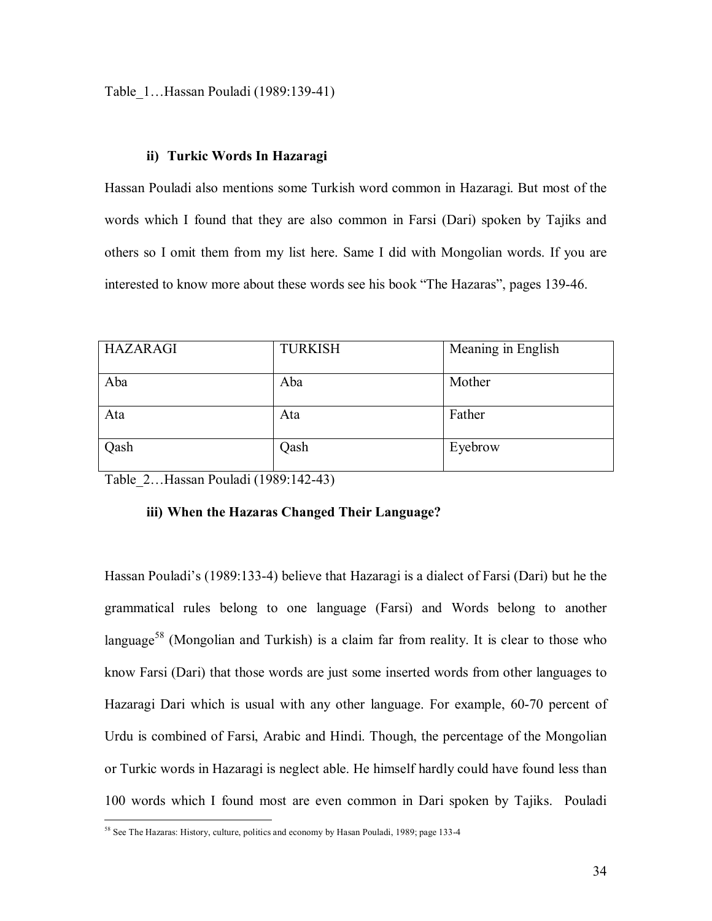Table  $1$ ...Hassan Pouladi (1989:139-41)

#### **ii) Turkic Words In Hazaragi**

Hassan Pouladi also mentions some Turkish word common in Hazaragi. But most of the words which I found that they are also common in Farsi (Dari) spoken by Tajiks and others so I omit them from my list here. Same I did with Mongolian words. If you are interested to know more about these words see his book "The Hazaras", pages 139-46.

| <b>HAZARAGI</b> | <b>TURKISH</b> | Meaning in English |
|-----------------|----------------|--------------------|
| Aba             | Aba            | Mother             |
| Ata             | Ata            | Father             |
| Qash            | Qash           | Eyebrow            |

Table 2...Hassan Pouladi (1989:142-43)

#### **iii) When the Hazaras Changed Their Language?**

Hassan Pouladi's (1989:133-4) believe that Hazaragi is a dialect of Farsi (Dari) but he the grammatical rules belong to one language (Farsi) and Words belong to another language<sup>58</sup> (Mongolian and Turkish) is a claim far from reality. It is clear to those who know Farsi (Dari) that those words are just some inserted words from other languages to Hazaragi Dari which is usual with any other language. For example, 60-70 percent of Urdu is combined of Farsi, Arabic and Hindi. Though, the percentage of the Mongolian or Turkic words in Hazaragi is neglect able. He himself hardly could have found less than 100 words which I found most are even common in Dari spoken by Tajiks. Pouladi

<sup>&</sup>lt;sup>58</sup> See The Hazaras: History, culture, politics and economy by Hasan Pouladi, 1989; page 133-4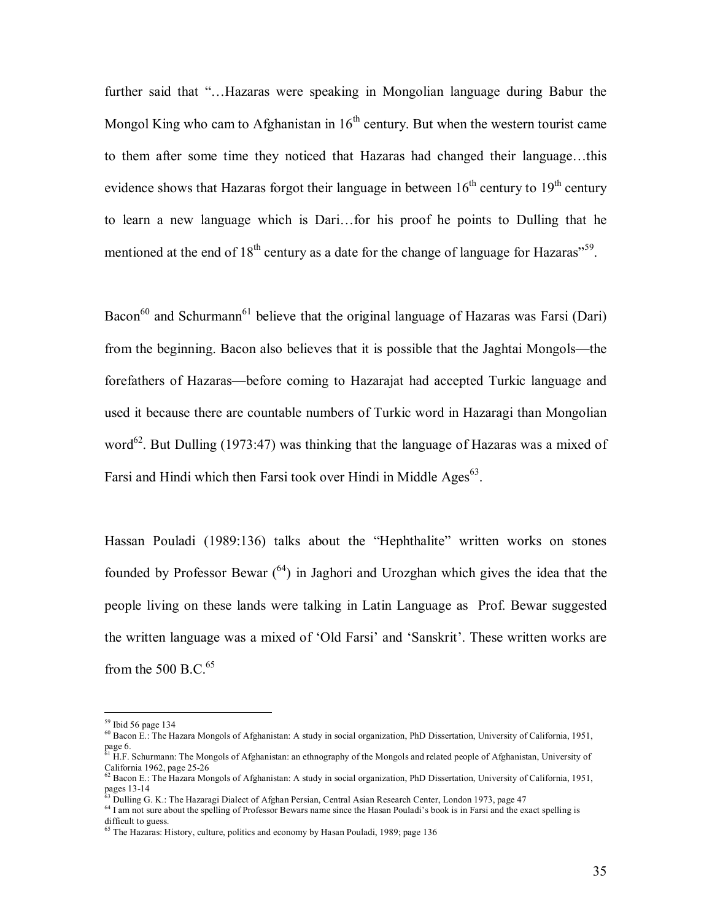further said that "...Hazaras were speaking in Mongolian language during Babur the Mongol King who cam to Afghanistan in  $16<sup>th</sup>$  century. But when the western tourist came to them after some time they noticed that Hazaras had changed their language...this evidence shows that Hazaras forgot their language in between  $16<sup>th</sup>$  century to  $19<sup>th</sup>$  century to learn a new language which is Dari...for his proof he points to Dulling that he mentioned at the end of  $18<sup>th</sup>$  century as a date for the change of language for Hazaras<sup>559</sup>.

Bacon<sup>60</sup> and Schurmann<sup>61</sup> believe that the original language of Hazaras was Farsi (Dari) from the beginning. Bacon also believes that it is possible that the Jaghtai Mongols—the forefathers of Hazaras—before coming to Hazarajat had accepted Turkic language and used it because there are countable numbers of Turkic word in Hazaragi than Mongolian word<sup>62</sup>. But Dulling (1973:47) was thinking that the language of Hazaras was a mixed of Farsi and Hindi which then Farsi took over Hindi in Middle Ages<sup>63</sup>.

Hassan Pouladi (1989:136) talks about the "Hephthalite" written works on stones founded by Professor Bewar  $^{64}$ ) in Jaghori and Urozghan which gives the idea that the people living on these lands were talking in Latin Language as Prof. Bewar suggested the written language was a mixed of 'Old Farsi' and 'Sanskrit'. These written works are from the 500 B.C. $^{65}$ 

1

<sup>59</sup> Ibid 56 page 134

<sup>60</sup> Bacon E.: The Hazara Mongols of Afghanistan: A study in social organization, PhD Dissertation, University of California, 1951, page 6.<br><sup>61</sup> H.F. Schurmann: The Mongols of Afghanistan: an ethnography of the Mongols and related people of Afghanistan, University of

California 1962, page 25-26<br><sup>62</sup> Bacon E.: The Hazara Mongols of Afghanistan: A study in social organization, PhD Dissertation, University of California, 1951,

pages 13-14

<sup>63</sup> Dulling G. K.: The Hazaragi Dialect of Afghan Persian, Central Asian Research Center, London 1973, page 47

<sup>&</sup>lt;sup>64</sup> I am not sure about the spelling of Professor Bewars name since the Hasan Pouladi's book is in Farsi and the exact spelling is difficult to guess.

<sup>&</sup>lt;sup>65</sup> The Hazaras: History, culture, politics and economy by Hasan Pouladi, 1989; page 136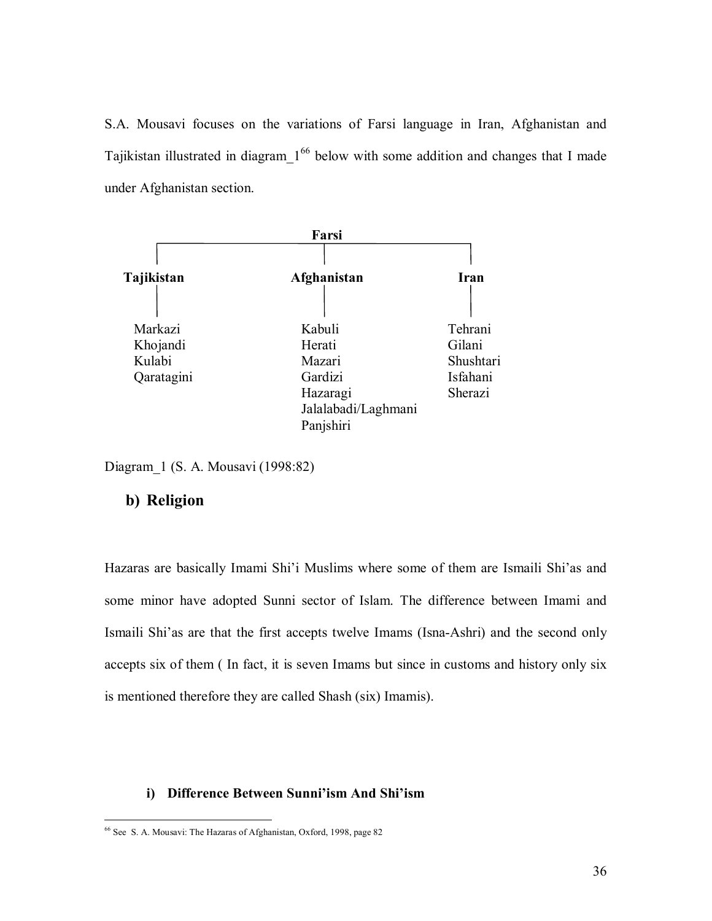S.A. Mousavi focuses on the variations of Farsi language in Iran, Afghanistan and Tajikistan illustrated in diagram  $1^{66}$  below with some addition and changes that I made under Afghanistan section.



Diagram\_1 (S. A. Mousavi (1998:82)

### **b) Religion**

Hazaras are basically Imami Shi'i Muslims where some of them are Ismaili Shi'as and some minor have adopted Sunni sector of Islam. The difference between Imami and Ismaili Shi'as are that the first accepts twelve Imams (Isna-Ashri) and the second only accepts six of them ( In fact, it is seven Imams but since in customs and history only six is mentioned therefore they are called Shash (six) Imamis).

#### i) Difference Between Sunni'ism And Shi'ism

 $\overline{a}$ 66 See S. A. Mousavi: The Hazaras of Afghanistan, Oxford, 1998, page 82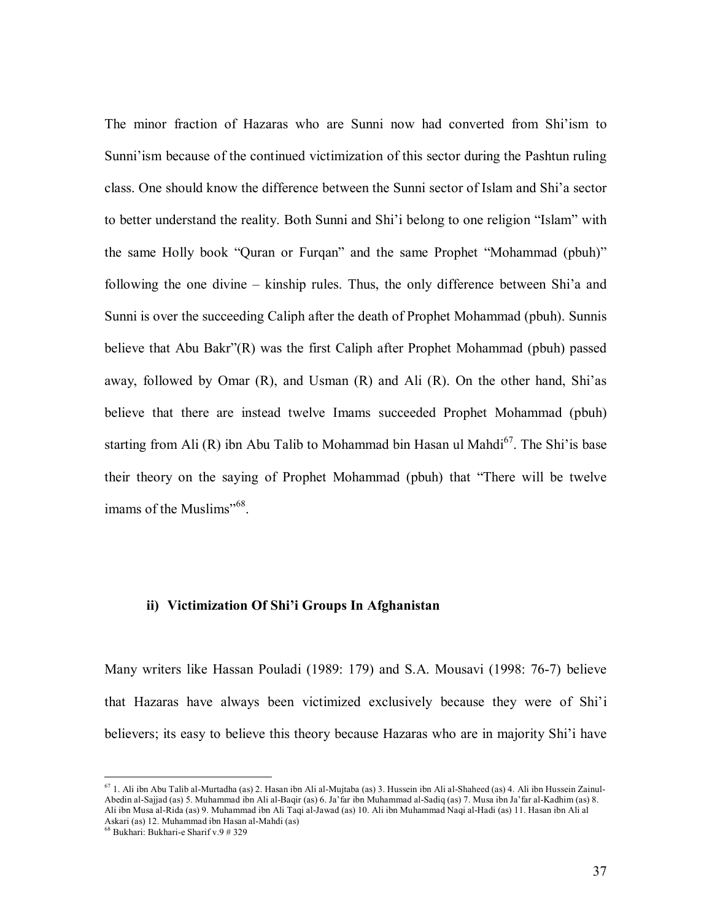The minor fraction of Hazaras who are Sunni now had converted from Shi'ism to Sunni<sup> $\dot{\ }$ </sup> ism because of the continued victimization of this sector during the Pashtun ruling class. One should know the difference between the Sunni sector of Islam and Shiía sector to better understand the reality. Both Sunni and Shi'i belong to one religion "Islam" with the same Holly book "Quran or Furqan" and the same Prophet "Mohammad (pbuh)" following the one divine  $-$  kinship rules. Thus, the only difference between Shi'a and Sunni is over the succeeding Caliph after the death of Prophet Mohammad (pbuh). Sunnis believe that Abu Bakr<sup>"</sup>(R) was the first Caliph after Prophet Mohammad (pbuh) passed away, followed by Omar  $(R)$ , and Usman  $(R)$  and Ali  $(R)$ . On the other hand, Shi'as believe that there are instead twelve Imams succeeded Prophet Mohammad (pbuh) starting from Ali (R) ibn Abu Talib to Mohammad bin Hasan ul Mahdi $^{67}$ . The Shi'is base their theory on the saying of Prophet Mohammad (pbuh) that "There will be twelve imams of the Muslims<sup> $168$ </sup>.

#### **ii) Victimization Of Shiíi Groups In Afghanistan**

Many writers like Hassan Pouladi (1989: 179) and S.A. Mousavi (1998: 76-7) believe that Hazaras have always been victimized exclusively because they were of Shiíi believers; its easy to believe this theory because Hazaras who are in majority Shi'i have

1

 $67$  1. Ali ibn Abu Talib al-Murtadha (as) 2. Hasan ibn Ali al-Mujtaba (as) 3. Hussein ibn Ali al-Shaheed (as) 4. Ali ibn Hussein Zainul-Abedin al-Sajjad (as) 5. Muhammad ibn Ali al-Baqir (as) 6. Ja'far ibn Muhammad al-Sadiq (as) 7. Musa ibn Ja'far al-Kadhim (as) 8. Ali ibn Musa al-Rida (as) 9. Muhammad ibn Ali Taqi al-Jawad (as) 10. Ali ibn Muhammad Naqi al-Hadi (as) 11. Hasan ibn Ali al Askari (as) 12. Muhammad ibn Hasan al-Mahdi (as)

<sup>68</sup> Bukhari: Bukhari-e Sharif v.9 # 329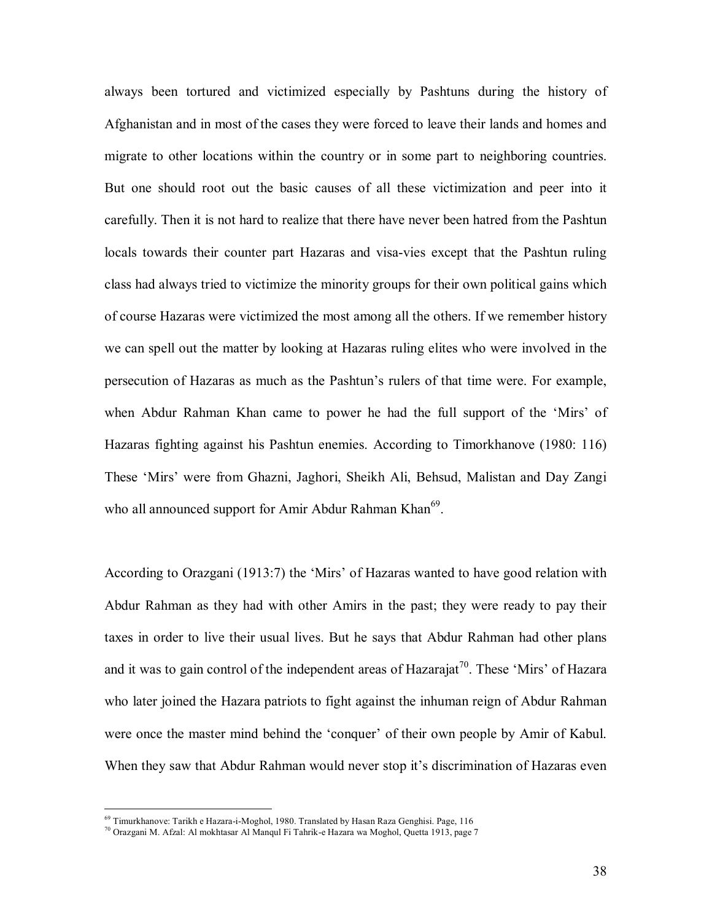always been tortured and victimized especially by Pashtuns during the history of Afghanistan and in most of the cases they were forced to leave their lands and homes and migrate to other locations within the country or in some part to neighboring countries. But one should root out the basic causes of all these victimization and peer into it carefully. Then it is not hard to realize that there have never been hatred from the Pashtun locals towards their counter part Hazaras and visa-vies except that the Pashtun ruling class had always tried to victimize the minority groups for their own political gains which of course Hazaras were victimized the most among all the others. If we remember history we can spell out the matter by looking at Hazaras ruling elites who were involved in the persecution of Hazaras as much as the Pashtunís rulers of that time were. For example, when Abdur Rahman Khan came to power he had the full support of the 'Mirs' of Hazaras fighting against his Pashtun enemies. According to Timorkhanove (1980: 116) These ëMirsí were from Ghazni, Jaghori, Sheikh Ali, Behsud, Malistan and Day Zangi who all announced support for Amir Abdur Rahman Khan<sup>69</sup>.

According to Orazgani (1913:7) the 'Mirs' of Hazaras wanted to have good relation with Abdur Rahman as they had with other Amirs in the past; they were ready to pay their taxes in order to live their usual lives. But he says that Abdur Rahman had other plans and it was to gain control of the independent areas of Hazarajat<sup>70</sup>. These 'Mirs' of Hazara who later joined the Hazara patriots to fight against the inhuman reign of Abdur Rahman were once the master mind behind the 'conquer' of their own people by Amir of Kabul. When they saw that Abdur Rahman would never stop it's discrimination of Hazaras even

<sup>69</sup> Timurkhanove: Tarikh e Hazara-i-Moghol, 1980. Translated by Hasan Raza Genghisi. Page, 116

<sup>70</sup> Orazgani M. Afzal: Al mokhtasar Al Manqul Fi Tahrik-e Hazara wa Moghol, Quetta 1913, page 7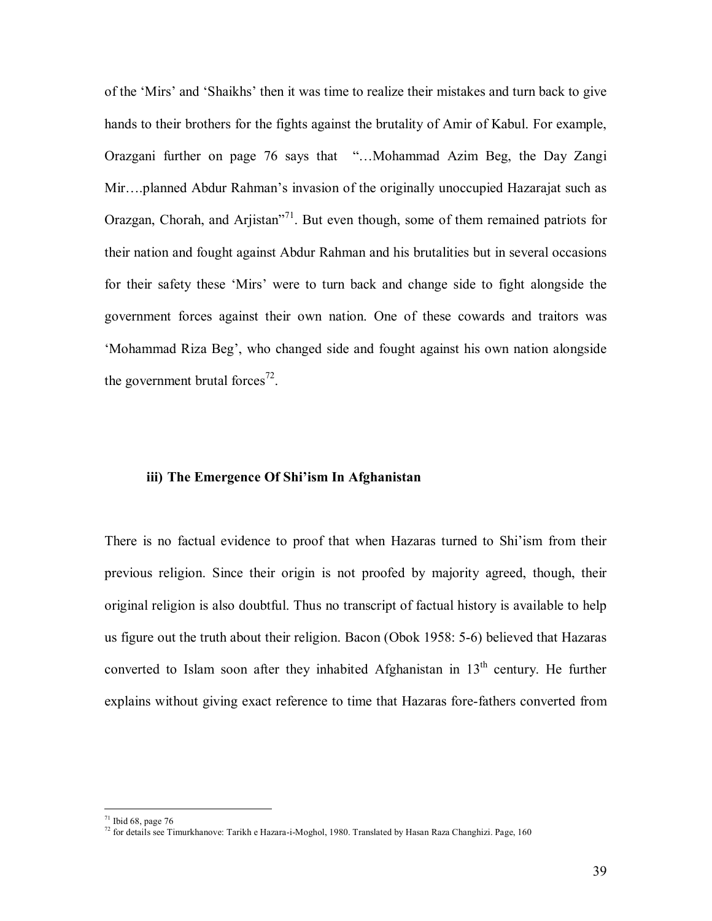of the ëMirsí and ëShaikhsí then it was time to realize their mistakes and turn back to give hands to their brothers for the fights against the brutality of Amir of Kabul. For example, Orazgani further on page 76 says that "...Mohammad Azim Beg, the Day Zangi Mir....planned Abdur Rahman's invasion of the originally unoccupied Hazarajat such as Orazgan, Chorah, and Arjistan<sup>771</sup>. But even though, some of them remained patriots for their nation and fought against Abdur Rahman and his brutalities but in several occasions for their safety these 'Mirs' were to turn back and change side to fight alongside the government forces against their own nation. One of these cowards and traitors was ëMohammad Riza Begí, who changed side and fought against his own nation alongside the government brutal forces<sup>72</sup>.

#### iii) The Emergence Of Shi'ism In Afghanistan

There is no factual evidence to proof that when Hazaras turned to Shi'ism from their previous religion. Since their origin is not proofed by majority agreed, though, their original religion is also doubtful. Thus no transcript of factual history is available to help us figure out the truth about their religion. Bacon (Obok 1958: 5-6) believed that Hazaras converted to Islam soon after they inhabited Afghanistan in  $13<sup>th</sup>$  century. He further explains without giving exact reference to time that Hazaras fore-fathers converted from

 $71$  Ibid 68, page 76

<sup>&</sup>lt;sup>72</sup> for details see Timurkhanove: Tarikh e Hazara-i-Moghol, 1980. Translated by Hasan Raza Changhizi. Page, 160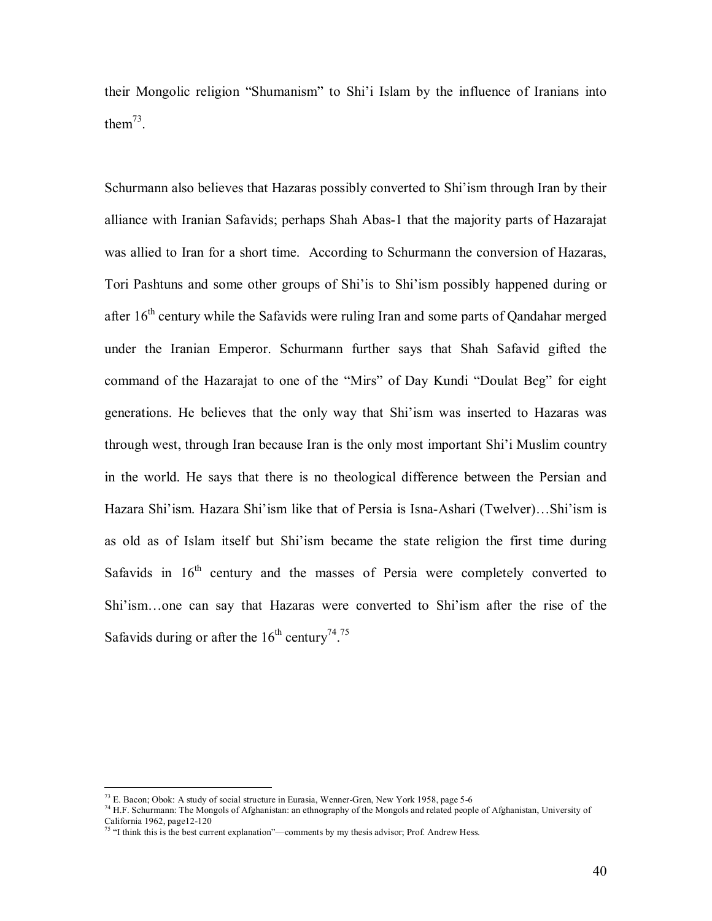their Mongolic religion "Shumanism" to Shi'i Islam by the influence of Iranians into them $^{73}$ 

Schurmann also believes that Hazaras possibly converted to Shi' ism through Iran by their alliance with Iranian Safavids; perhaps Shah Abas-1 that the majority parts of Hazarajat was allied to Iran for a short time. According to Schurmann the conversion of Hazaras, Tori Pashtuns and some other groups of Shi'is to Shi'ism possibly happened during or after  $16<sup>th</sup>$  century while the Safavids were ruling Iran and some parts of Qandahar merged under the Iranian Emperor. Schurmann further says that Shah Safavid gifted the command of the Hazarajat to one of the "Mirs" of Day Kundi "Doulat Beg" for eight generations. He believes that the only way that Shi'ism was inserted to Hazaras was through west, through Iran because Iran is the only most important Shi'i Muslim country in the world. He says that there is no theological difference between the Persian and Hazara Shi'ism. Hazara Shi'ism like that of Persia is Isna-Ashari (Twelver)...Shi'ism is as old as of Islam itself but Shi'ism became the state religion the first time during Safavids in  $16<sup>th</sup>$  century and the masses of Persia were completely converted to Shi'ism...one can say that Hazaras were converted to Shi'ism after the rise of the Safavids during or after the  $16^{th}$  century<sup>74 75</sup>

<sup>&</sup>lt;sup>73</sup> E. Bacon; Obok: A study of social structure in Eurasia, Wenner-Gren, New York 1958, page 5-6

 $^{74}$  H.F. Schurmann: The Mongols of Afghanistan: an ethnography of the Mongols and related people of Afghanistan, University of California 1962, page12-120

 $75$  "I think this is the best current explanation"—comments by my thesis advisor; Prof. Andrew Hess.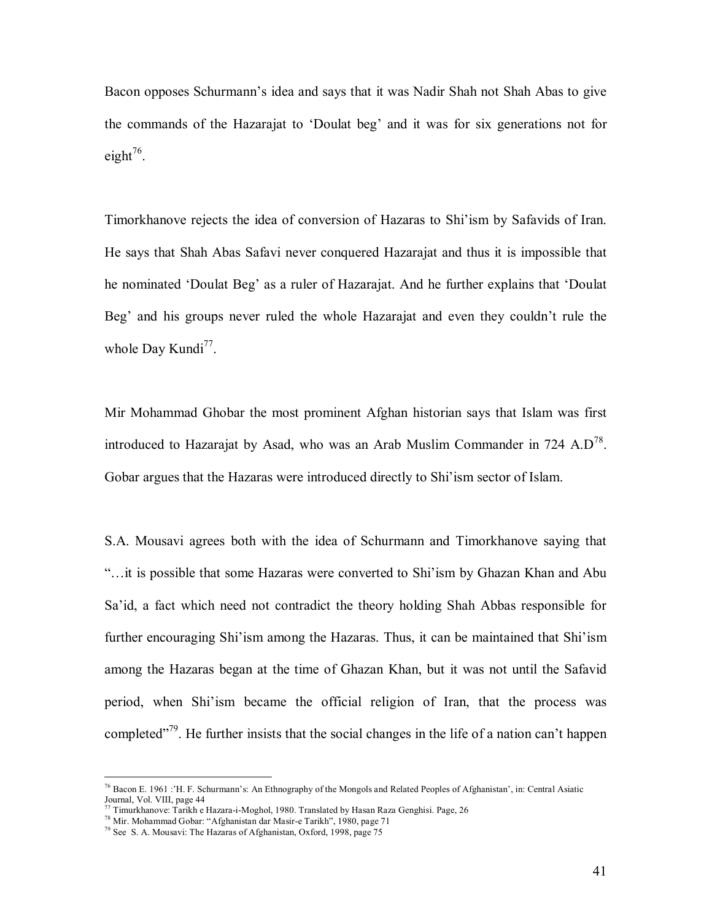Bacon opposes Schurmann's idea and says that it was Nadir Shah not Shah Abas to give the commands of the Hazarajat to 'Doulat beg' and it was for six generations not for eight<sup>76</sup>.

Timorkhanove rejects the idea of conversion of Hazaras to Shi'ism by Safavids of Iran. He says that Shah Abas Safavi never conquered Hazarajat and thus it is impossible that he nominated 'Doulat Beg' as a ruler of Hazarajat. And he further explains that 'Doulat Beg' and his groups never ruled the whole Hazarajat and even they couldn't rule the whole Day Kundi<sup>77</sup>.

Mir Mohammad Ghobar the most prominent Afghan historian says that Islam was first introduced to Hazarajat by Asad, who was an Arab Muslim Commander in 724  $A.D^{78}$ . Gobar argues that the Hazaras were introduced directly to Shi'ism sector of Islam.

S.A. Mousavi agrees both with the idea of Schurmann and Timorkhanove saying that **I**... it is possible that some Hazaras were converted to Shi'ism by Ghazan Khan and Abu Sa'id, a fact which need not contradict the theory holding Shah Abbas responsible for further encouraging Shi'ism among the Hazaras. Thus, it can be maintained that Shi'ism among the Hazaras began at the time of Ghazan Khan, but it was not until the Safavid period, when Shiíism became the official religion of Iran, that the process was completed"<sup>79</sup>. He further insists that the social changes in the life of a nation can't happen

 $^{76}$  Bacon E. 1961 : 'H. F. Schurmann's: An Ethnography of the Mongols and Related Peoples of Afghanistan', in: Central Asiatic Journal, Vol. VIII, page 44

<sup>77</sup> Timurkhanove: Tarikh e Hazara-i-Moghol, 1980. Translated by Hasan Raza Genghisi. Page, 26

<sup>&</sup>lt;sup>78</sup> Mir. Mohammad Gobar: "Afghanistan dar Masir-e Tarikh", 1980, page 71

<sup>79</sup> See S. A. Mousavi: The Hazaras of Afghanistan, Oxford, 1998, page 75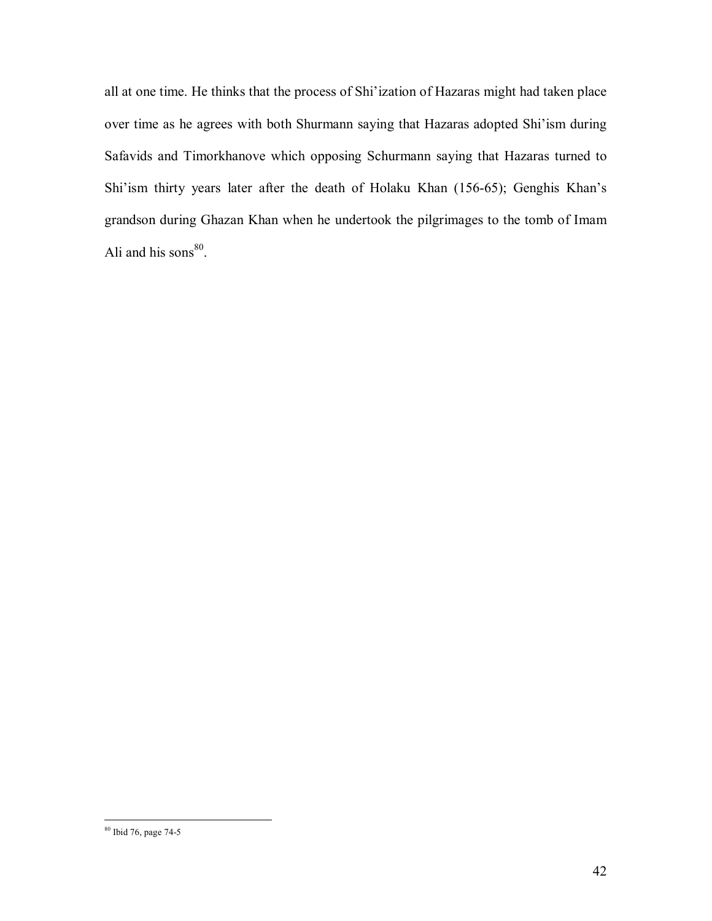all at one time. He thinks that the process of Shi'ization of Hazaras might had taken place over time as he agrees with both Shurmann saying that Hazaras adopted Shi'ism during Safavids and Timorkhanove which opposing Schurmann saying that Hazaras turned to Shi'ism thirty years later after the death of Holaku Khan (156-65); Genghis Khan's grandson during Ghazan Khan when he undertook the pilgrimages to the tomb of Imam Ali and his sons $^{80}$ .

<sup>80</sup> Ibid 76, page 74-5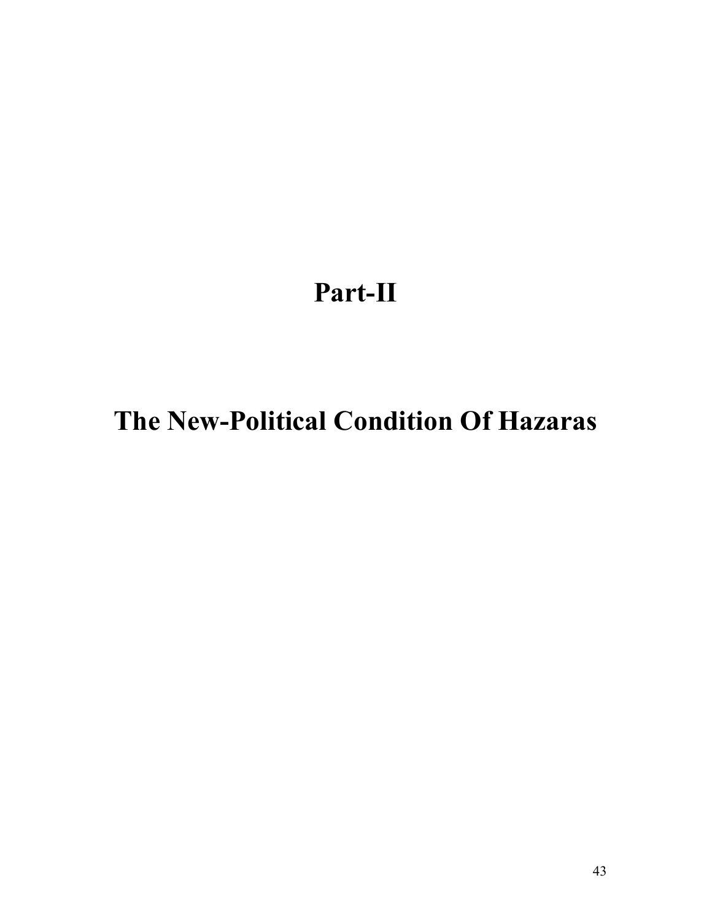# **Part-II**

# **The New-Political Condition Of Hazaras**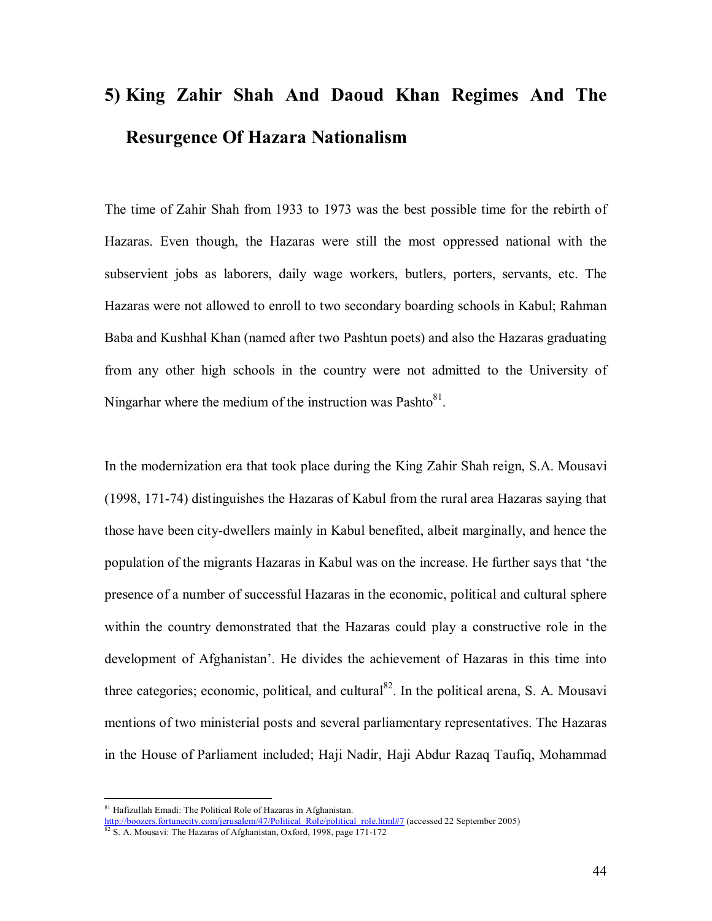# **5) King Zahir Shah And Daoud Khan Regimes And The Resurgence Of Hazara Nationalism**

The time of Zahir Shah from 1933 to 1973 was the best possible time for the rebirth of Hazaras. Even though, the Hazaras were still the most oppressed national with the subservient jobs as laborers, daily wage workers, butlers, porters, servants, etc. The Hazaras were not allowed to enroll to two secondary boarding schools in Kabul; Rahman Baba and Kushhal Khan (named after two Pashtun poets) and also the Hazaras graduating from any other high schools in the country were not admitted to the University of Ningarhar where the medium of the instruction was Pashto $81$ .

In the modernization era that took place during the King Zahir Shah reign, S.A. Mousavi (1998, 171-74) distinguishes the Hazaras of Kabul from the rural area Hazaras saying that those have been city-dwellers mainly in Kabul benefited, albeit marginally, and hence the population of the migrants Hazaras in Kabul was on the increase. He further says that 'the presence of a number of successful Hazaras in the economic, political and cultural sphere within the country demonstrated that the Hazaras could play a constructive role in the development of Afghanistan'. He divides the achievement of Hazaras in this time into three categories; economic, political, and cultural<sup>82</sup>. In the political arena, S. A. Mousavi mentions of two ministerial posts and several parliamentary representatives. The Hazaras in the House of Parliament included; Haji Nadir, Haji Abdur Razaq Taufiq, Mohammad

1

<sup>81</sup> Hafizullah Emadi: The Political Role of Hazaras in Afghanistan.

http://boozers.fortunecity.com/jerusalem/47/Political\_Role/political\_role.html#7 (accessed 22 September 2005)  $\frac{82}{82}$  S. A. Mousavi: The Hazaras of Afghanistan, Oxford, 1998, page 171-172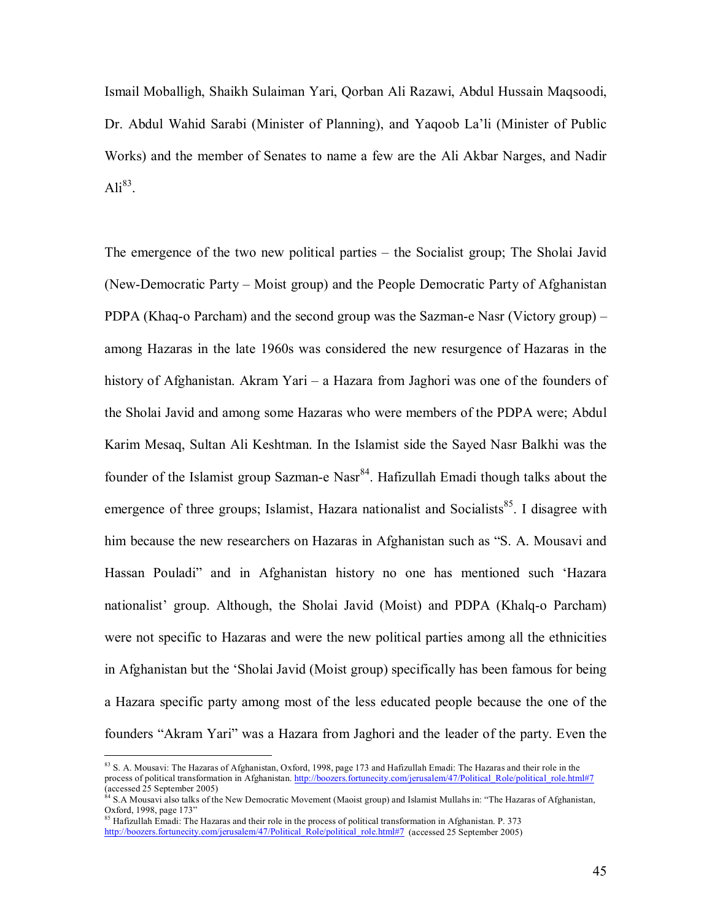Ismail Moballigh, Shaikh Sulaiman Yari, Qorban Ali Razawi, Abdul Hussain Maqsoodi, Dr. Abdul Wahid Sarabi (Minister of Planning), and Yaqoob La'li (Minister of Public Works) and the member of Senates to name a few are the Ali Akbar Narges, and Nadir  $\mathrm{Ali}^{83}$ 

The emergence of the two new political parties  $-$  the Socialist group; The Sholai Javid (New-Democratic Party  $-$  Moist group) and the People Democratic Party of Afghanistan PDPA (Khaq-o Parcham) and the second group was the Sazman-e Nasr (Victory group) – among Hazaras in the late 1960s was considered the new resurgence of Hazaras in the history of Afghanistan. Akram Yari – a Hazara from Jaghori was one of the founders of the Sholai Javid and among some Hazaras who were members of the PDPA were; Abdul Karim Mesaq, Sultan Ali Keshtman. In the Islamist side the Sayed Nasr Balkhi was the founder of the Islamist group Sazman-e Nasr<sup>84</sup>. Hafizullah Emadi though talks about the emergence of three groups; Islamist, Hazara nationalist and Socialists<sup>85</sup>. I disagree with him because the new researchers on Hazaras in Afghanistan such as "S. A. Mousavi and Hassan Pouladi" and in Afghanistan history no one has mentioned such 'Hazara nationalist' group. Although, the Sholai Javid (Moist) and PDPA (Khalq-o Parcham) were not specific to Hazaras and were the new political parties among all the ethnicities in Afghanistan but the ëSholai Javid (Moist group) specifically has been famous for being a Hazara specific party among most of the less educated people because the one of the founders "Akram Yari" was a Hazara from Jaghori and the leader of the party. Even the

 $83$  S. A. Mousavi: The Hazaras of Afghanistan, Oxford, 1998, page 173 and Hafizullah Emadi: The Hazaras and their role in the process of political transformation in Afghanistan. http://boozers.fortunecity.com/jerusalem/47/Political\_Role/political\_role.html#7 (accessed 25 September 2005)

<sup>&</sup>lt;sup>84</sup> S.A Mousavi also talks of the New Democratic Movement (Maoist group) and Islamist Mullahs in: "The Hazaras of Afghanistan, Oxford, 1998, page 173"

<sup>85</sup> Hafizullah Emadi: The Hazaras and their role in the process of political transformation in Afghanistan. P. 373 http://boozers.fortunecity.com/jerusalem/47/Political\_Role/political\_role.html#7 (accessed 25 September 2005)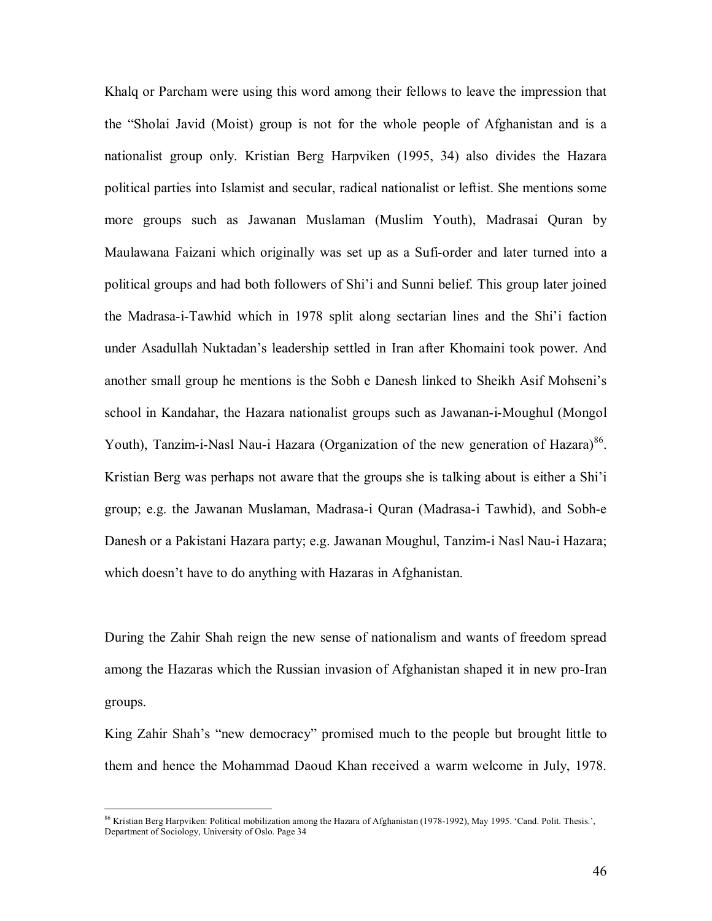Khalq or Parcham were using this word among their fellows to leave the impression that the "Sholai Javid (Moist) group is not for the whole people of Afghanistan and is a nationalist group only. Kristian Berg Harpviken (1995, 34) also divides the Hazara political parties into Islamist and secular, radical nationalist or leftist. She mentions some more groups such as Jawanan Muslaman (Muslim Youth), Madrasai Quran by Maulawana Faizani which originally was set up as a Sufi-order and later turned into a political groups and had both followers of Shi'i and Sunni belief. This group later joined the Madrasa-i-Tawhid which in 1978 split along sectarian lines and the Shiíi faction under Asadullah Nuktadanís leadership settled in Iran after Khomaini took power. And another small group he mentions is the Sobh e Danesh linked to Sheikh Asif Mohseni's school in Kandahar, the Hazara nationalist groups such as Jawanan-i-Moughul (Mongol Youth), Tanzim-i-Nasl Nau-i Hazara (Organization of the new generation of Hazara)<sup>86</sup>. Kristian Berg was perhaps not aware that the groups she is talking about is either a Shi'i group; e.g. the Jawanan Muslaman, Madrasa-i Quran (Madrasa-i Tawhid), and Sobh-e Danesh or a Pakistani Hazara party; e.g. Jawanan Moughul, Tanzim-i Nasl Nau-i Hazara; which doesn't have to do anything with Hazaras in Afghanistan.

During the Zahir Shah reign the new sense of nationalism and wants of freedom spread among the Hazaras which the Russian invasion of Afghanistan shaped it in new pro-Iran groups.

King Zahir Shah's "new democracy" promised much to the people but brought little to them and hence the Mohammad Daoud Khan received a warm welcome in July, 1978.

<u>.</u>

<sup>&</sup>lt;sup>86</sup> Kristian Berg Harpviken: Political mobilization among the Hazara of Afghanistan (1978-1992), May 1995. 'Cand. Polit. Thesis.', Department of Sociology, University of Oslo. Page 34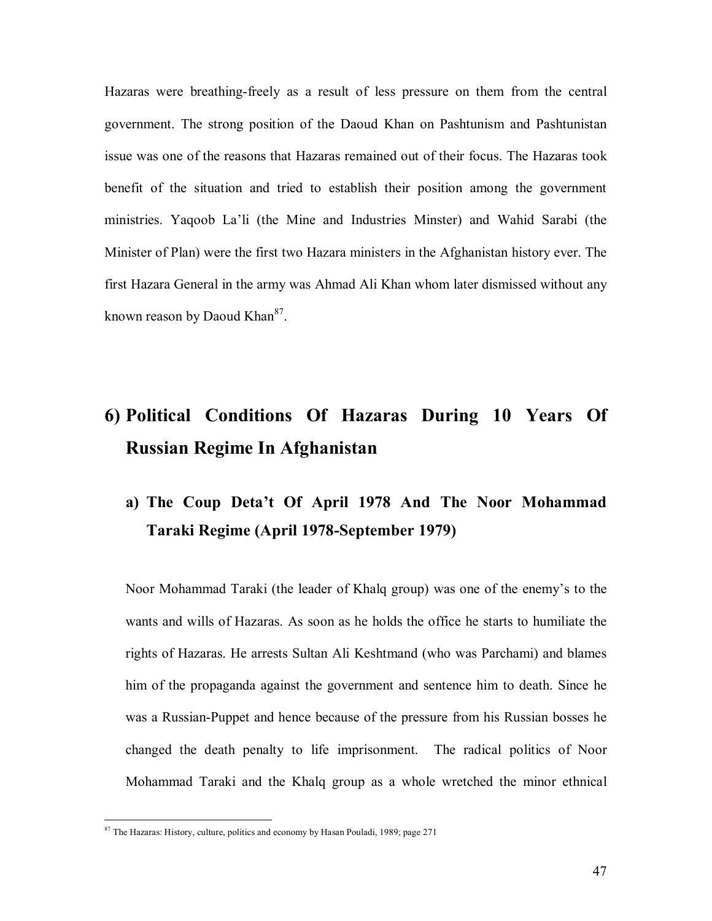Hazaras were breathing-freely as a result of less pressure on them from the central government. The strong position of the Daoud Khan on Pashtunism and Pashtunistan issue was one of the reasons that Hazaras remained out of their focus. The Hazaras took benefit of the situation and tried to establish their position among the government ministries. Yaqoob Laíli (the Mine and Industries Minster) and Wahid Sarabi (the Minister of Plan) were the first two Hazara ministers in the Afghanistan history ever. The first Hazara General in the army was Ahmad Ali Khan whom later dismissed without any known reason by Daoud Khan<sup>87</sup>.

## **6) Political Conditions Of Hazaras During 10 Years Of Russian Regime In Afghanistan**

## **a) The Coup Detaít Of April 1978 And The Noor Mohammad Taraki Regime (April 1978-September 1979)**

Noor Mohammad Taraki (the leader of Khalq group) was one of the enemy's to the wants and wills of Hazaras. As soon as he holds the office he starts to humiliate the rights of Hazaras. He arrests Sultan Ali Keshtmand (who was Parchami) and blames him of the propaganda against the government and sentence him to death. Since he was a Russian-Puppet and hence because of the pressure from his Russian bosses he changed the death penalty to life imprisonment. The radical politics of Noor Mohammad Taraki and the Khalq group as a whole wretched the minor ethnical

 $87$  The Hazaras: History, culture, politics and economy by Hasan Pouladi, 1989; page 271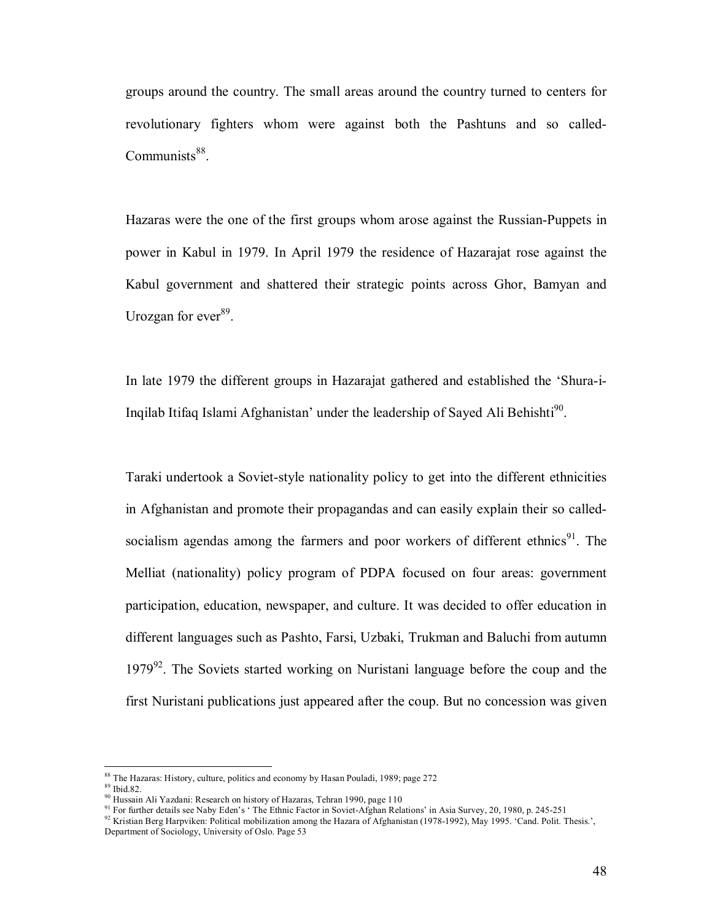groups around the country. The small areas around the country turned to centers for revolutionary fighters whom were against both the Pashtuns and so called-Communists $88$ .

Hazaras were the one of the first groups whom arose against the Russian-Puppets in power in Kabul in 1979. In April 1979 the residence of Hazarajat rose against the Kabul government and shattered their strategic points across Ghor, Bamyan and Urozgan for ever  $89$ .

In late 1979 the different groups in Hazarajat gathered and established the ëShura-i-Inqilab Itifaq Islami Afghanistan' under the leadership of Sayed Ali Behishti<sup>90</sup>.

Taraki undertook a Soviet-style nationality policy to get into the different ethnicities in Afghanistan and promote their propagandas and can easily explain their so calledsocialism agendas among the farmers and poor workers of different ethnics<sup>91</sup>. The Melliat (nationality) policy program of PDPA focused on four areas: government participation, education, newspaper, and culture. It was decided to offer education in different languages such as Pashto, Farsi, Uzbaki, Trukman and Baluchi from autumn 1979<sup>92</sup>. The Soviets started working on Nuristani language before the coup and the first Nuristani publications just appeared after the coup. But no concession was given

<sup>&</sup>lt;sup>88</sup> The Hazaras: History, culture, politics and economy by Hasan Pouladi, 1989; page 272

<sup>89</sup> Ibid.82.

<sup>90</sup> Hussain Ali Yazdani: Research on history of Hazaras, Tehran 1990, page 110

<sup>91</sup> For further details see Naby Eden's 'The Ethnic Factor in Soviet-Afghan Relations' in Asia Survey, 20, 1980, p. 245-251

<sup>&</sup>lt;sup>92</sup> Kristian Berg Harpviken: Political mobilization among the Hazara of Afghanistan (1978-1992), May 1995. 'Cand. Polit. Thesis.', Department of Sociology, University of Oslo. Page 53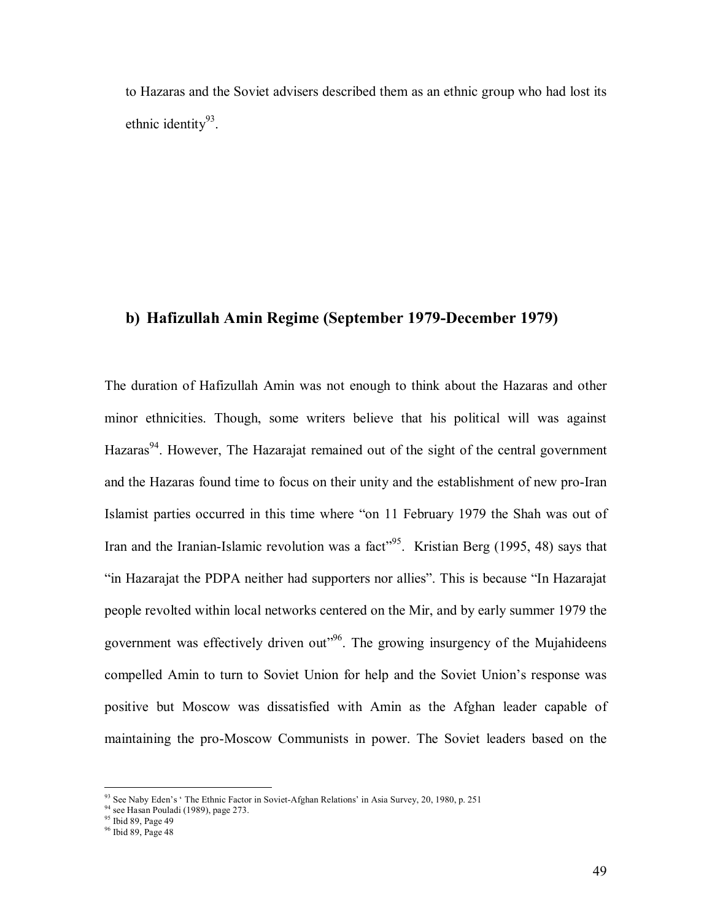to Hazaras and the Soviet advisers described them as an ethnic group who had lost its ethnic identity $93$ .

### **b) Hafizullah Amin Regime (September 1979-December 1979)**

The duration of Hafizullah Amin was not enough to think about the Hazaras and other minor ethnicities. Though, some writers believe that his political will was against Hazaras<sup>94</sup>. However, The Hazarajat remained out of the sight of the central government and the Hazaras found time to focus on their unity and the establishment of new pro-Iran Islamist parties occurred in this time where "on 11 February 1979 the Shah was out of Iran and the Iranian-Islamic revolution was a fact<sup> $95$ </sup>. Kristian Berg (1995, 48) says that "in Hazarajat the PDPA neither had supporters nor allies". This is because "In Hazarajat people revolted within local networks centered on the Mir, and by early summer 1979 the government was effectively driven out<sup> $,96$ </sup>. The growing insurgency of the Mujahideens compelled Amin to turn to Soviet Union for help and the Soviet Union's response was positive but Moscow was dissatisfied with Amin as the Afghan leader capable of maintaining the pro-Moscow Communists in power. The Soviet leaders based on the

<u>.</u>

<sup>93</sup> See Naby Eden's ' The Ethnic Factor in Soviet-Afghan Relations' in Asia Survey, 20, 1980, p. 251

 $94$  see Hasan Pouladi (1989), page 273.

<sup>&</sup>lt;sup>95</sup> Ibid 89, Page 49

<sup>96</sup> Ibid 89, Page 48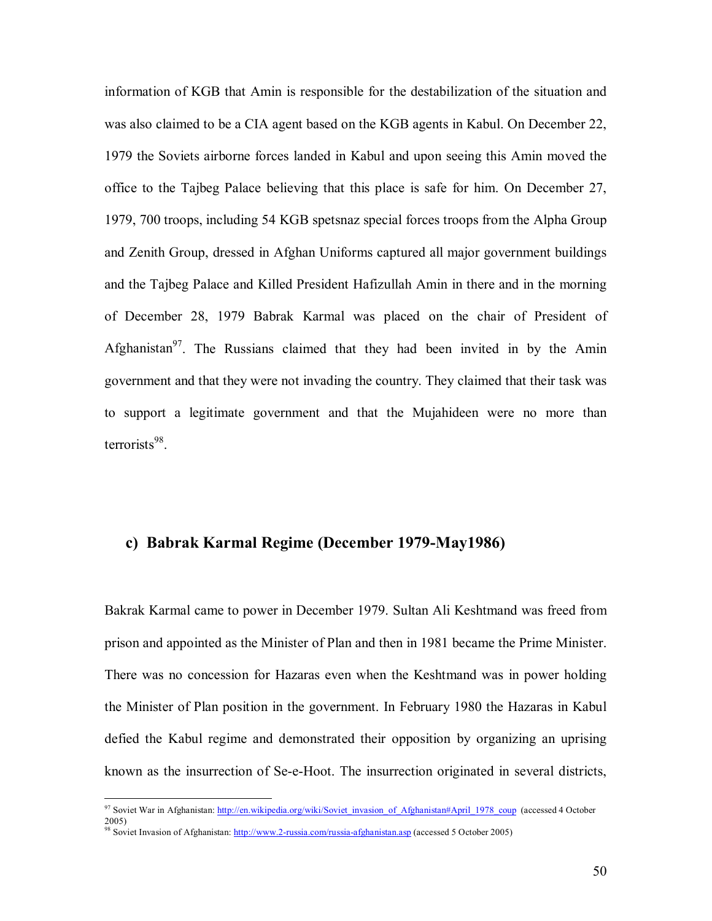information of KGB that Amin is responsible for the destabilization of the situation and was also claimed to be a CIA agent based on the KGB agents in Kabul. On December 22, 1979 the Soviets airborne forces landed in Kabul and upon seeing this Amin moved the office to the Tajbeg Palace believing that this place is safe for him. On December 27, 1979, 700 troops, including 54 KGB spetsnaz special forces troops from the Alpha Group and Zenith Group, dressed in Afghan Uniforms captured all major government buildings and the Tajbeg Palace and Killed President Hafizullah Amin in there and in the morning of December 28, 1979 Babrak Karmal was placed on the chair of President of Afghanistan<sup>97</sup>. The Russians claimed that they had been invited in by the Amin government and that they were not invading the country. They claimed that their task was to support a legitimate government and that the Mujahideen were no more than terrorists $98$ .

#### **c) Babrak Karmal Regime (December 1979-May1986)**

Bakrak Karmal came to power in December 1979. Sultan Ali Keshtmand was freed from prison and appointed as the Minister of Plan and then in 1981 became the Prime Minister. There was no concession for Hazaras even when the Keshtmand was in power holding the Minister of Plan position in the government. In February 1980 the Hazaras in Kabul defied the Kabul regime and demonstrated their opposition by organizing an uprising known as the insurrection of Se-e-Hoot. The insurrection originated in several districts,

<sup>&</sup>lt;sup>97</sup> Soviet War in Afghanistan: http://en.wikipedia.org/wiki/Soviet\_invasion\_of\_Afghanistan#April\_1978\_coup (accessed 4 October 2005)

<sup>&</sup>lt;sup>98</sup> Soviet Invasion of Afghanistan: http://www.2-russia.com/russia-afghanistan.asp (accessed 5 October 2005)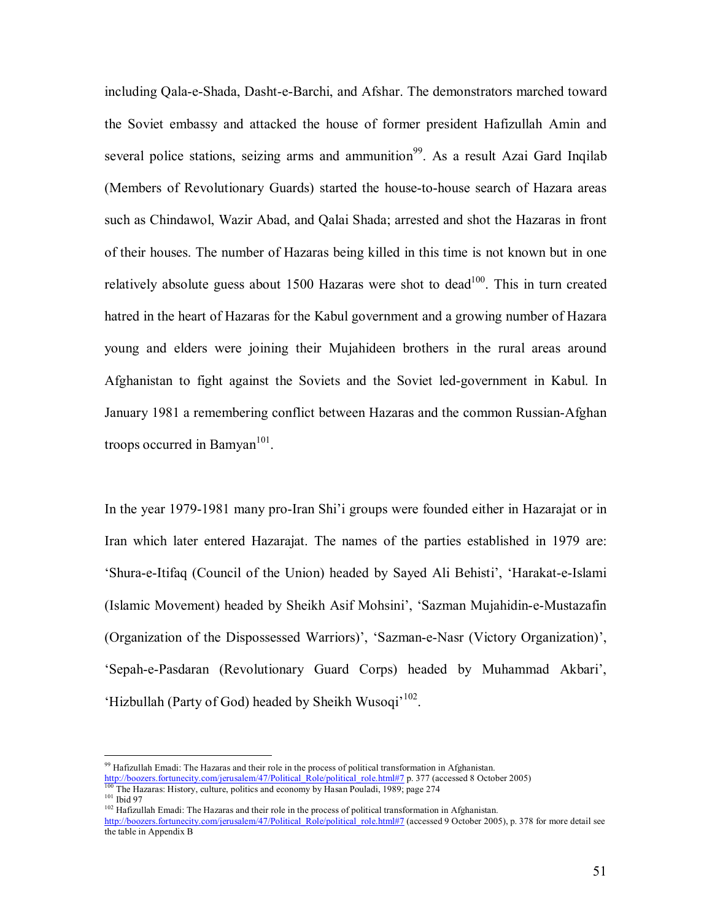including Qala-e-Shada, Dasht-e-Barchi, and Afshar. The demonstrators marched toward the Soviet embassy and attacked the house of former president Hafizullah Amin and several police stations, seizing arms and ammunition<sup>99</sup>. As a result Azai Gard Inqilab (Members of Revolutionary Guards) started the house-to-house search of Hazara areas such as Chindawol, Wazir Abad, and Qalai Shada; arrested and shot the Hazaras in front of their houses. The number of Hazaras being killed in this time is not known but in one relatively absolute guess about 1500 Hazaras were shot to dead<sup>100</sup>. This in turn created hatred in the heart of Hazaras for the Kabul government and a growing number of Hazara young and elders were joining their Mujahideen brothers in the rural areas around Afghanistan to fight against the Soviets and the Soviet led-government in Kabul. In January 1981 a remembering conflict between Hazaras and the common Russian-Afghan troops occurred in Bamyan $101$ .

In the year 1979-1981 many pro-Iran Shi'i groups were founded either in Hazarajat or in Iran which later entered Hazarajat. The names of the parties established in 1979 are: ëShura-e-Itifaq (Council of the Union) headed by Sayed Ali Behistií, ëHarakat-e-Islami (Islamic Movement) headed by Sheikh Asif Mohsini', 'Sazman Mujahidin-e-Mustazafin (Organization of the Dispossessed Warriors)', 'Sazman-e-Nasr (Victory Organization)', 'Sepah-e-Pasdaran (Revolutionary Guard Corps) headed by Muhammad Akbari', 'Hizbullah (Party of God) headed by Sheikh Wusoqi'<sup>102</sup>.

<sup>&</sup>lt;sup>99</sup> Hafizullah Emadi: The Hazaras and their role in the process of political transformation in Afghanistan.

http://boozers.fortunecity.com/jerusalem/47/Political\_Role/political\_role.html#7 p. 377 (accessed 8 October 2005)<br><sup>100</sup> The Hazaras: History, culture, politics and economy by Hasan Pouladi, 1989; page 274<br><sup>101</sup> Ibid 97<br><sup>1</sup>

http://boozers.fortunecity.com/jerusalem/47/Political\_Role/political\_role.html#7 (accessed 9 October 2005), p. 378 for more detail see the table in Appendix B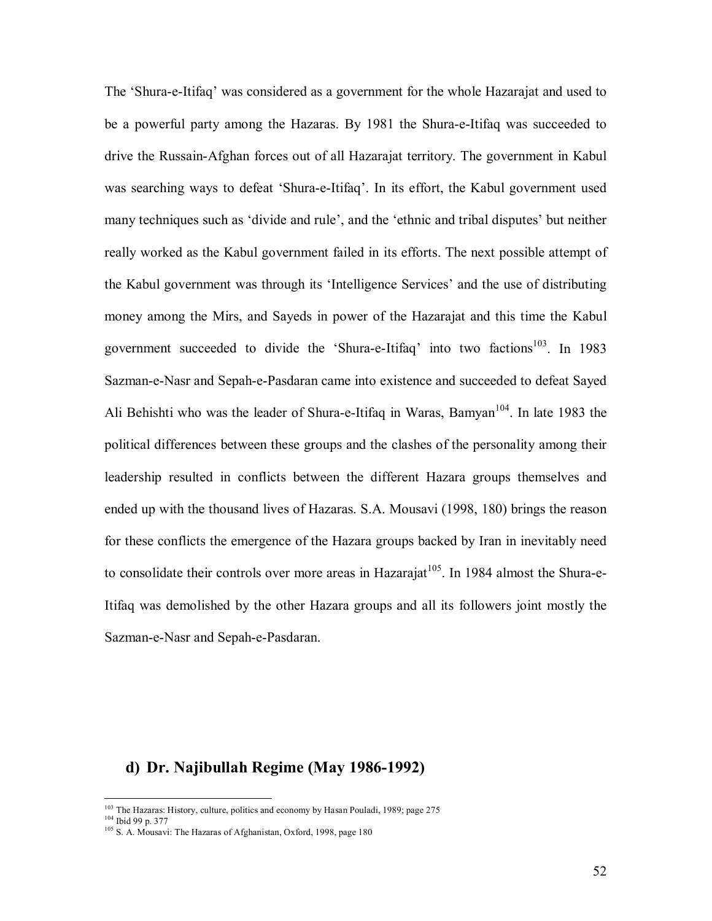The ëShura-e-Itifaqí was considered as a government for the whole Hazarajat and used to be a powerful party among the Hazaras. By 1981 the Shura-e-Itifaq was succeeded to drive the Russain-Afghan forces out of all Hazarajat territory. The government in Kabul was searching ways to defeat 'Shura-e-Itifaq'. In its effort, the Kabul government used many techniques such as 'divide and rule', and the 'ethnic and tribal disputes' but neither really worked as the Kabul government failed in its efforts. The next possible attempt of the Kabul government was through its 'Intelligence Services' and the use of distributing money among the Mirs, and Sayeds in power of the Hazarajat and this time the Kabul government succeeded to divide the 'Shura-e-Itifaq' into two factions<sup>103</sup>. In 1983 Sazman-e-Nasr and Sepah-e-Pasdaran came into existence and succeeded to defeat Sayed Ali Behishti who was the leader of Shura-e-Itifaq in Waras, Bamyan<sup>104</sup>. In late 1983 the political differences between these groups and the clashes of the personality among their leadership resulted in conflicts between the different Hazara groups themselves and ended up with the thousand lives of Hazaras. S.A. Mousavi (1998, 180) brings the reason for these conflicts the emergence of the Hazara groups backed by Iran in inevitably need to consolidate their controls over more areas in Hazarajat<sup>105</sup>. In 1984 almost the Shura-e-Itifaq was demolished by the other Hazara groups and all its followers joint mostly the Sazman-e-Nasr and Sepah-e-Pasdaran.

#### **d) Dr. Najibullah Regime (May 1986-1992)**

<sup>&</sup>lt;sup>103</sup> The Hazaras: History, culture, politics and economy by Hasan Pouladi, 1989; page 275 <sup>104</sup> Ibid 99 p. 377<br><sup>104</sup> Ibid 99 p. 377<br><sup>105</sup> S. A. Mousavi: The Hazaras of Afghanistan, Oxford, 1998, page 180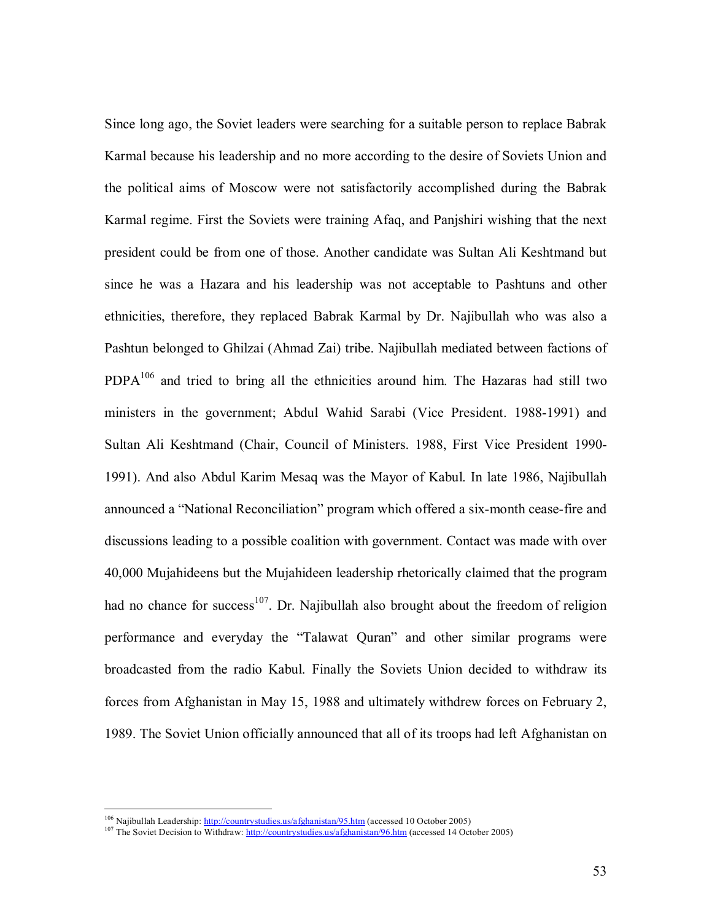Since long ago, the Soviet leaders were searching for a suitable person to replace Babrak Karmal because his leadership and no more according to the desire of Soviets Union and the political aims of Moscow were not satisfactorily accomplished during the Babrak Karmal regime. First the Soviets were training Afaq, and Panjshiri wishing that the next president could be from one of those. Another candidate was Sultan Ali Keshtmand but since he was a Hazara and his leadership was not acceptable to Pashtuns and other ethnicities, therefore, they replaced Babrak Karmal by Dr. Najibullah who was also a Pashtun belonged to Ghilzai (Ahmad Zai) tribe. Najibullah mediated between factions of PDPA106 and tried to bring all the ethnicities around him. The Hazaras had still two ministers in the government; Abdul Wahid Sarabi (Vice President. 1988-1991) and Sultan Ali Keshtmand (Chair, Council of Ministers. 1988, First Vice President 1990- 1991). And also Abdul Karim Mesaq was the Mayor of Kabul. In late 1986, Najibullah announced a "National Reconciliation" program which offered a six-month cease-fire and discussions leading to a possible coalition with government. Contact was made with over 40,000 Mujahideens but the Mujahideen leadership rhetorically claimed that the program had no chance for success<sup>107</sup>. Dr. Najibullah also brought about the freedom of religion performance and everyday the "Talawat Quran" and other similar programs were broadcasted from the radio Kabul. Finally the Soviets Union decided to withdraw its forces from Afghanistan in May 15, 1988 and ultimately withdrew forces on February 2, 1989. The Soviet Union officially announced that all of its troops had left Afghanistan on

<sup>&</sup>lt;sup>106</sup> Najibullah Leadership: http://countrystudies.us/afghanistan/95.htm (accessed 10 October 2005)

<sup>107</sup> The Soviet Decision to Withdraw: http://countrystudies.us/afghanistan/96.htm (accessed 14 October 2005)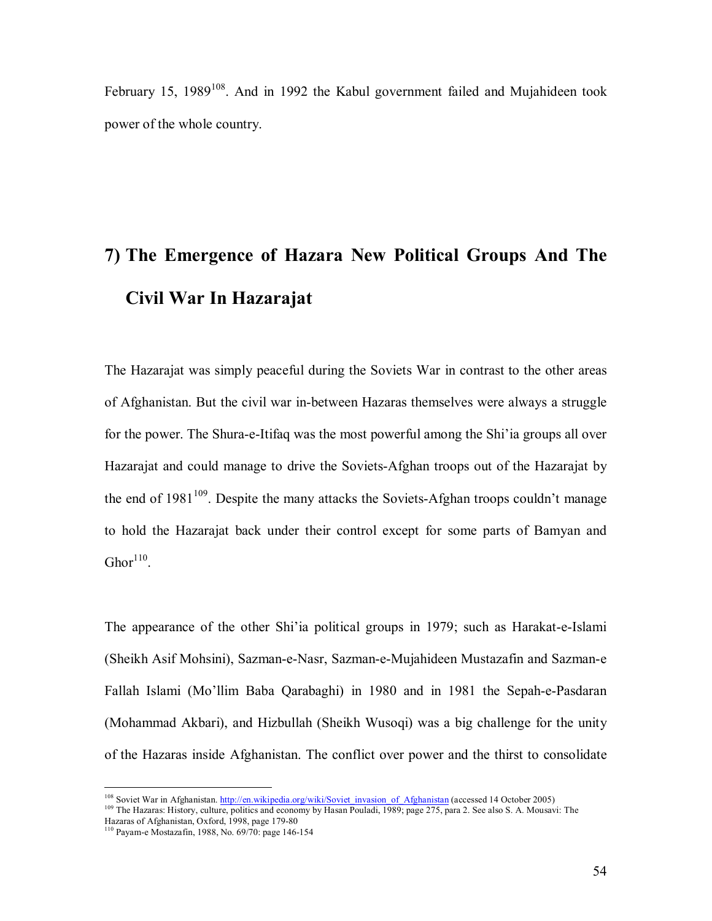February 15, 1989<sup>108</sup>. And in 1992 the Kabul government failed and Mujahideen took power of the whole country.

# **7) The Emergence of Hazara New Political Groups And The Civil War In Hazarajat**

The Hazarajat was simply peaceful during the Soviets War in contrast to the other areas of Afghanistan. But the civil war in-between Hazaras themselves were always a struggle for the power. The Shura-e-Itifaq was the most powerful among the Shi'ia groups all over Hazarajat and could manage to drive the Soviets-Afghan troops out of the Hazarajat by the end of  $1981^{109}$ . Despite the many attacks the Soviets-Afghan troops couldn't manage to hold the Hazarajat back under their control except for some parts of Bamyan and Ghor $^{110}$ .

The appearance of the other Shi'ia political groups in 1979; such as Harakat-e-Islami (Sheikh Asif Mohsini), Sazman-e-Nasr, Sazman-e-Mujahideen Mustazafin and Sazman-e Fallah Islami (Mo'llim Baba Qarabaghi) in 1980 and in 1981 the Sepah-e-Pasdaran (Mohammad Akbari), and Hizbullah (Sheikh Wusoqi) was a big challenge for the unity of the Hazaras inside Afghanistan. The conflict over power and the thirst to consolidate

<sup>&</sup>lt;sup>108</sup> Soviet War in Afghanistan. http://en.wikipedia.org/wiki/Soviet\_invasion\_of\_Afghanistan (accessed 14 October 2005)

<sup>&</sup>lt;sup>109</sup> The Hazaras: History, culture, politics and economy by Hasan Pouladi, 1989; page 275, para 2. See also S. A. Mousavi: The Hazaras of Afghanistan, Oxford, 1998, page 179-80

<sup>110</sup> Payam-e Mostazafin, 1988, No. 69/70: page 146-154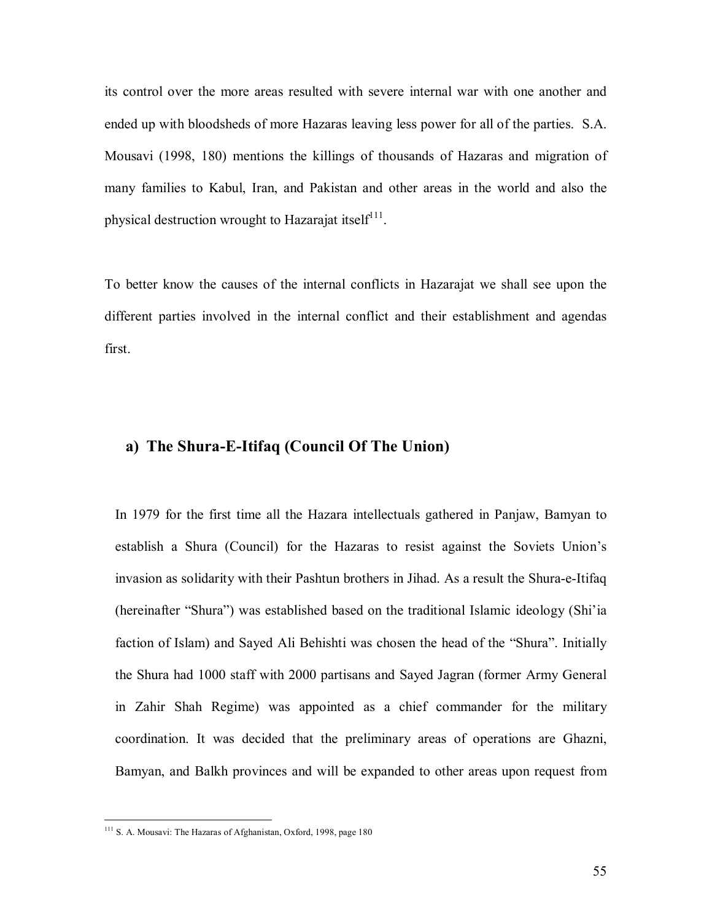its control over the more areas resulted with severe internal war with one another and ended up with bloodsheds of more Hazaras leaving less power for all of the parties. S.A. Mousavi (1998, 180) mentions the killings of thousands of Hazaras and migration of many families to Kabul, Iran, and Pakistan and other areas in the world and also the physical destruction wrought to Hazarajat itself<sup>111</sup>.

To better know the causes of the internal conflicts in Hazarajat we shall see upon the different parties involved in the internal conflict and their establishment and agendas first.

#### **a) The Shura-E-Itifaq (Council Of The Union)**

In 1979 for the first time all the Hazara intellectuals gathered in Panjaw, Bamyan to establish a Shura (Council) for the Hazaras to resist against the Soviets Union's invasion as solidarity with their Pashtun brothers in Jihad. As a result the Shura-e-Itifaq (hereinafter "Shura") was established based on the traditional Islamic ideology (Shi'ia faction of Islam) and Sayed Ali Behishti was chosen the head of the "Shura". Initially the Shura had 1000 staff with 2000 partisans and Sayed Jagran (former Army General in Zahir Shah Regime) was appointed as a chief commander for the military coordination. It was decided that the preliminary areas of operations are Ghazni, Bamyan, and Balkh provinces and will be expanded to other areas upon request from

<sup>&</sup>lt;sup>111</sup> S. A. Mousavi: The Hazaras of Afghanistan, Oxford, 1998, page 180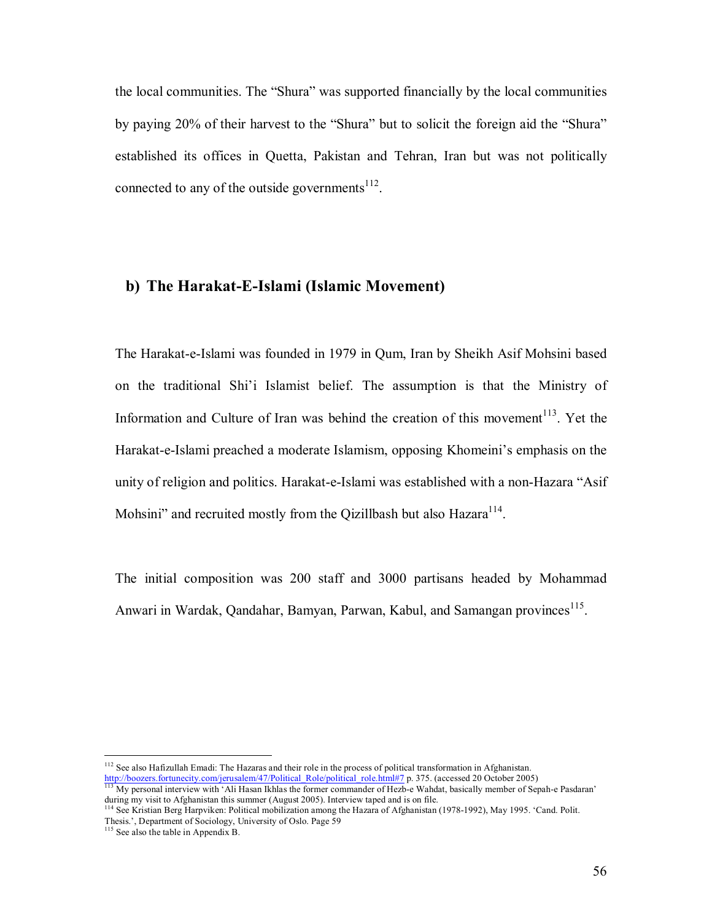the local communities. The "Shura" was supported financially by the local communities by paying 20% of their harvest to the "Shura" but to solicit the foreign aid the "Shura" established its offices in Quetta, Pakistan and Tehran, Iran but was not politically connected to any of the outside governments<sup>112</sup>.

#### **b) The Harakat-E-Islami (Islamic Movement)**

The Harakat-e-Islami was founded in 1979 in Qum, Iran by Sheikh Asif Mohsini based on the traditional Shiíi Islamist belief. The assumption is that the Ministry of Information and Culture of Iran was behind the creation of this movement $113$ . Yet the Harakat-e-Islami preached a moderate Islamism, opposing Khomeiniís emphasis on the unity of religion and politics. Harakat-e-Islami was established with a non-Hazara "Asif Mohsini" and recruited mostly from the Qizillbash but also Hazara<sup>114</sup>.

The initial composition was 200 staff and 3000 partisans headed by Mohammad Anwari in Wardak, Qandahar, Bamyan, Parwan, Kabul, and Samangan provinces<sup>115</sup>.

<sup>112</sup> See also Hafizullah Emadi: The Hazaras and their role in the process of political transformation in Afghanistan. http://boozers.fortunecity.com/jerusalem/47/Political Role/political role.html#7 p. 375. (accessed 20 October 2005)<br><sup>113</sup> My personal interview with 'Ali Hasan Ikhlas the former commander of Hezb-e Wahdat, basically member

<u>.</u>

during my visit to Afghanistan this summer (August 2005). Interview taped and is on file.<br><sup>114</sup> See Kristian Berg Harpviken: Political mobilization among the Hazara of Afghanistan (1978-1992), May 1995. 'Cand. Polit.

Thesis.', Department of Sociology, University of Oslo. Page 59

<sup>&</sup>lt;sup>115</sup> See also the table in Appendix B.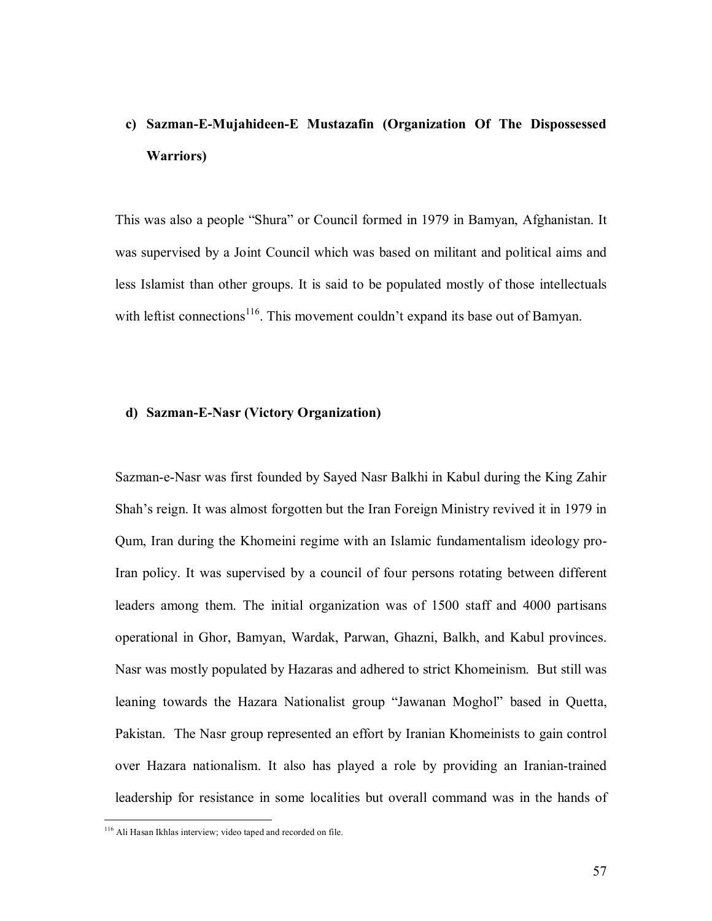## **c) Sazman-E-Mujahideen-E Mustazafin (Organization Of The Dispossessed Warriors)**

This was also a people "Shura" or Council formed in 1979 in Bamyan, Afghanistan. It was supervised by a Joint Council which was based on militant and political aims and less Islamist than other groups. It is said to be populated mostly of those intellectuals with leftist connections<sup>116</sup>. This movement couldn't expand its base out of Bamyan.

#### **d) Sazman-E-Nasr (Victory Organization)**

Sazman-e-Nasr was first founded by Sayed Nasr Balkhi in Kabul during the King Zahir Shah's reign. It was almost forgotten but the Iran Foreign Ministry revived it in 1979 in Qum, Iran during the Khomeini regime with an Islamic fundamentalism ideology pro-Iran policy. It was supervised by a council of four persons rotating between different leaders among them. The initial organization was of 1500 staff and 4000 partisans operational in Ghor, Bamyan, Wardak, Parwan, Ghazni, Balkh, and Kabul provinces. Nasr was mostly populated by Hazaras and adhered to strict Khomeinism. But still was leaning towards the Hazara Nationalist group "Jawanan Moghol" based in Quetta, Pakistan. The Nasr group represented an effort by Iranian Khomeinists to gain control over Hazara nationalism. It also has played a role by providing an Iranian-trained leadership for resistance in some localities but overall command was in the hands of

1

<sup>&</sup>lt;sup>116</sup> Ali Hasan Ikhlas interview; video taped and recorded on file.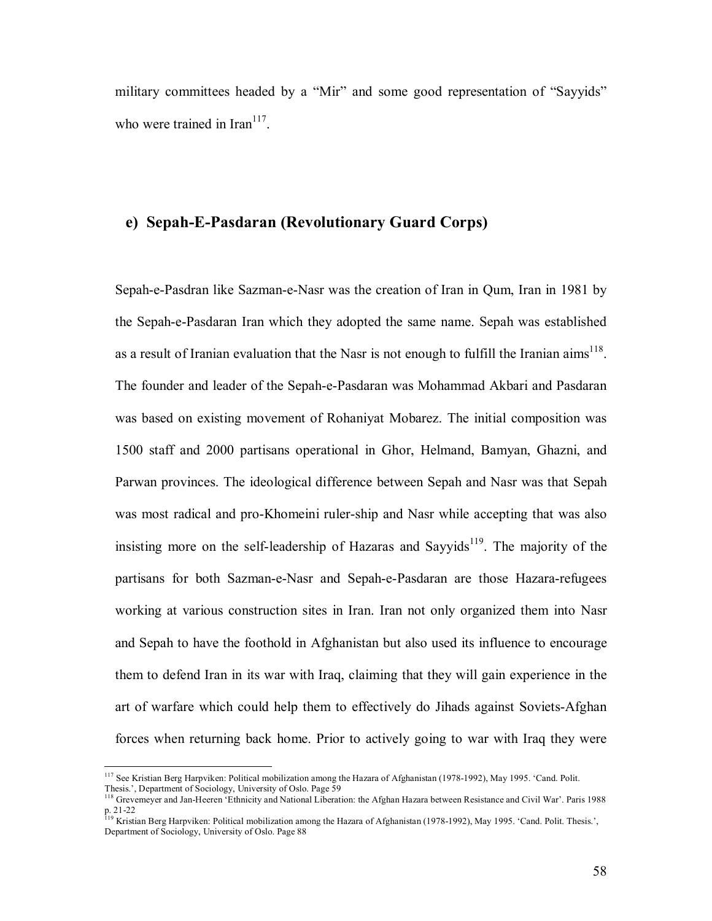military committees headed by a "Mir" and some good representation of "Sayyids" who were trained in Iran $117$ .

#### **e) Sepah-E-Pasdaran (Revolutionary Guard Corps)**

Sepah-e-Pasdran like Sazman-e-Nasr was the creation of Iran in Qum, Iran in 1981 by the Sepah-e-Pasdaran Iran which they adopted the same name. Sepah was established as a result of Iranian evaluation that the Nasr is not enough to fulfill the Iranian aims<sup>118</sup>. The founder and leader of the Sepah-e-Pasdaran was Mohammad Akbari and Pasdaran was based on existing movement of Rohaniyat Mobarez. The initial composition was 1500 staff and 2000 partisans operational in Ghor, Helmand, Bamyan, Ghazni, and Parwan provinces. The ideological difference between Sepah and Nasr was that Sepah was most radical and pro-Khomeini ruler-ship and Nasr while accepting that was also insisting more on the self-leadership of Hazaras and Sayyids<sup>119</sup>. The majority of the partisans for both Sazman-e-Nasr and Sepah-e-Pasdaran are those Hazara-refugees working at various construction sites in Iran. Iran not only organized them into Nasr and Sepah to have the foothold in Afghanistan but also used its influence to encourage them to defend Iran in its war with Iraq, claiming that they will gain experience in the art of warfare which could help them to effectively do Jihads against Soviets-Afghan forces when returning back home. Prior to actively going to war with Iraq they were

<sup>&</sup>lt;sup>117</sup> See Kristian Berg Harpviken: Political mobilization among the Hazara of Afghanistan (1978-1992), May 1995. 'Cand. Polit. Thesis.<sup>'</sup>, Department of Sociology, University of Oslo. Page 59

<sup>118</sup> Grevemeyer and Jan-Heeren 'Ethnicity and National Liberation: the Afghan Hazara between Resistance and Civil War'. Paris 1988 p. 21-22<br><sup>119</sup> Kristian Berg Harpviken: Political mobilization among the Hazara of Afghanistan (1978-1992), May 1995. 'Cand. Polit. Thesis.',

Department of Sociology, University of Oslo. Page 88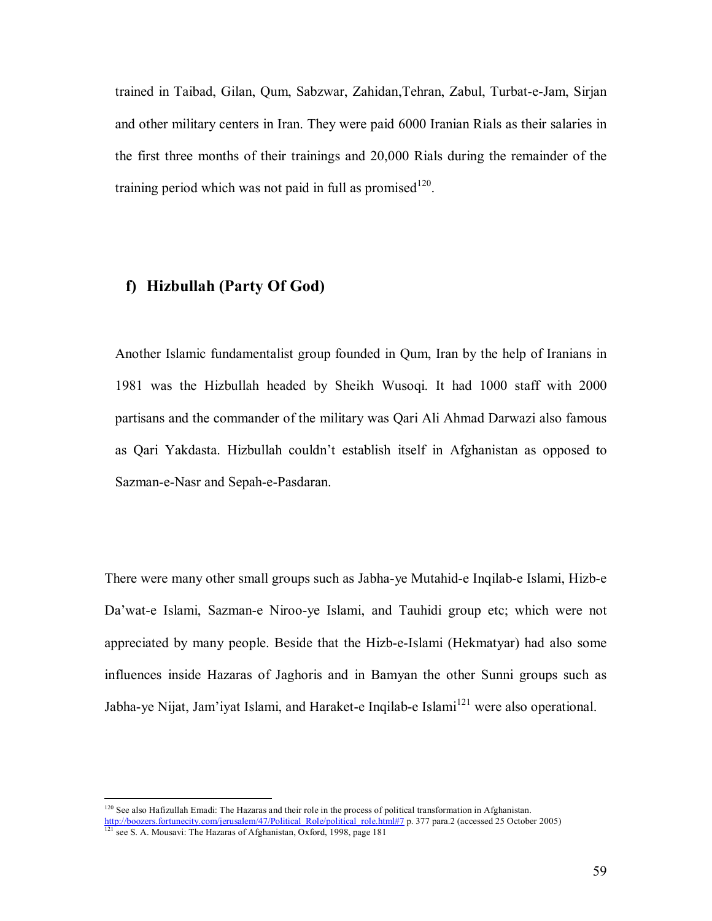trained in Taibad, Gilan, Qum, Sabzwar, Zahidan,Tehran, Zabul, Turbat-e-Jam, Sirjan and other military centers in Iran. They were paid 6000 Iranian Rials as their salaries in the first three months of their trainings and 20,000 Rials during the remainder of the training period which was not paid in full as promised<sup>120</sup>.

### **f) Hizbullah (Party Of God)**

Another Islamic fundamentalist group founded in Qum, Iran by the help of Iranians in 1981 was the Hizbullah headed by Sheikh Wusoqi. It had 1000 staff with 2000 partisans and the commander of the military was Qari Ali Ahmad Darwazi also famous as Qari Yakdasta. Hizbullah couldn't establish itself in Afghanistan as opposed to Sazman-e-Nasr and Sepah-e-Pasdaran.

There were many other small groups such as Jabha-ye Mutahid-e Inqilab-e Islami, Hizb-e Daíwat-e Islami, Sazman-e Niroo-ye Islami, and Tauhidi group etc; which were not appreciated by many people. Beside that the Hizb-e-Islami (Hekmatyar) had also some influences inside Hazaras of Jaghoris and in Bamyan the other Sunni groups such as Jabha-ye Nijat, Jam'iyat Islami, and Haraket-e Inqilab-e Islami<sup>121</sup> were also operational.

 $120$  See also Hafizullah Emadi: The Hazaras and their role in the process of political transformation in Afghanistan.

http://boozers.fortunecity.com/jerusalem/47/Political\_Role/political\_role.html#7 p. 377 para.2 (accessed 25 October 2005) 121 see S. A. Mousavi: The Hazaras of Afghanistan, Oxford, 1998, page 181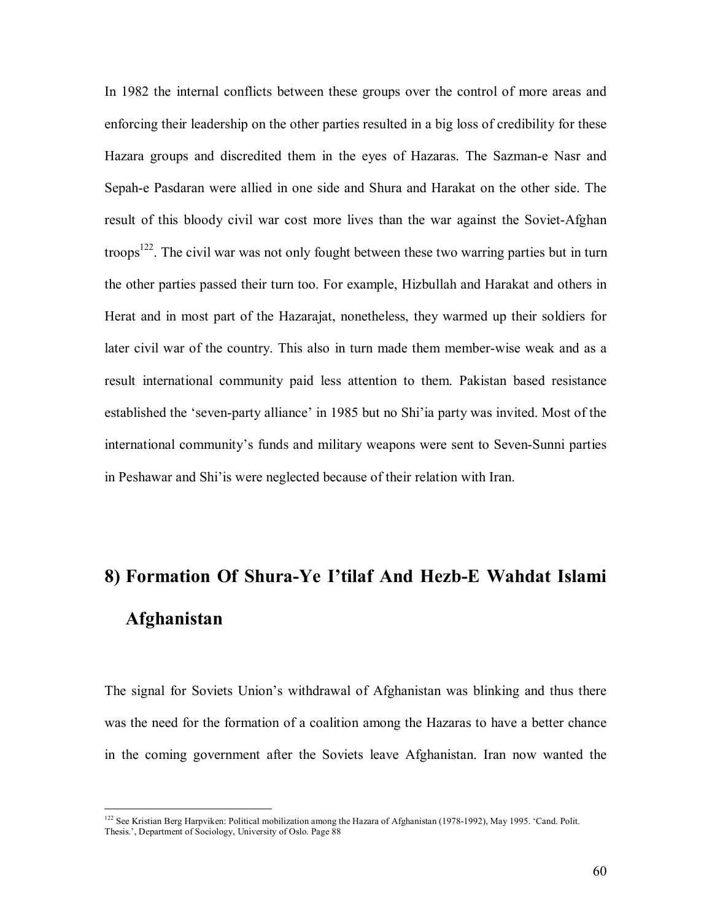In 1982 the internal conflicts between these groups over the control of more areas and enforcing their leadership on the other parties resulted in a big loss of credibility for these Hazara groups and discredited them in the eyes of Hazaras. The Sazman-e Nasr and Sepah-e Pasdaran were allied in one side and Shura and Harakat on the other side. The result of this bloody civil war cost more lives than the war against the Soviet-Afghan troops<sup>122</sup>. The civil war was not only fought between these two warring parties but in turn the other parties passed their turn too. For example, Hizbullah and Harakat and others in Herat and in most part of the Hazarajat, nonetheless, they warmed up their soldiers for later civil war of the country. This also in turn made them member-wise weak and as a result international community paid less attention to them. Pakistan based resistance established the 'seven-party alliance' in 1985 but no Shi'ia party was invited. Most of the international community's funds and military weapons were sent to Seven-Sunni parties in Peshawar and Shi' is were neglected because of their relation with Iran.

# **8) Formation Of Shura-Ye Iítilaf And Hezb-E Wahdat Islami Afghanistan**

The signal for Soviets Union's withdrawal of Afghanistan was blinking and thus there was the need for the formation of a coalition among the Hazaras to have a better chance in the coming government after the Soviets leave Afghanistan. Iran now wanted the

<sup>&</sup>lt;sup>122</sup> See Kristian Berg Harpviken: Political mobilization among the Hazara of Afghanistan (1978-1992), May 1995. 'Cand. Polit. Thesis.', Department of Sociology, University of Oslo. Page 88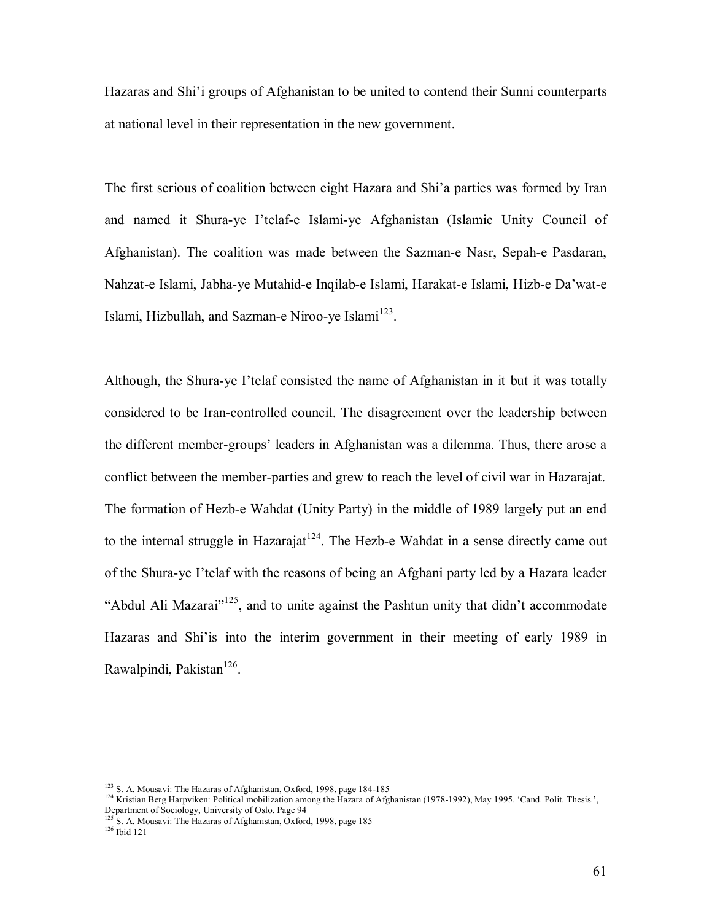Hazaras and Shiíi groups of Afghanistan to be united to contend their Sunni counterparts at national level in their representation in the new government.

The first serious of coalition between eight Hazara and Shi'a parties was formed by Iran and named it Shura-ye I'telaf-e Islami-ye Afghanistan (Islamic Unity Council of Afghanistan). The coalition was made between the Sazman-e Nasr, Sepah-e Pasdaran, Nahzat-e Islami, Jabha-ye Mutahid-e Inqilab-e Islami, Harakat-e Islami, Hizb-e Daíwat-e Islami, Hizbullah, and Sazman-e Niroo-ye Islami $^{123}$ .

Although, the Shura-ye I'telaf consisted the name of Afghanistan in it but it was totally considered to be Iran-controlled council. The disagreement over the leadership between the different member-groups' leaders in Afghanistan was a dilemma. Thus, there arose a conflict between the member-parties and grew to reach the level of civil war in Hazarajat. The formation of Hezb-e Wahdat (Unity Party) in the middle of 1989 largely put an end to the internal struggle in Hazarajat<sup>124</sup>. The Hezb-e Wahdat in a sense directly came out of the Shura-ye I'telaf with the reasons of being an Afghani party led by a Hazara leader "Abdul Ali Mazarai"<sup>125</sup>, and to unite against the Pashtun unity that didn't accommodate Hazaras and Shi'is into the interim government in their meeting of early 1989 in Rawalpindi, Pakistan<sup>126</sup>.

<sup>&</sup>lt;sup>123</sup> S. A. Mousavi: The Hazaras of Afghanistan, Oxford, 1998, page 184-185

<sup>&</sup>lt;sup>124</sup> Kristian Berg Harpviken: Political mobilization among the Hazara of Afghanistan (1978-1992), May 1995. 'Cand. Polit. Thesis.', Department of Sociology, University of Oslo. Page 94

<sup>&</sup>lt;sup>125</sup> S. A. Mousavi: The Hazaras of Afghanistan, Oxford, 1998, page 185<sup>126</sup> Ibid 121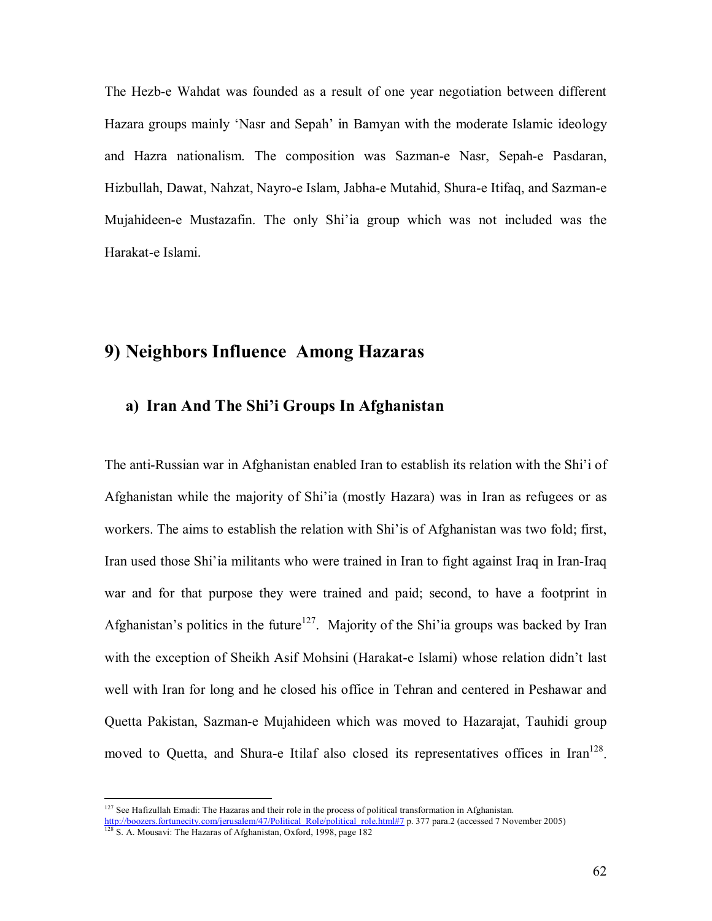The Hezb-e Wahdat was founded as a result of one year negotiation between different Hazara groups mainly 'Nasr and Sepah' in Bamyan with the moderate Islamic ideology and Hazra nationalism. The composition was Sazman-e Nasr, Sepah-e Pasdaran, Hizbullah, Dawat, Nahzat, Nayro-e Islam, Jabha-e Mutahid, Shura-e Itifaq, and Sazman-e Mujahideen-e Mustazafin. The only Shi'ia group which was not included was the Harakat-e Islami.

### **9) Neighbors Influence Among Hazaras**

### **a) Iran And The Shiíi Groups In Afghanistan**

The anti-Russian war in Afghanistan enabled Iran to establish its relation with the Shi'i of Afghanistan while the majority of Shi'ia (mostly Hazara) was in Iran as refugees or as workers. The aims to establish the relation with Shi'is of Afghanistan was two fold; first, Iran used those Shiíia militants who were trained in Iran to fight against Iraq in Iran-Iraq war and for that purpose they were trained and paid; second, to have a footprint in Afghanistan's politics in the future<sup>127</sup>. Majority of the Shi'ia groups was backed by Iran with the exception of Sheikh Asif Mohsini (Harakat-e Islami) whose relation didn't last well with Iran for long and he closed his office in Tehran and centered in Peshawar and Quetta Pakistan, Sazman-e Mujahideen which was moved to Hazarajat, Tauhidi group moved to Quetta, and Shura-e Itilaf also closed its representatives offices in Iran<sup>128</sup>.

1

 $127$  See Hafizullah Emadi: The Hazaras and their role in the process of political transformation in Afghanistan.

http://boozers.fortunecity.com/jerusalem/47/Political\_Role/political\_role.html#7 p. 377 para.2 (accessed 7 November 2005) 128 S. A. Mousavi: The Hazaras of Afghanistan, Oxford, 1998, page 182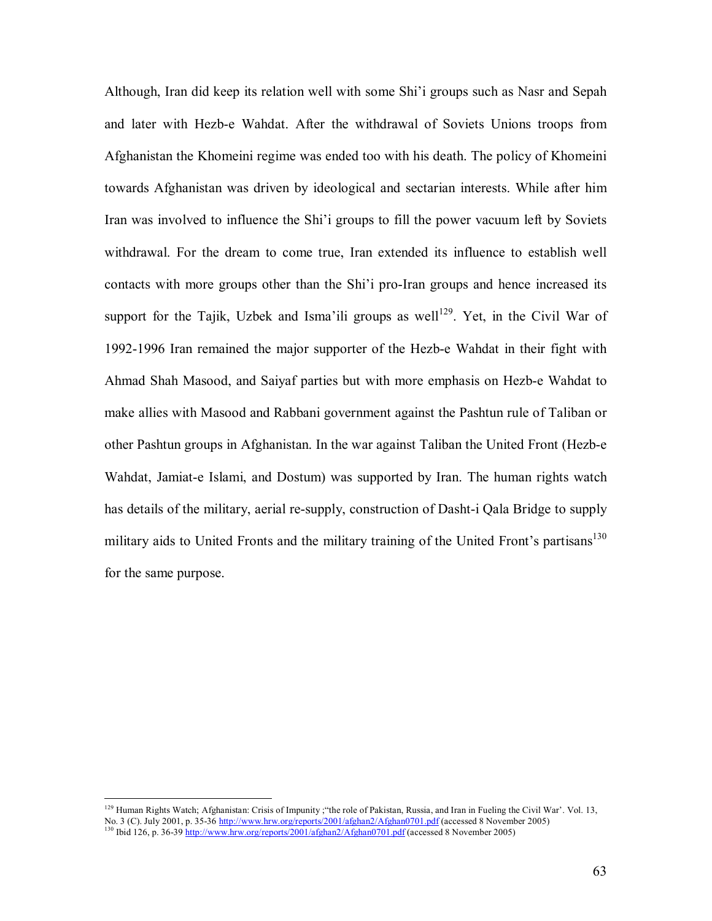Although, Iran did keep its relation well with some Shiíi groups such as Nasr and Sepah and later with Hezb-e Wahdat. After the withdrawal of Soviets Unions troops from Afghanistan the Khomeini regime was ended too with his death. The policy of Khomeini towards Afghanistan was driven by ideological and sectarian interests. While after him Iran was involved to influence the Shi'i groups to fill the power vacuum left by Soviets withdrawal. For the dream to come true, Iran extended its influence to establish well contacts with more groups other than the Shi'i pro-Iran groups and hence increased its support for the Tajik, Uzbek and Isma'ili groups as well<sup>129</sup>. Yet, in the Civil War of 1992-1996 Iran remained the major supporter of the Hezb-e Wahdat in their fight with Ahmad Shah Masood, and Saiyaf parties but with more emphasis on Hezb-e Wahdat to make allies with Masood and Rabbani government against the Pashtun rule of Taliban or other Pashtun groups in Afghanistan. In the war against Taliban the United Front (Hezb-e Wahdat, Jamiat-e Islami, and Dostum) was supported by Iran. The human rights watch has details of the military, aerial re-supply, construction of Dasht-i Qala Bridge to supply military aids to United Fronts and the military training of the United Front's partisans<sup>130</sup> for the same purpose.

1

<sup>&</sup>lt;sup>129</sup> Human Rights Watch; Afghanistan: Crisis of Impunity ; "the role of Pakistan, Russia, and Iran in Fueling the Civil War'. Vol. 13, No. 3 (C). July 2001, p. 35-36 <u>http://www.hrw.org/reports/2001/afghan2/Afghan0701.pdf</u> (accessed 8 November 2005)<br><sup>130</sup> Ibid 126, p. 36-39 <u>http://www.hrw.org/reports/2001/afghan2/Afghan0701.pdf</u> (accessed 8 November 2005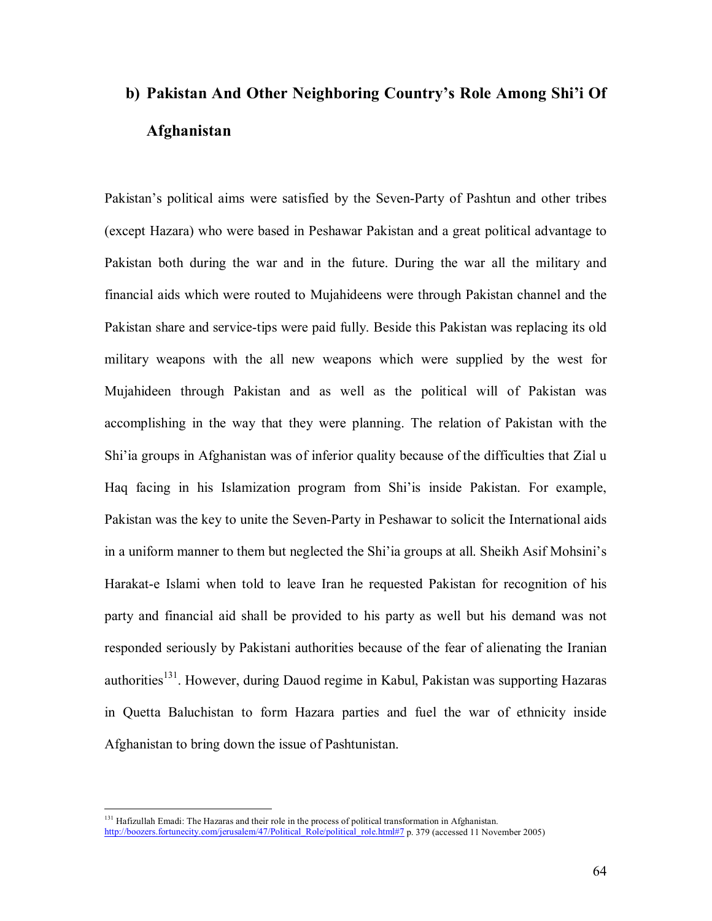# **b) Pakistan And Other Neighboring Country's Role Among Shi'i Of Afghanistan**

Pakistan's political aims were satisfied by the Seven-Party of Pashtun and other tribes (except Hazara) who were based in Peshawar Pakistan and a great political advantage to Pakistan both during the war and in the future. During the war all the military and financial aids which were routed to Mujahideens were through Pakistan channel and the Pakistan share and service-tips were paid fully. Beside this Pakistan was replacing its old military weapons with the all new weapons which were supplied by the west for Mujahideen through Pakistan and as well as the political will of Pakistan was accomplishing in the way that they were planning. The relation of Pakistan with the Shi'ia groups in Afghanistan was of inferior quality because of the difficulties that Zial u Haq facing in his Islamization program from Shi'is inside Pakistan. For example, Pakistan was the key to unite the Seven-Party in Peshawar to solicit the International aids in a uniform manner to them but neglected the Shi'ia groups at all. Sheikh Asif Mohsini's Harakat-e Islami when told to leave Iran he requested Pakistan for recognition of his party and financial aid shall be provided to his party as well but his demand was not responded seriously by Pakistani authorities because of the fear of alienating the Iranian authorities<sup>131</sup>. However, during Dauod regime in Kabul, Pakistan was supporting Hazaras in Quetta Baluchistan to form Hazara parties and fuel the war of ethnicity inside Afghanistan to bring down the issue of Pashtunistan.

<sup>&</sup>lt;sup>131</sup> Hafizullah Emadi: The Hazaras and their role in the process of political transformation in Afghanistan. http://boozers.fortunecity.com/jerusalem/47/Political\_Role/political\_role.html#7 p. 379 (accessed 11 November 2005)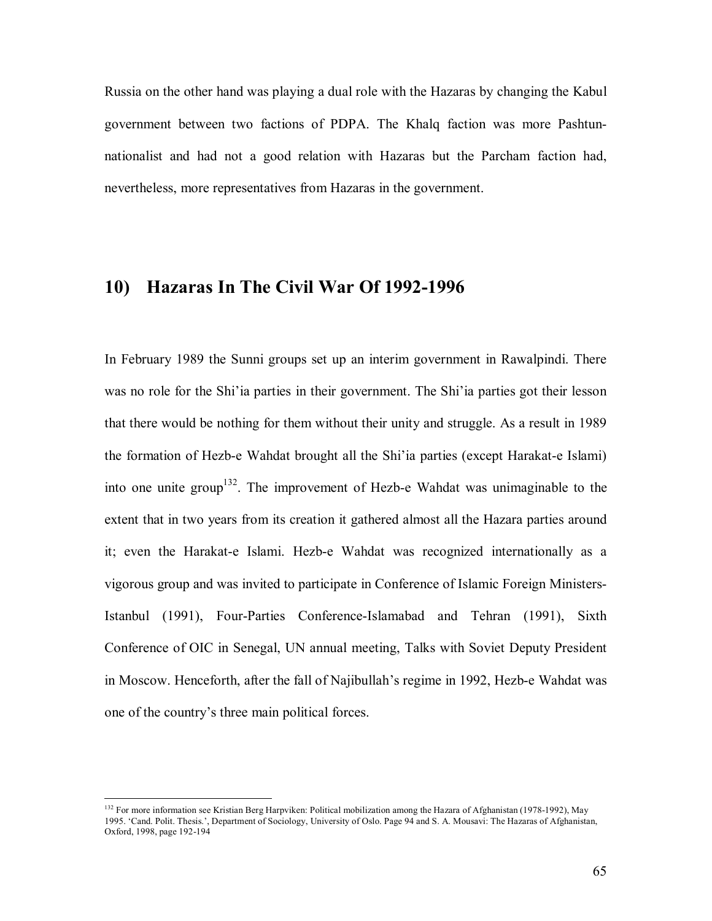Russia on the other hand was playing a dual role with the Hazaras by changing the Kabul government between two factions of PDPA. The Khalq faction was more Pashtunnationalist and had not a good relation with Hazaras but the Parcham faction had, nevertheless, more representatives from Hazaras in the government.

### **10) Hazaras In The Civil War Of 1992-1996**

In February 1989 the Sunni groups set up an interim government in Rawalpindi. There was no role for the Shi'ia parties in their government. The Shi'ia parties got their lesson that there would be nothing for them without their unity and struggle. As a result in 1989 the formation of Hezb-e Wahdat brought all the Shi'ia parties (except Harakat-e Islami) into one unite group<sup>132</sup>. The improvement of Hezb-e Wahdat was unimaginable to the extent that in two years from its creation it gathered almost all the Hazara parties around it; even the Harakat-e Islami. Hezb-e Wahdat was recognized internationally as a vigorous group and was invited to participate in Conference of Islamic Foreign Ministers-Istanbul (1991), Four-Parties Conference-Islamabad and Tehran (1991), Sixth Conference of OIC in Senegal, UN annual meeting, Talks with Soviet Deputy President in Moscow. Henceforth, after the fall of Najibullah's regime in 1992, Hezb-e Wahdat was one of the country's three main political forces.

1

<sup>&</sup>lt;sup>132</sup> For more information see Kristian Berg Harpviken: Political mobilization among the Hazara of Afghanistan (1978-1992), May 1995. ëCand. Polit. Thesis.í, Department of Sociology, University of Oslo. Page 94 and S. A. Mousavi: The Hazaras of Afghanistan, Oxford, 1998, page 192-194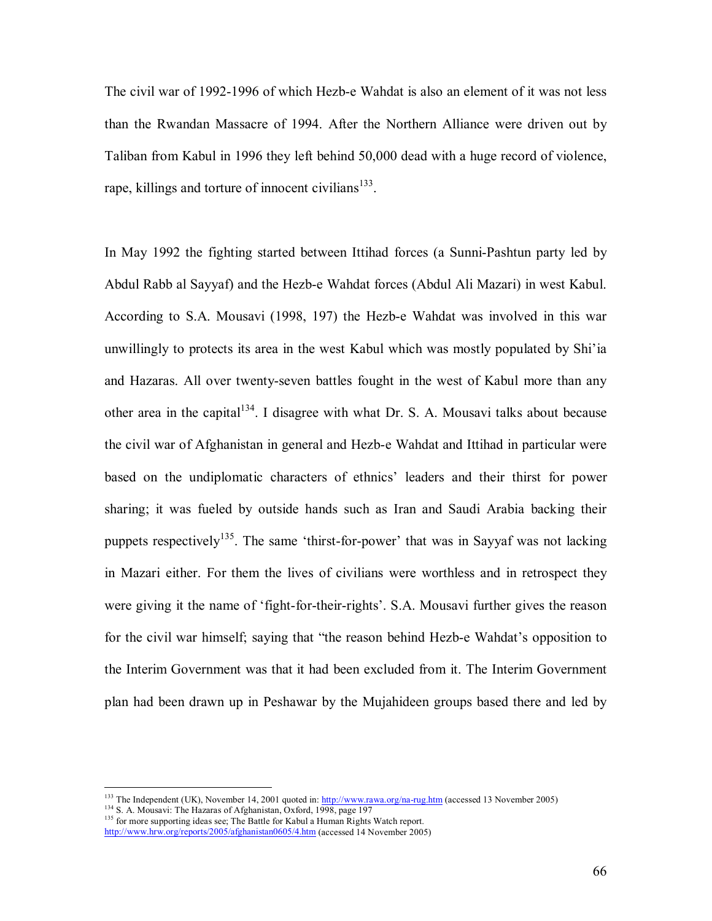The civil war of 1992-1996 of which Hezb-e Wahdat is also an element of it was not less than the Rwandan Massacre of 1994. After the Northern Alliance were driven out by Taliban from Kabul in 1996 they left behind 50,000 dead with a huge record of violence, rape, killings and torture of innocent civilians $^{133}$ .

In May 1992 the fighting started between Ittihad forces (a Sunni-Pashtun party led by Abdul Rabb al Sayyaf) and the Hezb-e Wahdat forces (Abdul Ali Mazari) in west Kabul. According to S.A. Mousavi (1998, 197) the Hezb-e Wahdat was involved in this war unwillingly to protects its area in the west Kabul which was mostly populated by Shi'ia and Hazaras. All over twenty-seven battles fought in the west of Kabul more than any other area in the capital<sup>134</sup>. I disagree with what Dr. S. A. Mousavi talks about because the civil war of Afghanistan in general and Hezb-e Wahdat and Ittihad in particular were based on the undiplomatic characters of ethnics' leaders and their thirst for power sharing; it was fueled by outside hands such as Iran and Saudi Arabia backing their puppets respectively<sup>135</sup>. The same 'thirst-for-power' that was in Sayyaf was not lacking in Mazari either. For them the lives of civilians were worthless and in retrospect they were giving it the name of 'fight-for-their-rights'. S.A. Mousavi further gives the reason for the civil war himself; saying that "the reason behind Hezb-e Wahdat's opposition to the Interim Government was that it had been excluded from it. The Interim Government plan had been drawn up in Peshawar by the Mujahideen groups based there and led by

<sup>&</sup>lt;sup>133</sup> The Independent (UK), November 14, 2001 quoted in: http://www.rawa.org/na-rug.htm (accessed 13 November 2005)<br><sup>134</sup> S. A. Mousavi: The Hazaras of Afghanistan, Oxford, 1998, page 197<br><sup>135</sup> for more supporting ideas se

http://www.hrw.org/reports/2005/afghanistan0605/4.htm (accessed 14 November 2005)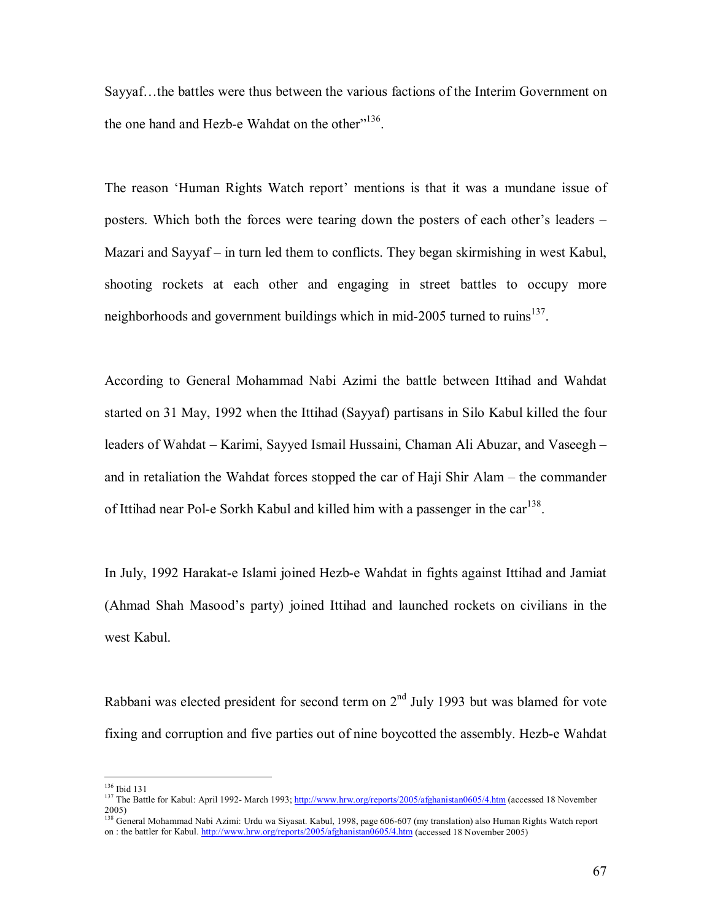Sayyaf...the battles were thus between the various factions of the Interim Government on the one hand and Hezb-e Wahdat on the other<sup>"136</sup>.

The reason 'Human Rights Watch report' mentions is that it was a mundane issue of posters. Which both the forces were tearing down the posters of each other's leaders – Mazari and Sayyaf  $-$  in turn led them to conflicts. They began skirmishing in west Kabul, shooting rockets at each other and engaging in street battles to occupy more neighborhoods and government buildings which in mid-2005 turned to ruins<sup>137</sup>.

According to General Mohammad Nabi Azimi the battle between Ittihad and Wahdat started on 31 May, 1992 when the Ittihad (Sayyaf) partisans in Silo Kabul killed the four leaders of Wahdat – Karimi, Sayyed Ismail Hussaini, Chaman Ali Abuzar, and Vaseegh – and in retaliation the Wahdat forces stopped the car of Haji Shir Alam  $-$  the commander of Ittihad near Pol-e Sorkh Kabul and killed him with a passenger in the  $car^{138}$ .

In July, 1992 Harakat-e Islami joined Hezb-e Wahdat in fights against Ittihad and Jamiat (Ahmad Shah Masood's party) joined Ittihad and launched rockets on civilians in the west Kabul.

Rabbani was elected president for second term on  $2<sup>nd</sup>$  July 1993 but was blamed for vote fixing and corruption and five parties out of nine boycotted the assembly. Hezb-e Wahdat

<sup>&</sup>lt;sup>136</sup> Ibid 131

<sup>&</sup>lt;sup>137</sup> The Battle for Kabul: April 1992- March 1993; http://www.hrw.org/reports/2005/afghanistan0605/4.htm (accessed 18 November 2005)<br><sup>138</sup> General Mohammad Nabi Azimi: Urdu wa Siyasat. Kabul, 1998, page 606-607 (my translation) also Human Rights Watch report

on : the battler for Kabul. http://www.hrw.org/reports/2005/afghanistan0605/4.htm (accessed 18 November 2005)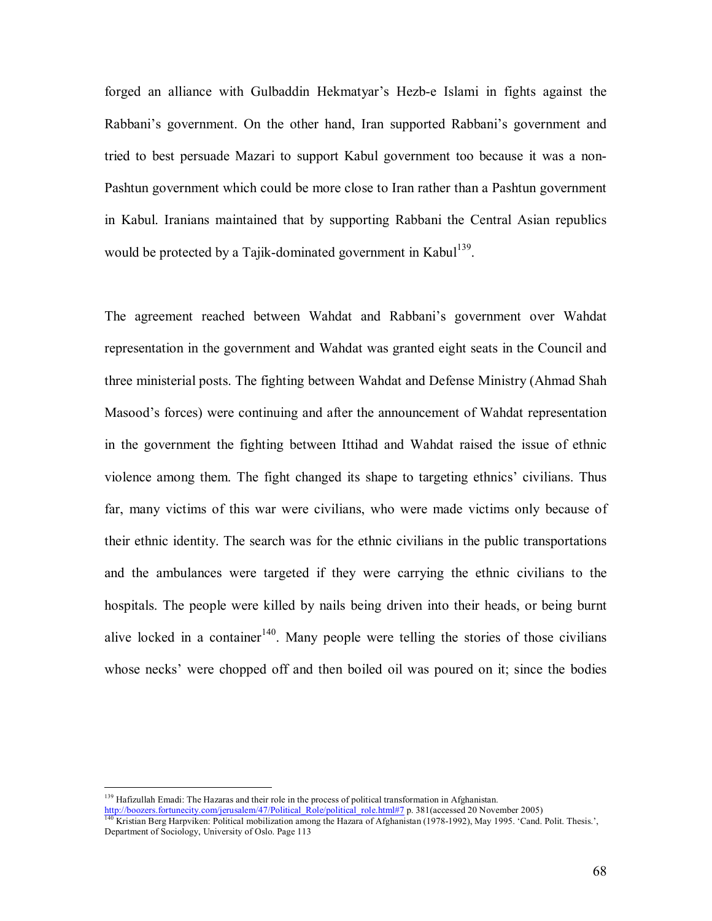forged an alliance with Gulbaddin Hekmatyar's Hezb-e Islami in fights against the Rabbani's government. On the other hand, Iran supported Rabbani's government and tried to best persuade Mazari to support Kabul government too because it was a non-Pashtun government which could be more close to Iran rather than a Pashtun government in Kabul. Iranians maintained that by supporting Rabbani the Central Asian republics would be protected by a Tajik-dominated government in Kabul<sup>139</sup>.

The agreement reached between Wahdat and Rabbani's government over Wahdat representation in the government and Wahdat was granted eight seats in the Council and three ministerial posts. The fighting between Wahdat and Defense Ministry (Ahmad Shah Masood's forces) were continuing and after the announcement of Wahdat representation in the government the fighting between Ittihad and Wahdat raised the issue of ethnic violence among them. The fight changed its shape to targeting ethnics' civilians. Thus far, many victims of this war were civilians, who were made victims only because of their ethnic identity. The search was for the ethnic civilians in the public transportations and the ambulances were targeted if they were carrying the ethnic civilians to the hospitals. The people were killed by nails being driven into their heads, or being burnt alive locked in a container<sup>140</sup>. Many people were telling the stories of those civilians whose necks' were chopped off and then boiled oil was poured on it; since the bodies

<sup>&</sup>lt;sup>139</sup> Hafizullah Emadi: The Hazaras and their role in the process of political transformation in Afghanistan.

http://boozers.fortunecity.com/jerusalem/47/Political\_Role/political\_role.html#7 p. 381(accessed 20 November 2005)<br><sup>140</sup> Kristian Berg Harpviken: Political mobilization among the Hazara of Afghanistan (1978-1992), May 1995

Department of Sociology, University of Oslo. Page 113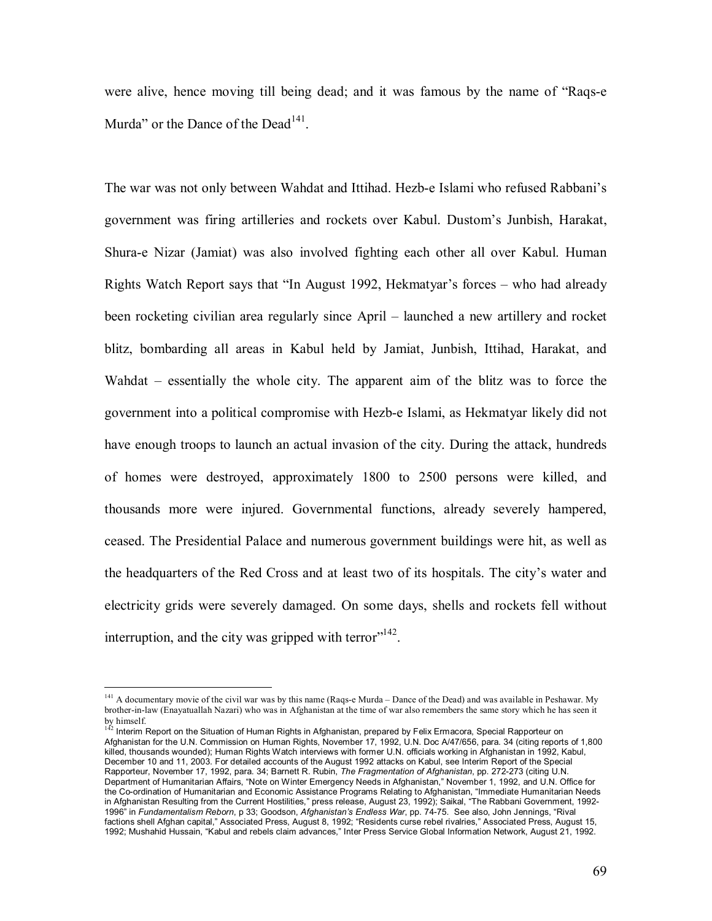were alive, hence moving till being dead; and it was famous by the name of "Raqs-e" Murda" or the Dance of the Dead<sup>141</sup>.

The war was not only between Wahdat and Ittihad. Hezb-e Islami who refused Rabbaniís government was firing artilleries and rockets over Kabul. Dustomís Junbish, Harakat, Shura-e Nizar (Jamiat) was also involved fighting each other all over Kabul. Human Rights Watch Report says that "In August 1992, Hekmatyar's forces – who had already been rocketing civilian area regularly since April – launched a new artillery and rocket blitz, bombarding all areas in Kabul held by Jamiat, Junbish, Ittihad, Harakat, and Wahdat  $\overline{\phantom{a}}$  essentially the whole city. The apparent aim of the blitz was to force the government into a political compromise with Hezb-e Islami, as Hekmatyar likely did not have enough troops to launch an actual invasion of the city. During the attack, hundreds of homes were destroyed, approximately 1800 to 2500 persons were killed, and thousands more were injured. Governmental functions, already severely hampered, ceased. The Presidential Palace and numerous government buildings were hit, as well as the headquarters of the Red Cross and at least two of its hospitals. The city's water and electricity grids were severely damaged. On some days, shells and rockets fell without interruption, and the city was gripped with terror<sup> $142$ </sup>.

 $\overline{a}$ 

Afghanistan for the U.N. Commission on Human Rights, November 17, 1992, U.N. Doc A/47/656, para. 34 (citing reports of 1,800 killed, thousands wounded); Human Rights Watch interviews with former U.N. officials working in Afghanistan in 1992, Kabul, December 10 and 11, 2003. For detailed accounts of the August 1992 attacks on Kabul, see Interim Report of the Special Rapporteur, November 17, 1992, para. 34; Barnett R. Rubin, *The Fragmentation of Afghanistan*, pp. 272-273 (citing U.N. Department of Humanitarian Affairs, "Note on Winter Emergency Needs in Afghanistan," November 1, 1992, and U.N. Office for the Co-ordination of Humanitarian and Economic Assistance Programs Relating to Afghanistan, "Immediate Humanitarian Needs in Afghanistan Resulting from the Current Hostilities," press release, August 23, 1992); Saikal, "The Rabbani Government, 1992-1996î in *Fundamentalism Reborn*, p 33; Goodson, *Afghanistanís Endless War*, pp. 74-75. See also, John Jennings, ìRival factions shell Afghan capital," Associated Press, August 8, 1992; "Residents curse rebel rivalries," Associated Press, August 15, 1992; Mushahid Hussain, "Kabul and rebels claim advances," Inter Press Service Global Information Network, August 21, 1992.

 $141$  A documentary movie of the civil war was by this name (Raqs-e Murda – Dance of the Dead) and was available in Peshawar. My brother-in-law (Enayatuallah Nazari) who was in Afghanistan at the time of war also remembers the same story which he has seen it by himself.<br><sup>142</sup> Interim Report on the Situation of Human Rights in Afghanistan, prepared by Felix Ermacora, Special Rapporteur on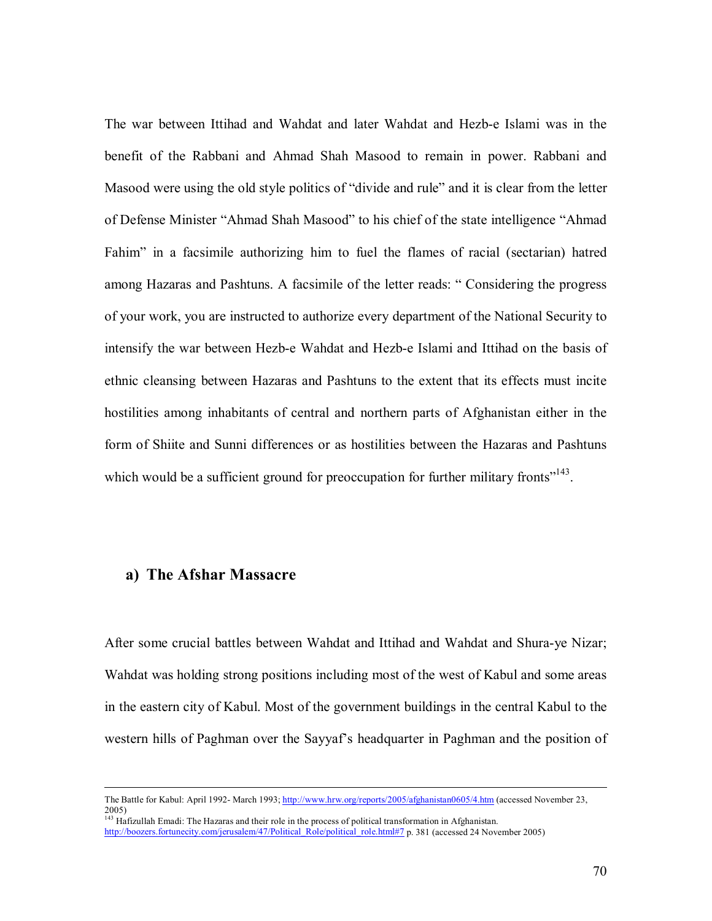The war between Ittihad and Wahdat and later Wahdat and Hezb-e Islami was in the benefit of the Rabbani and Ahmad Shah Masood to remain in power. Rabbani and Masood were using the old style politics of "divide and rule" and it is clear from the letter of Defense Minister "Ahmad Shah Masood" to his chief of the state intelligence "Ahmad Fahim" in a facsimile authorizing him to fuel the flames of racial (sectarian) hatred among Hazaras and Pashtuns. A facsimile of the letter reads: "Considering the progress of your work, you are instructed to authorize every department of the National Security to intensify the war between Hezb-e Wahdat and Hezb-e Islami and Ittihad on the basis of ethnic cleansing between Hazaras and Pashtuns to the extent that its effects must incite hostilities among inhabitants of central and northern parts of Afghanistan either in the form of Shiite and Sunni differences or as hostilities between the Hazaras and Pashtuns which would be a sufficient ground for preoccupation for further military fronts<sup> $143$ </sup>.

#### **a) The Afshar Massacre**

After some crucial battles between Wahdat and Ittihad and Wahdat and Shura-ye Nizar; Wahdat was holding strong positions including most of the west of Kabul and some areas in the eastern city of Kabul. Most of the government buildings in the central Kabul to the western hills of Paghman over the Sayyaf's headquarter in Paghman and the position of

The Battle for Kabul: April 1992- March 1993; http://www.hrw.org/reports/2005/afghanistan0605/4.htm (accessed November 23, 2005)<br><sup>143</sup> Hafizullah Emadi: The Hazaras and their role in the process of political transformation in Afghanistan.

http://boozers.fortunecity.com/jerusalem/47/Political\_Role/political\_role.html#7 p. 381 (accessed 24 November 2005)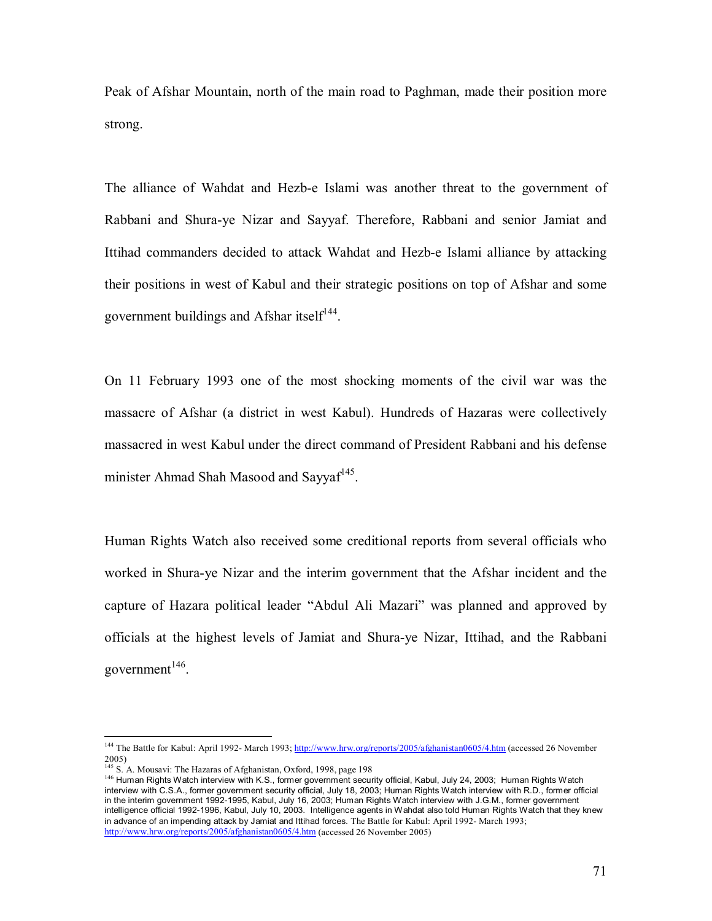Peak of Afshar Mountain, north of the main road to Paghman, made their position more strong.

The alliance of Wahdat and Hezb-e Islami was another threat to the government of Rabbani and Shura-ye Nizar and Sayyaf. Therefore, Rabbani and senior Jamiat and Ittihad commanders decided to attack Wahdat and Hezb-e Islami alliance by attacking their positions in west of Kabul and their strategic positions on top of Afshar and some government buildings and Afshar itself<sup>144</sup>.

On 11 February 1993 one of the most shocking moments of the civil war was the massacre of Afshar (a district in west Kabul). Hundreds of Hazaras were collectively massacred in west Kabul under the direct command of President Rabbani and his defense minister Ahmad Shah Masood and Sayya $f^{145}$ .

Human Rights Watch also received some creditional reports from several officials who worked in Shura-ye Nizar and the interim government that the Afshar incident and the capture of Hazara political leader "Abdul Ali Mazari" was planned and approved by officials at the highest levels of Jamiat and Shura-ye Nizar, Ittihad, and the Rabbani government $146$ .

<sup>&</sup>lt;sup>144</sup> The Battle for Kabul: April 1992- March 1993; http://www.hrw.org/reports/2005/afghanistan0605/4.htm (accessed 26 November 2005)<br><sup>145</sup> S. A. Mousavi: The Hazaras of Afghanistan, Oxford, 1998, page 198

<sup>146</sup> Human Rights Watch interview with K.S., former government security official, Kabul, July 24, 2003; Human Rights Watch interview with C.S.A., former government security official, July 18, 2003; Human Rights Watch interview with R.D., former official in the interim government 1992-1995, Kabul, July 16, 2003; Human Rights Watch interview with J.G.M., former government intelligence official 1992-1996, Kabul, July 10, 2003. Intelligence agents in Wahdat also told Human Rights Watch that they knew in advance of an impending attack by Jamiat and Ittihad forces. The Battle for Kabul: April 1992- March 1993; http://www.hrw.org/reports/2005/afghanistan0605/4.htm (accessed 26 November 2005)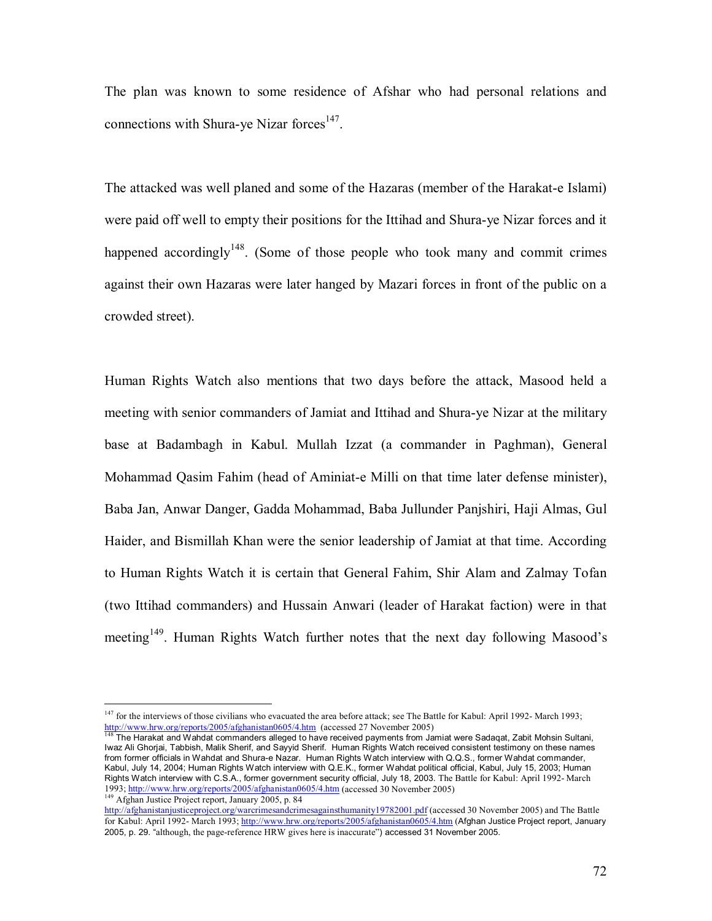The plan was known to some residence of Afshar who had personal relations and connections with Shura-ye Nizar forces<sup>147</sup>.

The attacked was well planed and some of the Hazaras (member of the Harakat-e Islami) were paid off well to empty their positions for the Ittihad and Shura-ye Nizar forces and it happened accordingly<sup>148</sup>. (Some of those people who took many and commit crimes against their own Hazaras were later hanged by Mazari forces in front of the public on a crowded street).

Human Rights Watch also mentions that two days before the attack, Masood held a meeting with senior commanders of Jamiat and Ittihad and Shura-ye Nizar at the military base at Badambagh in Kabul. Mullah Izzat (a commander in Paghman), General Mohammad Qasim Fahim (head of Aminiat-e Milli on that time later defense minister), Baba Jan, Anwar Danger, Gadda Mohammad, Baba Jullunder Panjshiri, Haji Almas, Gul Haider, and Bismillah Khan were the senior leadership of Jamiat at that time. According to Human Rights Watch it is certain that General Fahim, Shir Alam and Zalmay Tofan (two Ittihad commanders) and Hussain Anwari (leader of Harakat faction) were in that meeting<sup>149</sup>. Human Rights Watch further notes that the next day following Masood's

<sup>&</sup>lt;sup>147</sup> for the interviews of those civilians who evacuated the area before attack; see The Battle for Kabul: April 1992- March 1993; http://www.hrw.org/reports/2005/afghanistan0605/4.htm (accessed 27 November 2005)<br><sup>148</sup> The Harakat and Wahdat commanders alleged to have received payments from Jamiat were Sadaqat, Zabit Mohsin Sultani,

Iwaz Ali Ghorjai, Tabbish, Malik Sherif, and Sayyid Sherif. Human Rights Watch received consistent testimony on these names from former officials in Wahdat and Shura-e Nazar. Human Rights Watch interview with Q.Q.S., former Wahdat commander, Kabul, July 14, 2004; Human Rights Watch interview with Q.E.K., former Wahdat political official, Kabul, July 15, 2003; Human Rights Watch interview with C.S.A., former government security official, July 18, 2003. The Battle for Kabul: April 1992- March 1993; http://www.hrw.org/reports/2005/afghanistan0605/4.htm (accessed 30 November 2005) 149 Afghan Justice Project report, January 2005, p. 84

http://afghanistanjusticeproject.org/warcrimesandcrimesagainsthumanity19782001.pdf (accessed 30 November 2005) and The Battle for Kabul: April 1992- March 1993; http://www.hrw.org/reports/2005/afghanistan0605/4.htm (Afghan Justice Project report, January 2005, p. 29. "although, the page-reference HRW gives here is inaccurate" accessed 31 November 2005.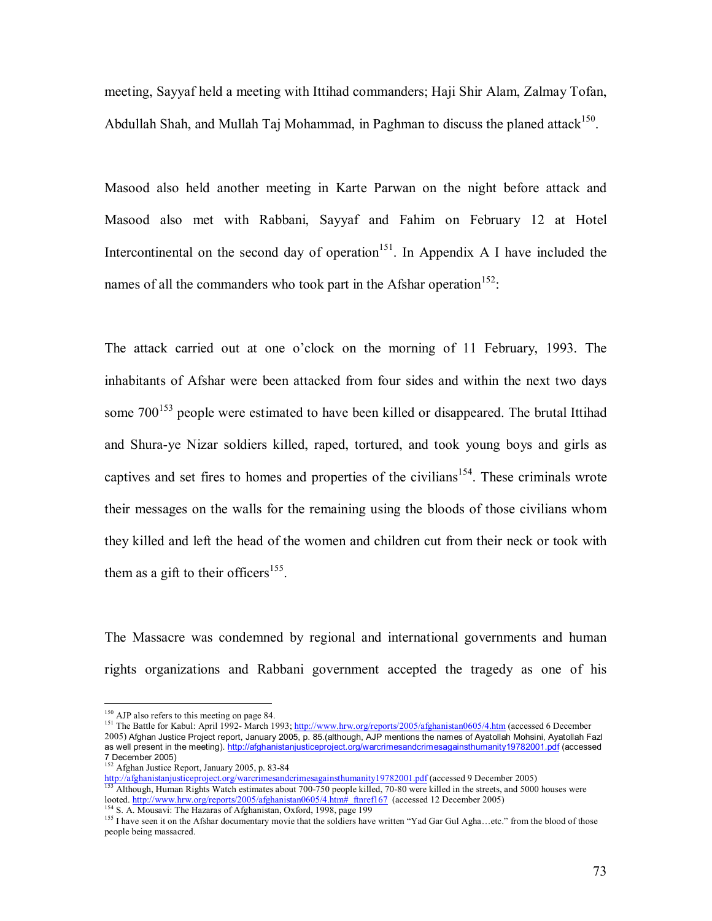meeting, Sayyaf held a meeting with Ittihad commanders; Haji Shir Alam, Zalmay Tofan, Abdullah Shah, and Mullah Taj Mohammad, in Paghman to discuss the planed attack<sup>150</sup>.

Masood also held another meeting in Karte Parwan on the night before attack and Masood also met with Rabbani, Sayyaf and Fahim on February 12 at Hotel Intercontinental on the second day of operation<sup>151</sup>. In Appendix A I have included the names of all the commanders who took part in the Afshar operation<sup>152</sup>:

The attack carried out at one o'clock on the morning of 11 February, 1993. The inhabitants of Afshar were been attacked from four sides and within the next two days some  $700^{153}$  people were estimated to have been killed or disappeared. The brutal Ittihad and Shura-ye Nizar soldiers killed, raped, tortured, and took young boys and girls as captives and set fires to homes and properties of the civilians<sup>154</sup>. These criminals wrote their messages on the walls for the remaining using the bloods of those civilians whom they killed and left the head of the women and children cut from their neck or took with them as a gift to their officers<sup>155</sup>.

The Massacre was condemned by regional and international governments and human rights organizations and Rabbani government accepted the tragedy as one of his

 $\overline{a}$ 

http://afghanistanjusticeproject.org/warcrimesandcrimesagainsthumanity19782001.pdf (accessed 9 December 2005)<br>
<sup>153</sup> Although, Human Rights Watch estimates about 700-750 people killed, 70-80 were killed in the streets, an

<sup>&</sup>lt;sup>150</sup> AJP also refers to this meeting on page 84.<br><sup>151</sup> The Battle for Kabul: April 1992- March 1993; http://www.hrw.org/reports/2005/afghanistan0605/4.htm (accessed 6 December 2005) Afghan Justice Project report, January 2005, p. 85.(although, AJP mentions the names of Ayatollah Mohsini, Ayatollah Fazl as well present in the meeting). http://afghanistanjusticeproject.org/warcrimesandcrimesagainsthumanity19782001.pdf (accessed 7 December 2005) 152 Afghan Justice Report, January 2005, p. 83-84

<sup>&</sup>lt;sup>154</sup> S. A. Mousavi: The Hazaras of Afghanistan, Oxford, 1998, page 199<br><sup>155</sup> I have seen it on the Afshar documentary movie that the soldiers have written "Yad Gar Gul Agha...etc." from the blood of those people being massacred.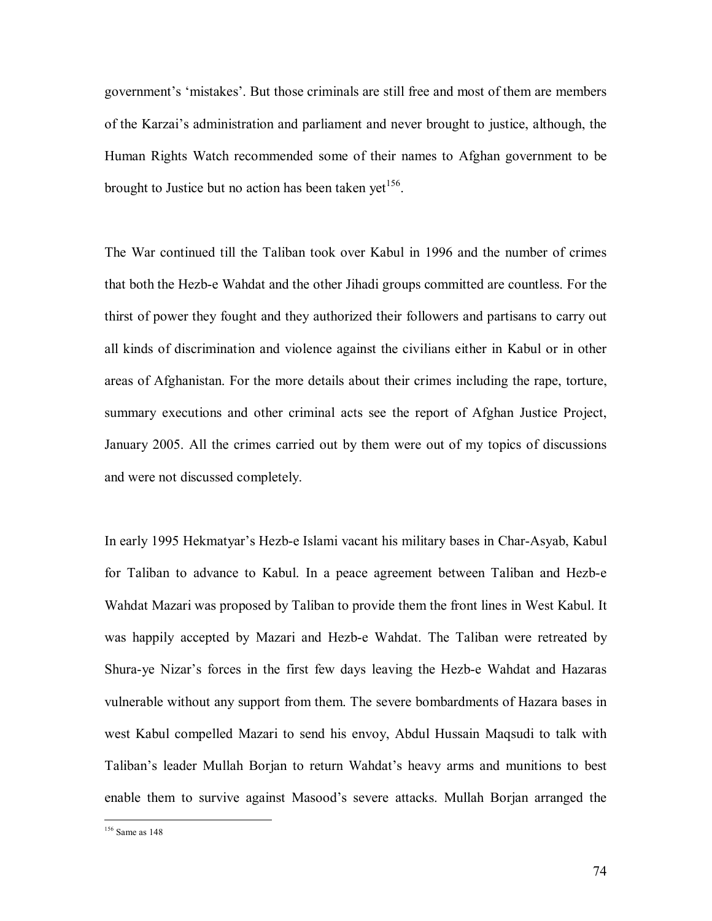government's 'mistakes'. But those criminals are still free and most of them are members of the Karzaiís administration and parliament and never brought to justice, although, the Human Rights Watch recommended some of their names to Afghan government to be brought to Justice but no action has been taken yet<sup>156</sup>.

The War continued till the Taliban took over Kabul in 1996 and the number of crimes that both the Hezb-e Wahdat and the other Jihadi groups committed are countless. For the thirst of power they fought and they authorized their followers and partisans to carry out all kinds of discrimination and violence against the civilians either in Kabul or in other areas of Afghanistan. For the more details about their crimes including the rape, torture, summary executions and other criminal acts see the report of Afghan Justice Project, January 2005. All the crimes carried out by them were out of my topics of discussions and were not discussed completely.

In early 1995 Hekmatyar's Hezb-e Islami vacant his military bases in Char-Asyab, Kabul for Taliban to advance to Kabul. In a peace agreement between Taliban and Hezb-e Wahdat Mazari was proposed by Taliban to provide them the front lines in West Kabul. It was happily accepted by Mazari and Hezb-e Wahdat. The Taliban were retreated by Shura-ye Nizar's forces in the first few days leaving the Hezb-e Wahdat and Hazaras vulnerable without any support from them. The severe bombardments of Hazara bases in west Kabul compelled Mazari to send his envoy, Abdul Hussain Maqsudi to talk with Talibanís leader Mullah Borjan to return Wahdatís heavy arms and munitions to best enable them to survive against Masood's severe attacks. Mullah Borjan arranged the

1

<sup>156</sup> Same as 148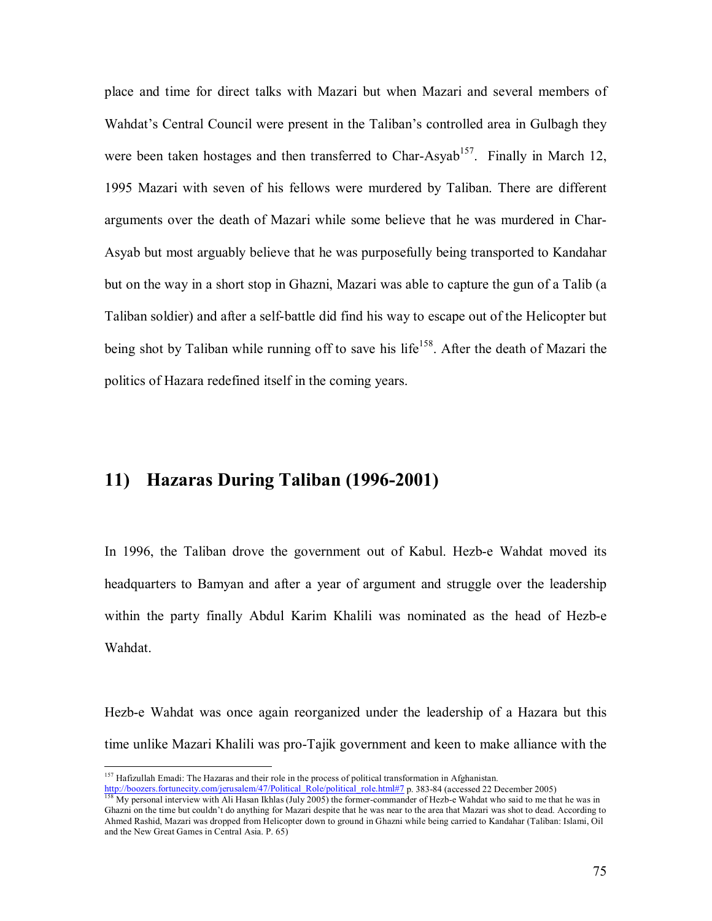place and time for direct talks with Mazari but when Mazari and several members of Wahdat's Central Council were present in the Taliban's controlled area in Gulbagh they were been taken hostages and then transferred to Char-Asyab<sup>157</sup>. Finally in March 12, 1995 Mazari with seven of his fellows were murdered by Taliban. There are different arguments over the death of Mazari while some believe that he was murdered in Char-Asyab but most arguably believe that he was purposefully being transported to Kandahar but on the way in a short stop in Ghazni, Mazari was able to capture the gun of a Talib (a Taliban soldier) and after a self-battle did find his way to escape out of the Helicopter but being shot by Taliban while running off to save his life<sup>158</sup>. After the death of Mazari the politics of Hazara redefined itself in the coming years.

### **11) Hazaras During Taliban (1996-2001)**

In 1996, the Taliban drove the government out of Kabul. Hezb-e Wahdat moved its headquarters to Bamyan and after a year of argument and struggle over the leadership within the party finally Abdul Karim Khalili was nominated as the head of Hezb-e Wahdat.

Hezb-e Wahdat was once again reorganized under the leadership of a Hazara but this time unlike Mazari Khalili was pro-Tajik government and keen to make alliance with the

<sup>&</sup>lt;sup>157</sup> Hafizullah Emadi: The Hazaras and their role in the process of political transformation in Afghanistan.

http://boozers.fortunecity.com/jerusalem/47/Political Role/political role.html#7 p. 383-84 (accessed 22 December 2005)<br><sup>158</sup> My personal interview with Ali Hasan Ikhlas (July 2005) the former-commander of Hezb-e Wahdat who Ghazni on the time but couldn't do anything for Mazari despite that he was near to the area that Mazari was shot to dead. According to Ahmed Rashid, Mazari was dropped from Helicopter down to ground in Ghazni while being carried to Kandahar (Taliban: Islami, Oil and the New Great Games in Central Asia. P. 65)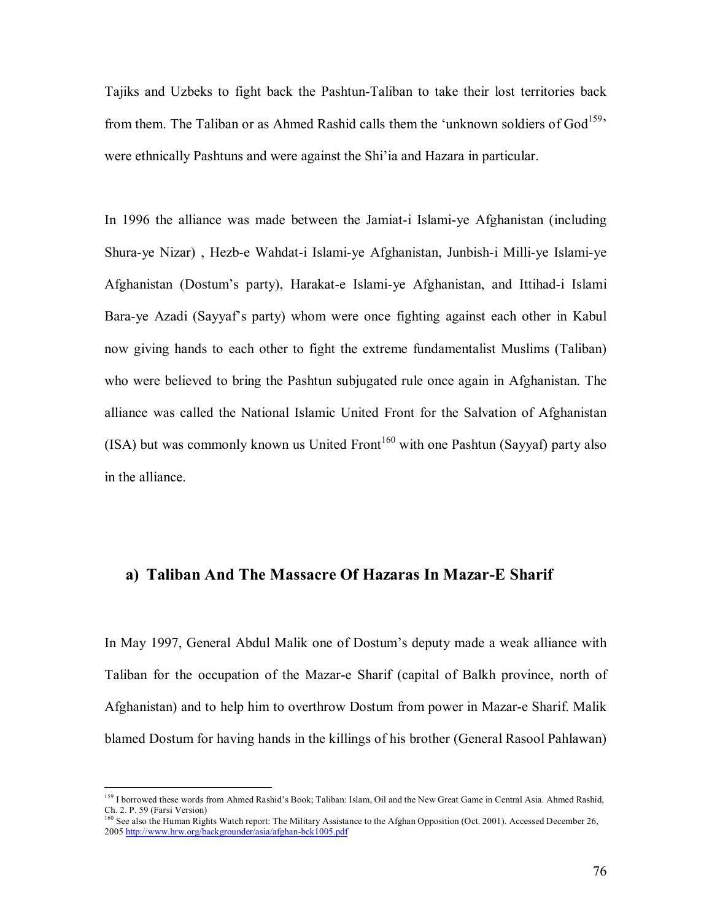Tajiks and Uzbeks to fight back the Pashtun-Taliban to take their lost territories back from them. The Taliban or as Ahmed Rashid calls them the 'unknown soldiers of God<sup>159</sup> were ethnically Pashtuns and were against the Shi'ia and Hazara in particular.

In 1996 the alliance was made between the Jamiat-i Islami-ye Afghanistan (including Shura-ye Nizar) , Hezb-e Wahdat-i Islami-ye Afghanistan, Junbish-i Milli-ye Islami-ye Afghanistan (Dostumís party), Harakat-e Islami-ye Afghanistan, and Ittihad-i Islami Bara-ye Azadi (Sayyaf's party) whom were once fighting against each other in Kabul now giving hands to each other to fight the extreme fundamentalist Muslims (Taliban) who were believed to bring the Pashtun subjugated rule once again in Afghanistan. The alliance was called the National Islamic United Front for the Salvation of Afghanistan (ISA) but was commonly known us United Front<sup>160</sup> with one Pashtun (Sayyaf) party also in the alliance.

#### **a) Taliban And The Massacre Of Hazaras In Mazar-E Sharif**

In May 1997, General Abdul Malik one of Dostum's deputy made a weak alliance with Taliban for the occupation of the Mazar-e Sharif (capital of Balkh province, north of Afghanistan) and to help him to overthrow Dostum from power in Mazar-e Sharif. Malik blamed Dostum for having hands in the killings of his brother (General Rasool Pahlawan)

<sup>&</sup>lt;sup>159</sup> I borrowed these words from Ahmed Rashid's Book; Taliban: Islam, Oil and the New Great Game in Central Asia. Ahmed Rashid, Ch. 2. P. 59 (Farsi Version)<br><sup>160</sup> See also the Human Rights Watch report: The Military Assistance to the Afghan Opposition (Oct. 2001). Accessed December 26,

<sup>2005</sup> http://www.hrw.org/backgrounder/asia/afghan-bck1005.pdf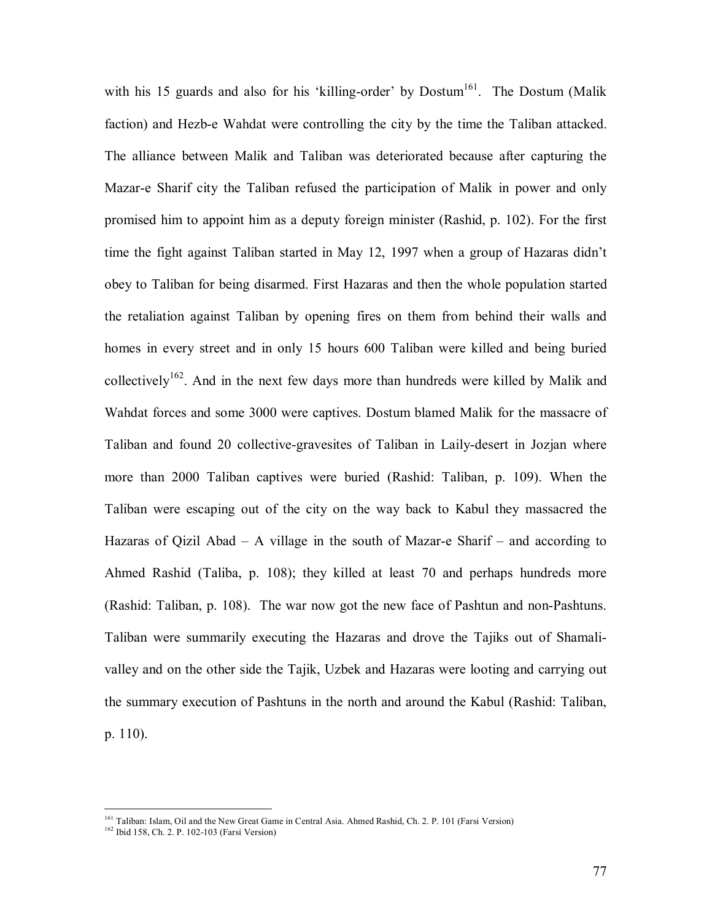with his 15 guards and also for his 'killing-order' by Dostum<sup>161</sup>. The Dostum (Malik faction) and Hezb-e Wahdat were controlling the city by the time the Taliban attacked. The alliance between Malik and Taliban was deteriorated because after capturing the Mazar-e Sharif city the Taliban refused the participation of Malik in power and only promised him to appoint him as a deputy foreign minister (Rashid, p. 102). For the first time the fight against Taliban started in May 12, 1997 when a group of Hazaras didn't obey to Taliban for being disarmed. First Hazaras and then the whole population started the retaliation against Taliban by opening fires on them from behind their walls and homes in every street and in only 15 hours 600 Taliban were killed and being buried collectively<sup>162</sup>. And in the next few days more than hundreds were killed by Malik and Wahdat forces and some 3000 were captives. Dostum blamed Malik for the massacre of Taliban and found 20 collective-gravesites of Taliban in Laily-desert in Jozjan where more than 2000 Taliban captives were buried (Rashid: Taliban, p. 109). When the Taliban were escaping out of the city on the way back to Kabul they massacred the Hazaras of Qizil Abad  $-$  A village in the south of Mazar-e Sharif  $-$  and according to Ahmed Rashid (Taliba, p. 108); they killed at least 70 and perhaps hundreds more (Rashid: Taliban, p. 108). The war now got the new face of Pashtun and non-Pashtuns. Taliban were summarily executing the Hazaras and drove the Tajiks out of Shamalivalley and on the other side the Tajik, Uzbek and Hazaras were looting and carrying out the summary execution of Pashtuns in the north and around the Kabul (Rashid: Taliban, p. 110).

<sup>&</sup>lt;sup>161</sup> Taliban: Islam, Oil and the New Great Game in Central Asia. Ahmed Rashid, Ch. 2. P. 101 (Farsi Version) <sup>162</sup> Ibid 158, Ch. 2. P. 102-103 (Farsi Version)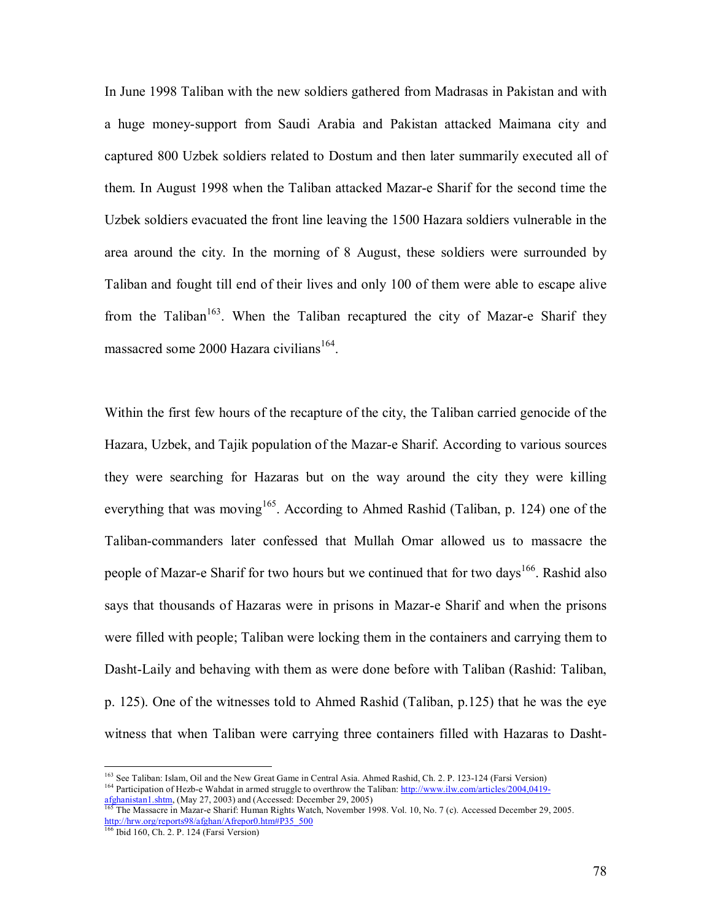In June 1998 Taliban with the new soldiers gathered from Madrasas in Pakistan and with a huge money-support from Saudi Arabia and Pakistan attacked Maimana city and captured 800 Uzbek soldiers related to Dostum and then later summarily executed all of them. In August 1998 when the Taliban attacked Mazar-e Sharif for the second time the Uzbek soldiers evacuated the front line leaving the 1500 Hazara soldiers vulnerable in the area around the city. In the morning of 8 August, these soldiers were surrounded by Taliban and fought till end of their lives and only 100 of them were able to escape alive from the Taliban<sup>163</sup>. When the Taliban recaptured the city of Mazar-e Sharif they massacred some 2000 Hazara civilians<sup>164</sup>.

Within the first few hours of the recapture of the city, the Taliban carried genocide of the Hazara, Uzbek, and Tajik population of the Mazar-e Sharif. According to various sources they were searching for Hazaras but on the way around the city they were killing everything that was moving<sup>165</sup>. According to Ahmed Rashid (Taliban, p. 124) one of the Taliban-commanders later confessed that Mullah Omar allowed us to massacre the people of Mazar-e Sharif for two hours but we continued that for two days<sup>166</sup>. Rashid also says that thousands of Hazaras were in prisons in Mazar-e Sharif and when the prisons were filled with people; Taliban were locking them in the containers and carrying them to Dasht-Laily and behaving with them as were done before with Taliban (Rashid: Taliban, p. 125). One of the witnesses told to Ahmed Rashid (Taliban, p.125) that he was the eye witness that when Taliban were carrying three containers filled with Hazaras to Dasht-

<sup>&</sup>lt;sup>163</sup> See Taliban: Islam, Oil and the New Great Game in Central Asia. Ahmed Rashid, Ch. 2. P. 123-124 (Farsi Version) <sup>164</sup> Participation of Hezb-e Wahdat in armed struggle to overthrow the Taliban: http://www.ilw.com/articles/2004,0419-

afghanistan1.shtm, (May 27, 2003) and (Accessed: December 29, 2005)<br><sup>165</sup> The Massacre in Mazar-e Sharif: Human Rights Watch, November 1998. Vol. 10, No. 7 (c). Accessed December 29, 2005. http://hrw.org/reports98/afghan/Afrepor0.htm#P35\_500<br>166 Ibid 160, Ch. 2. P. 124 (Farsi Version)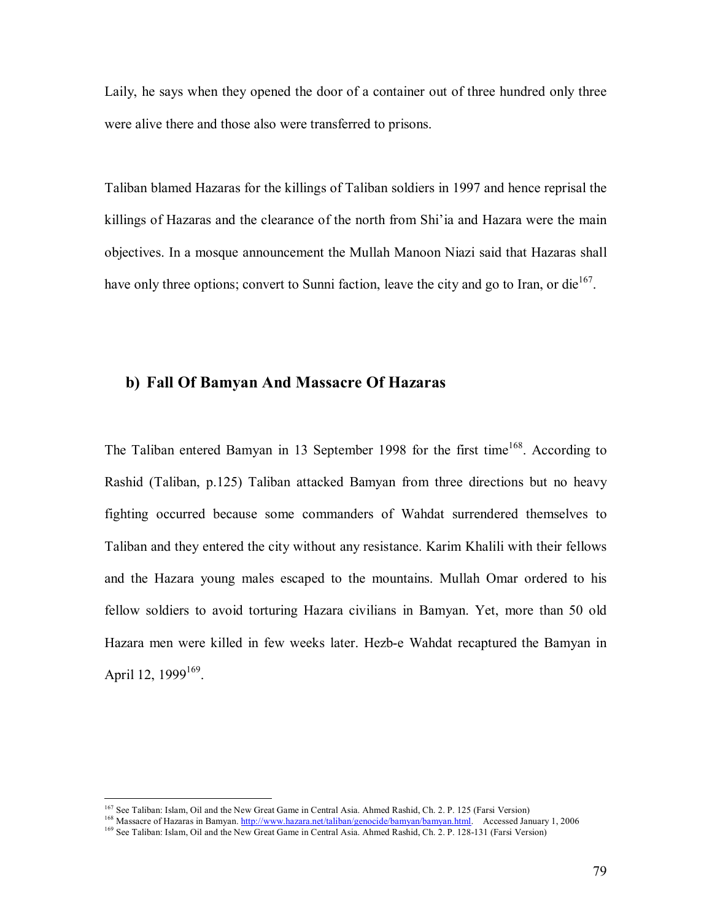Laily, he says when they opened the door of a container out of three hundred only three were alive there and those also were transferred to prisons.

Taliban blamed Hazaras for the killings of Taliban soldiers in 1997 and hence reprisal the killings of Hazaras and the clearance of the north from Shi'ia and Hazara were the main objectives. In a mosque announcement the Mullah Manoon Niazi said that Hazaras shall have only three options; convert to Sunni faction, leave the city and go to Iran, or die<sup>167</sup>.

#### **b) Fall Of Bamyan And Massacre Of Hazaras**

The Taliban entered Bamyan in 13 September 1998 for the first time<sup>168</sup>. According to Rashid (Taliban, p.125) Taliban attacked Bamyan from three directions but no heavy fighting occurred because some commanders of Wahdat surrendered themselves to Taliban and they entered the city without any resistance. Karim Khalili with their fellows and the Hazara young males escaped to the mountains. Mullah Omar ordered to his fellow soldiers to avoid torturing Hazara civilians in Bamyan. Yet, more than 50 old Hazara men were killed in few weeks later. Hezb-e Wahdat recaptured the Bamyan in April 12, 1999 $169$ .

<sup>&</sup>lt;sup>167</sup> See Taliban: Islam, Oil and the New Great Game in Central Asia. Ahmed Rashid, Ch. 2. P. 125 (Farsi Version)

<sup>&</sup>lt;sup>168</sup> Massacre of Hazaras in Bamyan. http://www.hazara.net/taliban/genocide/bamyan/bamyan.html. Accessed January 1, 2006<br><sup>169</sup> See Taliban: Islam, Oil and the New Great Game in Central Asia. Ahmed Rashid, Ch. 2, P. 128-131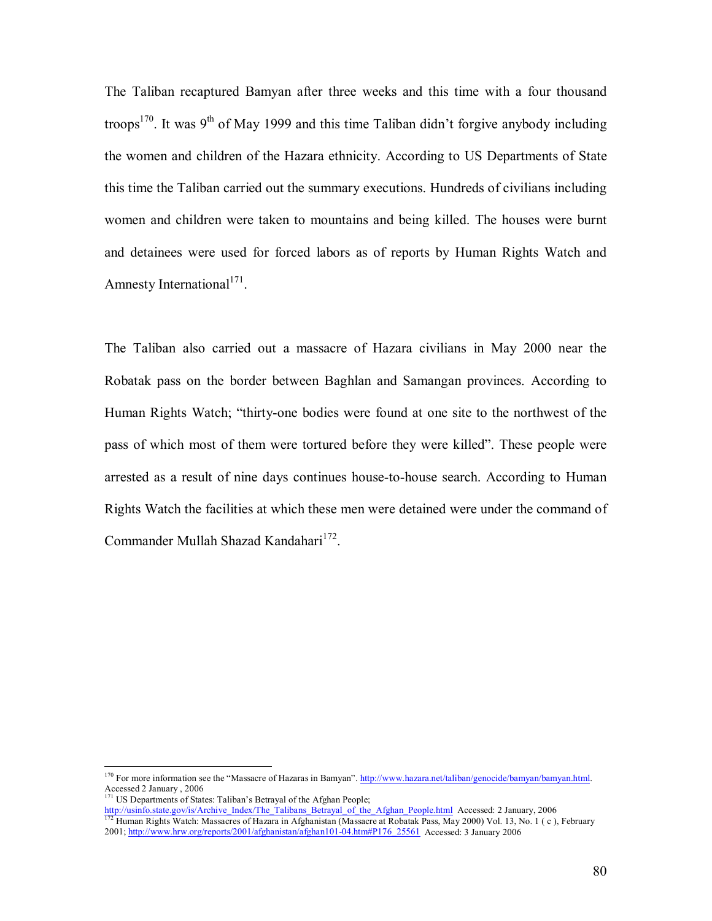The Taliban recaptured Bamyan after three weeks and this time with a four thousand troops<sup>170</sup>. It was 9<sup>th</sup> of May 1999 and this time Taliban didn't forgive anybody including the women and children of the Hazara ethnicity. According to US Departments of State this time the Taliban carried out the summary executions. Hundreds of civilians including women and children were taken to mountains and being killed. The houses were burnt and detainees were used for forced labors as of reports by Human Rights Watch and Amnesty International<sup>171</sup>.

The Taliban also carried out a massacre of Hazara civilians in May 2000 near the Robatak pass on the border between Baghlan and Samangan provinces. According to Human Rights Watch; "thirty-one bodies were found at one site to the northwest of the pass of which most of them were tortured before they were killedî. These people were arrested as a result of nine days continues house-to-house search. According to Human Rights Watch the facilities at which these men were detained were under the command of Commander Mullah Shazad Kandahari<sup>172</sup>.

<u>.</u>

http://usinfo.state.gov/is/Archive\_Index/The\_Talibans\_Betrayal\_of\_the\_Afghan\_People.html Accessed: 2 January, 2006<br><sup>172</sup> Human Rights Watch: Massacres of Hazara in Afghanistan (Massacre at Robatak Pass, May 2000) Vol. 13, 2001; http://www.hrw.org/reports/2001/afghanistan/afghan101-04.htm#P176\_25561 Accessed: 3 January 2006

<sup>&</sup>lt;sup>170</sup> For more information see the "Massacre of Hazaras in Bamyan". http://www.hazara.net/taliban/genocide/bamyan/bamyan.html. Accessed 2 January , 2006

<sup>&</sup>lt;sup>171</sup> US Departments of States: Taliban's Betrayal of the Afghan People;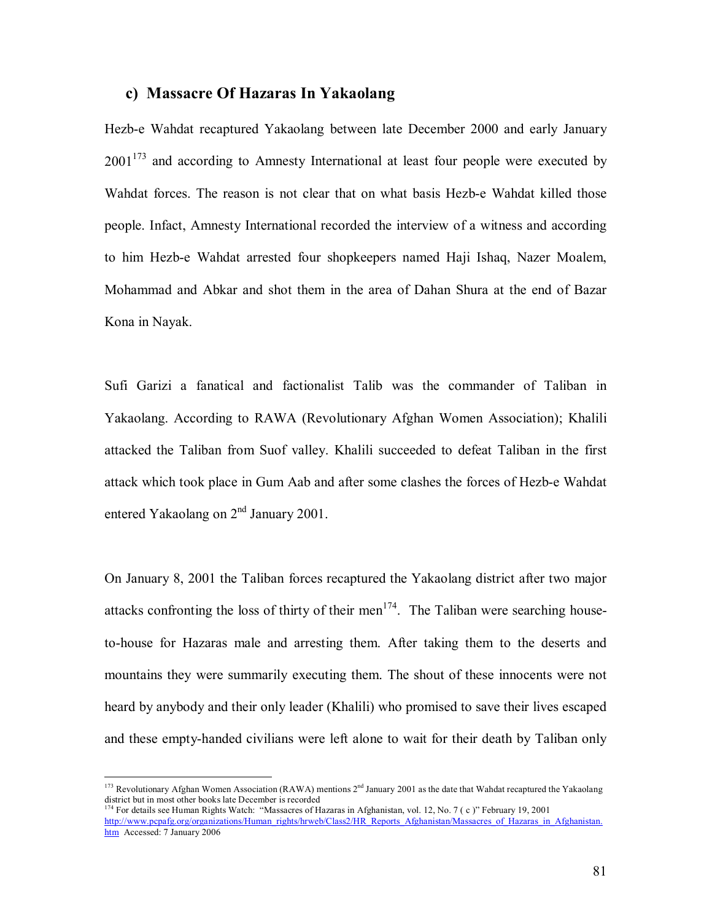#### **c) Massacre Of Hazaras In Yakaolang**

Hezb-e Wahdat recaptured Yakaolang between late December 2000 and early January  $2001^{173}$  and according to Amnesty International at least four people were executed by Wahdat forces. The reason is not clear that on what basis Hezb-e Wahdat killed those people. Infact, Amnesty International recorded the interview of a witness and according to him Hezb-e Wahdat arrested four shopkeepers named Haji Ishaq, Nazer Moalem, Mohammad and Abkar and shot them in the area of Dahan Shura at the end of Bazar Kona in Nayak.

Sufi Garizi a fanatical and factionalist Talib was the commander of Taliban in Yakaolang. According to RAWA (Revolutionary Afghan Women Association); Khalili attacked the Taliban from Suof valley. Khalili succeeded to defeat Taliban in the first attack which took place in Gum Aab and after some clashes the forces of Hezb-e Wahdat entered Yakaolang on 2<sup>nd</sup> January 2001.

On January 8, 2001 the Taliban forces recaptured the Yakaolang district after two major attacks confronting the loss of thirty of their men<sup>174</sup>. The Taliban were searching houseto-house for Hazaras male and arresting them. After taking them to the deserts and mountains they were summarily executing them. The shout of these innocents were not heard by anybody and their only leader (Khalili) who promised to save their lives escaped and these empty-handed civilians were left alone to wait for their death by Taliban only

<sup>&</sup>lt;sup>173</sup> Revolutionary Afghan Women Association (RAWA) mentions  $2<sup>nd</sup>$  January 2001 as the date that Wahdat recaptured the Yakaolang district but in most other books late December is recorded  $\frac{174 \text{ F}}{174 \text{ F}}$ 

<sup>&</sup>lt;sup>4</sup> For details see Human Rights Watch: "Massacres of Hazaras in Afghanistan, vol. 12, No. 7 ( c )" February 19, 2001

http://www.pcpafg.org/organizations/Human\_rights/hrweb/Class2/HR\_Reports\_Afghanistan/Massacres\_of\_Hazaras\_in\_Afghanistan. htm Accessed: 7 January 2006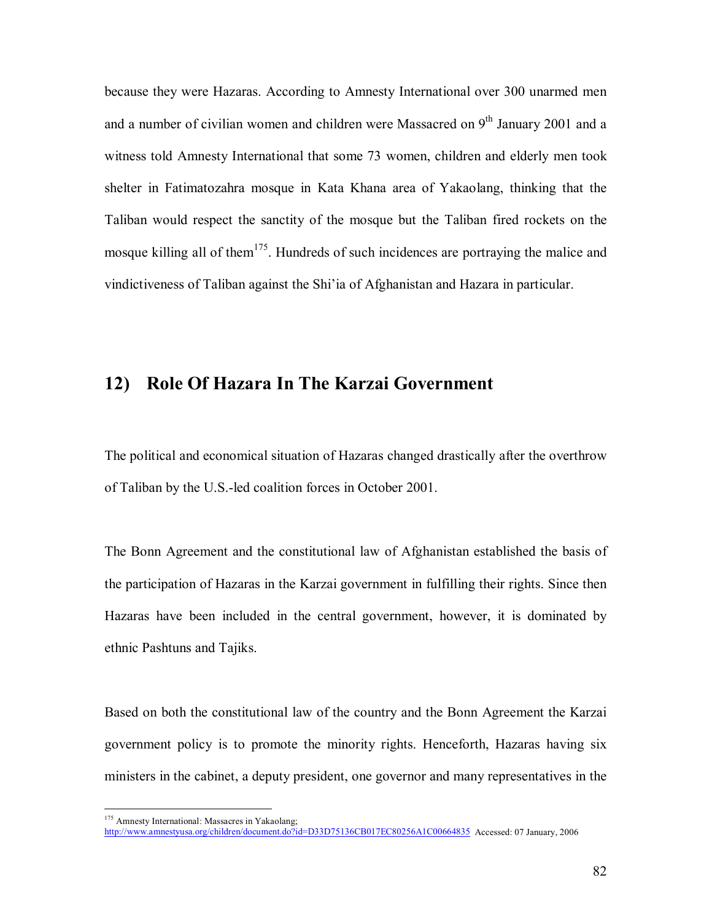because they were Hazaras. According to Amnesty International over 300 unarmed men and a number of civilian women and children were Massacred on  $9<sup>th</sup>$  January 2001 and a witness told Amnesty International that some 73 women, children and elderly men took shelter in Fatimatozahra mosque in Kata Khana area of Yakaolang, thinking that the Taliban would respect the sanctity of the mosque but the Taliban fired rockets on the mosque killing all of them<sup>175</sup>. Hundreds of such incidences are portraying the malice and vindictiveness of Taliban against the Shi'ia of Afghanistan and Hazara in particular.

### **12) Role Of Hazara In The Karzai Government**

The political and economical situation of Hazaras changed drastically after the overthrow of Taliban by the U.S.-led coalition forces in October 2001.

The Bonn Agreement and the constitutional law of Afghanistan established the basis of the participation of Hazaras in the Karzai government in fulfilling their rights. Since then Hazaras have been included in the central government, however, it is dominated by ethnic Pashtuns and Tajiks.

Based on both the constitutional law of the country and the Bonn Agreement the Karzai government policy is to promote the minority rights. Henceforth, Hazaras having six ministers in the cabinet, a deputy president, one governor and many representatives in the

<sup>&</sup>lt;sup>175</sup> Amnesty International: Massacres in Yakaolang; http://www.amnestyusa.org/children/document.do?id=D33D75136CB017EC80256A1C00664835 Accessed: 07 January, 2006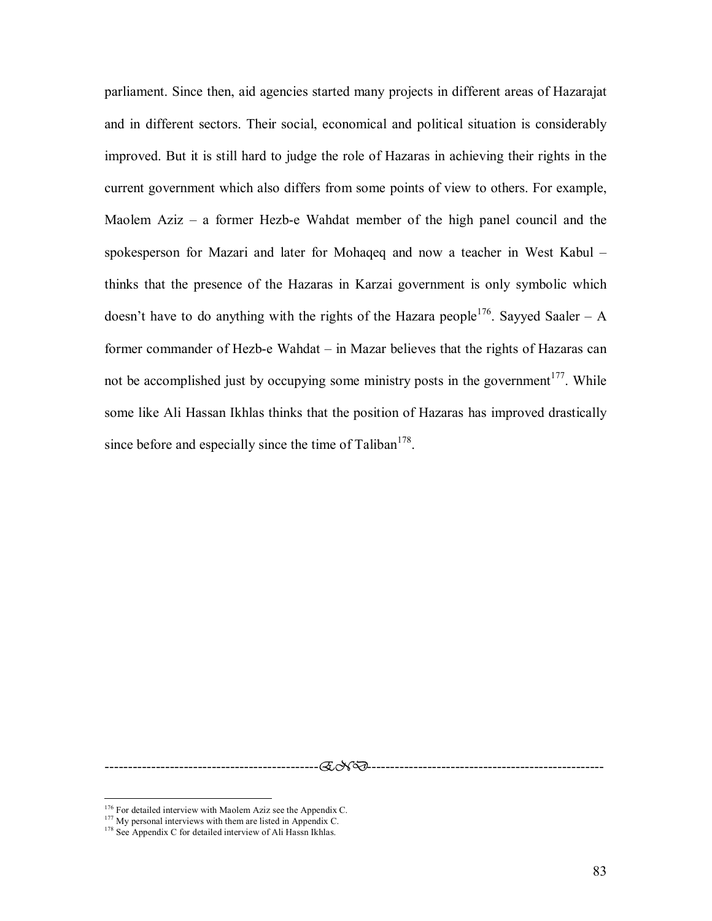parliament. Since then, aid agencies started many projects in different areas of Hazarajat and in different sectors. Their social, economical and political situation is considerably improved. But it is still hard to judge the role of Hazaras in achieving their rights in the current government which also differs from some points of view to others. For example, Maolem Aziz  $-$  a former Hezb-e Wahdat member of the high panel council and the spokesperson for Mazari and later for Mohaqeq and now a teacher in West Kabul – thinks that the presence of the Hazaras in Karzai government is only symbolic which doesn't have to do anything with the rights of the Hazara people<sup>176</sup>. Sayyed Saaler – A former commander of Hezb-e Wahdat  $-$  in Mazar believes that the rights of Hazaras can not be accomplished just by occupying some ministry posts in the government<sup>177</sup>. While some like Ali Hassan Ikhlas thinks that the position of Hazaras has improved drastically since before and especially since the time of Taliban $178$ .

----------------------------------------------*END*---------------------------------------------------

<sup>&</sup>lt;sup>176</sup> For detailed interview with Maolem Aziz see the Appendix C.  $177$  My personal interviews with them are listed in Appendix C.  $178$  See Appendix C for detailed interview of Ali Hassn Ikhlas.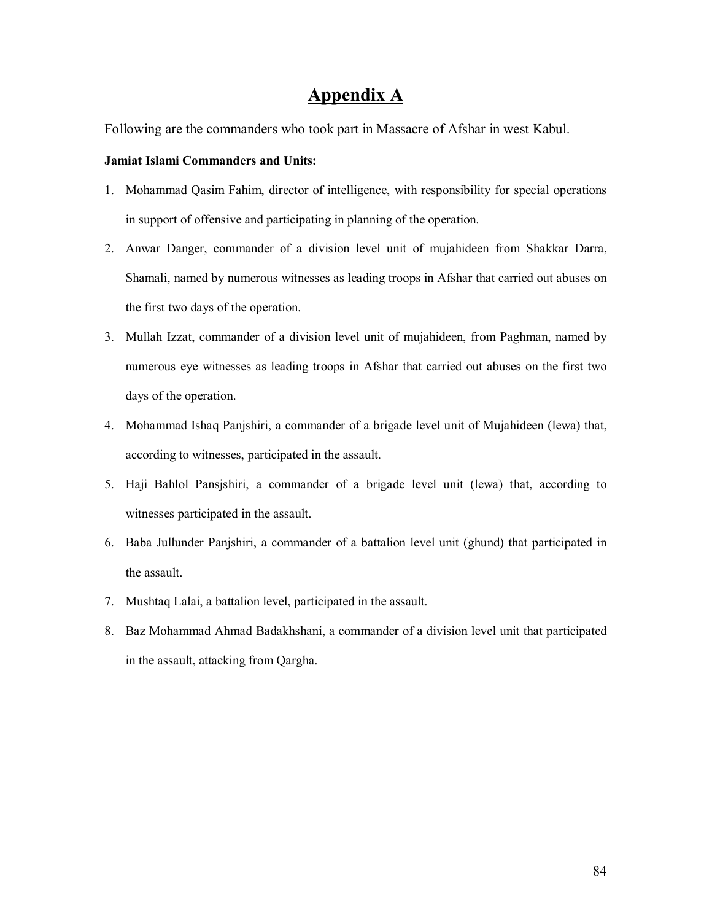## **Appendix A**

Following are the commanders who took part in Massacre of Afshar in west Kabul.

#### **Jamiat Islami Commanders and Units:**

- 1. Mohammad Qasim Fahim, director of intelligence, with responsibility for special operations in support of offensive and participating in planning of the operation.
- 2. Anwar Danger, commander of a division level unit of mujahideen from Shakkar Darra, Shamali, named by numerous witnesses as leading troops in Afshar that carried out abuses on the first two days of the operation.
- 3. Mullah Izzat, commander of a division level unit of mujahideen, from Paghman, named by numerous eye witnesses as leading troops in Afshar that carried out abuses on the first two days of the operation.
- 4. Mohammad Ishaq Panjshiri, a commander of a brigade level unit of Mujahideen (lewa) that, according to witnesses, participated in the assault.
- 5. Haji Bahlol Pansjshiri, a commander of a brigade level unit (lewa) that, according to witnesses participated in the assault.
- 6. Baba Jullunder Panjshiri, a commander of a battalion level unit (ghund) that participated in the assault.
- 7. Mushtaq Lalai, a battalion level, participated in the assault.
- 8. Baz Mohammad Ahmad Badakhshani, a commander of a division level unit that participated in the assault, attacking from Qargha.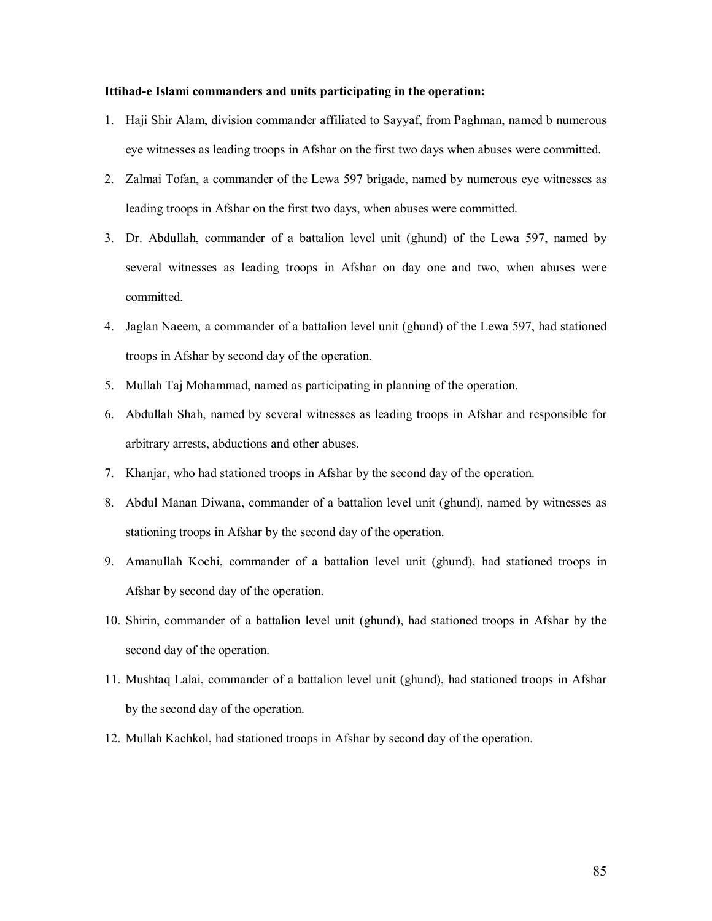#### **Ittihad-e Islami commanders and units participating in the operation:**

- 1. Haji Shir Alam, division commander affiliated to Sayyaf, from Paghman, named b numerous eye witnesses as leading troops in Afshar on the first two days when abuses were committed.
- 2. Zalmai Tofan, a commander of the Lewa 597 brigade, named by numerous eye witnesses as leading troops in Afshar on the first two days, when abuses were committed.
- 3. Dr. Abdullah, commander of a battalion level unit (ghund) of the Lewa 597, named by several witnesses as leading troops in Afshar on day one and two, when abuses were committed.
- 4. Jaglan Naeem, a commander of a battalion level unit (ghund) of the Lewa 597, had stationed troops in Afshar by second day of the operation.
- 5. Mullah Taj Mohammad, named as participating in planning of the operation.
- 6. Abdullah Shah, named by several witnesses as leading troops in Afshar and responsible for arbitrary arrests, abductions and other abuses.
- 7. Khanjar, who had stationed troops in Afshar by the second day of the operation.
- 8. Abdul Manan Diwana, commander of a battalion level unit (ghund), named by witnesses as stationing troops in Afshar by the second day of the operation.
- 9. Amanullah Kochi, commander of a battalion level unit (ghund), had stationed troops in Afshar by second day of the operation.
- 10. Shirin, commander of a battalion level unit (ghund), had stationed troops in Afshar by the second day of the operation.
- 11. Mushtaq Lalai, commander of a battalion level unit (ghund), had stationed troops in Afshar by the second day of the operation.
- 12. Mullah Kachkol, had stationed troops in Afshar by second day of the operation.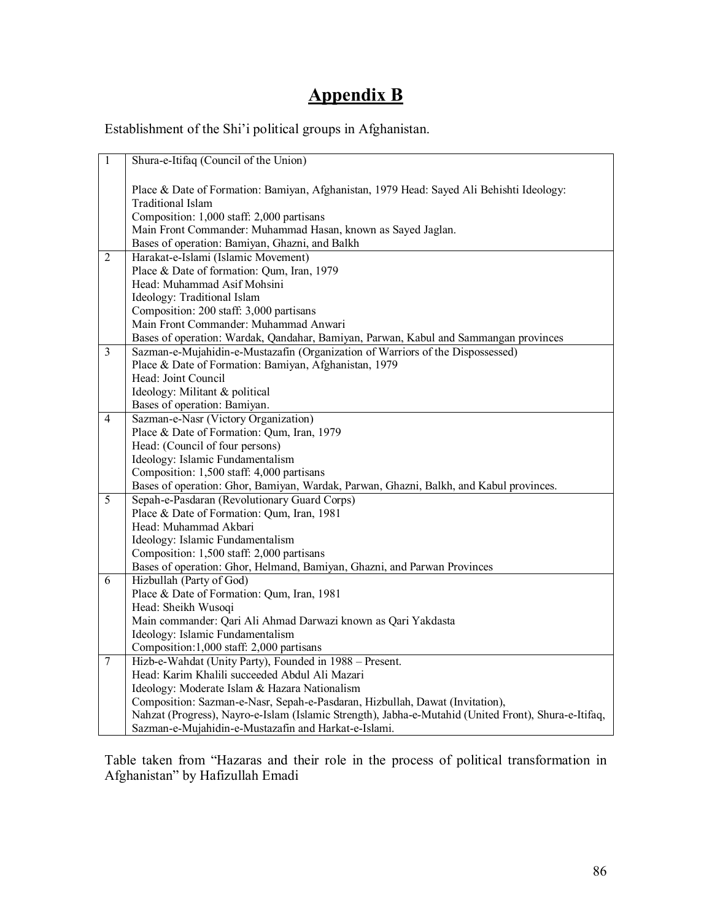# **Appendix B**

Establishment of the Shi'i political groups in Afghanistan.

| $\overline{1}$  | Shura-e-Itifaq (Council of the Union)                                                                |
|-----------------|------------------------------------------------------------------------------------------------------|
|                 |                                                                                                      |
|                 | Place & Date of Formation: Bamiyan, Afghanistan, 1979 Head: Sayed Ali Behishti Ideology:             |
|                 | <b>Traditional Islam</b>                                                                             |
|                 | Composition: 1,000 staff: 2,000 partisans                                                            |
|                 | Main Front Commander: Muhammad Hasan, known as Sayed Jaglan.                                         |
|                 | Bases of operation: Bamiyan, Ghazni, and Balkh                                                       |
| $\overline{2}$  |                                                                                                      |
|                 | Harakat-e-Islami (Islamic Movement)                                                                  |
|                 | Place & Date of formation: Qum, Iran, 1979                                                           |
|                 | Head: Muhammad Asif Mohsini                                                                          |
|                 | Ideology: Traditional Islam                                                                          |
|                 | Composition: 200 staff: 3,000 partisans                                                              |
|                 | Main Front Commander: Muhammad Anwari                                                                |
|                 | Bases of operation: Wardak, Qandahar, Bamiyan, Parwan, Kabul and Sammangan provinces                 |
| $\overline{3}$  | Sazman-e-Mujahidin-e-Mustazafin (Organization of Warriors of the Dispossessed)                       |
|                 | Place & Date of Formation: Bamiyan, Afghanistan, 1979                                                |
|                 | Head: Joint Council                                                                                  |
|                 | Ideology: Militant & political                                                                       |
|                 | Bases of operation: Bamiyan.                                                                         |
| $\overline{4}$  | Sazman-e-Nasr (Victory Organization)                                                                 |
|                 | Place & Date of Formation: Qum, Iran, 1979                                                           |
|                 | Head: (Council of four persons)                                                                      |
|                 | Ideology: Islamic Fundamentalism                                                                     |
|                 | Composition: 1,500 staff: 4,000 partisans                                                            |
|                 | Bases of operation: Ghor, Bamiyan, Wardak, Parwan, Ghazni, Balkh, and Kabul provinces.               |
| $\overline{5}$  | Sepah-e-Pasdaran (Revolutionary Guard Corps)                                                         |
|                 | Place & Date of Formation: Qum, Iran, 1981                                                           |
|                 | Head: Muhammad Akbari                                                                                |
|                 | Ideology: Islamic Fundamentalism                                                                     |
|                 | Composition: 1,500 staff: 2,000 partisans                                                            |
|                 | Bases of operation: Ghor, Helmand, Bamiyan, Ghazni, and Parwan Provinces                             |
| 6               | Hizbullah (Party of God)                                                                             |
|                 | Place & Date of Formation: Qum, Iran, 1981                                                           |
|                 | Head: Sheikh Wusoqi                                                                                  |
|                 | Main commander: Qari Ali Ahmad Darwazi known as Qari Yakdasta                                        |
|                 | Ideology: Islamic Fundamentalism                                                                     |
|                 | Composition: 1,000 staff: 2,000 partisans                                                            |
| $7\phantom{.0}$ | Hizb-e-Wahdat (Unity Party), Founded in 1988 – Present.                                              |
|                 | Head: Karim Khalili succeeded Abdul Ali Mazari                                                       |
|                 | Ideology: Moderate Islam & Hazara Nationalism                                                        |
|                 | Composition: Sazman-e-Nasr, Sepah-e-Pasdaran, Hizbullah, Dawat (Invitation),                         |
|                 | Nahzat (Progress), Nayro-e-Islam (Islamic Strength), Jabha-e-Mutahid (United Front), Shura-e-Itifaq, |
|                 | Sazman-e-Mujahidin-e-Mustazafin and Harkat-e-Islami.                                                 |

Table taken from "Hazaras and their role in the process of political transformation in Afghanistan" by Hafizullah Emadi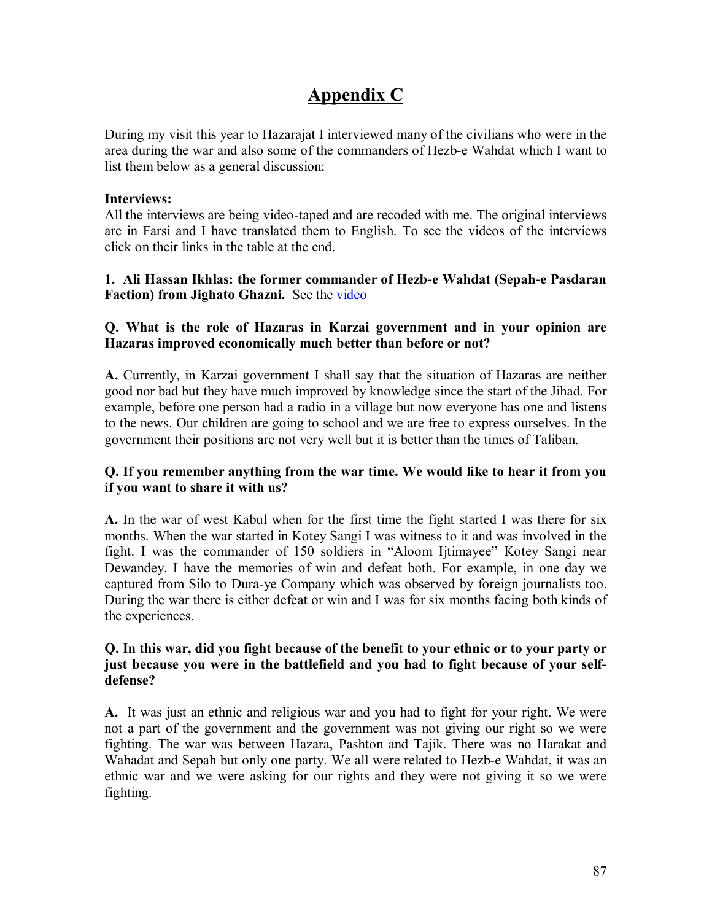# **Appendix C**

During my visit this year to Hazarajat I interviewed many of the civilians who were in the area during the war and also some of the commanders of Hezb-e Wahdat which I want to list them below as a general discussion:

#### **Interviews:**

All the interviews are being video-taped and are recoded with me. The original interviews are in Farsi and I have translated them to English. To see the videos of the interviews click on their links in the table at the end.

#### **1. Ali Hassan Ikhlas: the former commander of Hezb-e Wahdat (Sepah-e Pasdaran Faction) from Jighato Ghazni.** See the video

#### **Q. What is the role of Hazaras in Karzai government and in your opinion are Hazaras improved economically much better than before or not?**

**A.** Currently, in Karzai government I shall say that the situation of Hazaras are neither good nor bad but they have much improved by knowledge since the start of the Jihad. For example, before one person had a radio in a village but now everyone has one and listens to the news. Our children are going to school and we are free to express ourselves. In the government their positions are not very well but it is better than the times of Taliban.

#### **Q. If you remember anything from the war time. We would like to hear it from you if you want to share it with us?**

**A.** In the war of west Kabul when for the first time the fight started I was there for six months. When the war started in Kotey Sangi I was witness to it and was involved in the fight. I was the commander of 150 soldiers in "Aloom Ijtimayee" Kotey Sangi near Dewandey. I have the memories of win and defeat both. For example, in one day we captured from Silo to Dura-ye Company which was observed by foreign journalists too. During the war there is either defeat or win and I was for six months facing both kinds of the experiences.

#### **Q. In this war, did you fight because of the benefit to your ethnic or to your party or just because you were in the battlefield and you had to fight because of your selfdefense?**

**A.** It was just an ethnic and religious war and you had to fight for your right. We were not a part of the government and the government was not giving our right so we were fighting. The war was between Hazara, Pashton and Tajik. There was no Harakat and Wahadat and Sepah but only one party. We all were related to Hezb-e Wahdat, it was an ethnic war and we were asking for our rights and they were not giving it so we were fighting.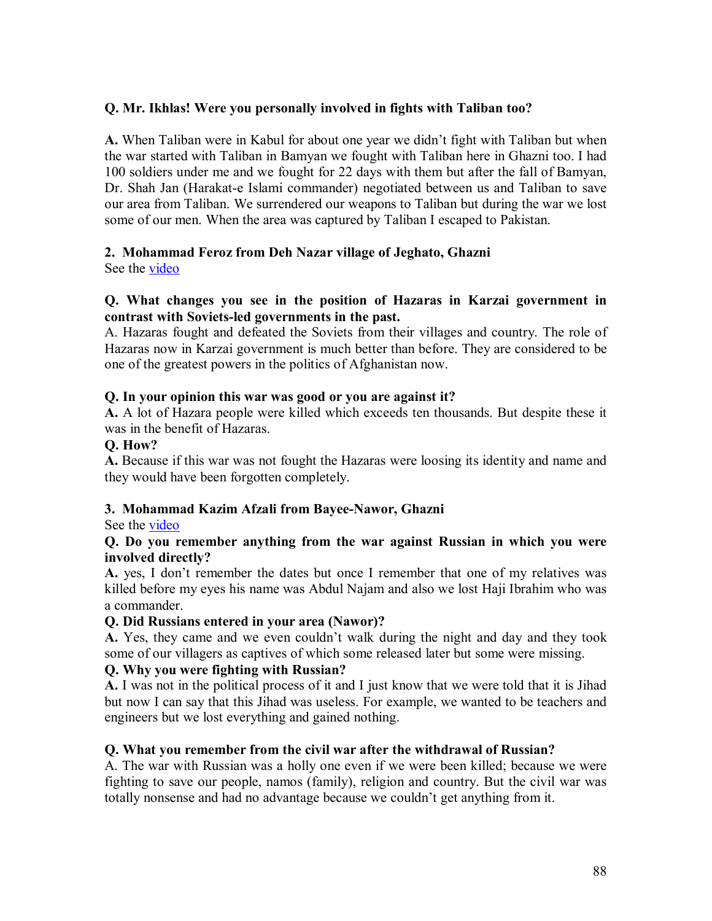#### **Q. Mr. Ikhlas! Were you personally involved in fights with Taliban too?**

A. When Taliban were in Kabul for about one year we didn't fight with Taliban but when the war started with Taliban in Bamyan we fought with Taliban here in Ghazni too. I had 100 soldiers under me and we fought for 22 days with them but after the fall of Bamyan, Dr. Shah Jan (Harakat-e Islami commander) negotiated between us and Taliban to save our area from Taliban. We surrendered our weapons to Taliban but during the war we lost some of our men. When the area was captured by Taliban I escaped to Pakistan.

#### **2. Mohammad Feroz from Deh Nazar village of Jeghato, Ghazni**

See the <u>video</u>

#### **Q. What changes you see in the position of Hazaras in Karzai government in contrast with Soviets-led governments in the past.**

A. Hazaras fought and defeated the Soviets from their villages and country. The role of Hazaras now in Karzai government is much better than before. They are considered to be one of the greatest powers in the politics of Afghanistan now.

#### **Q. In your opinion this war was good or you are against it?**

**A.** A lot of Hazara people were killed which exceeds ten thousands. But despite these it was in the benefit of Hazaras.

#### **Q. How?**

**A.** Because if this war was not fought the Hazaras were loosing its identity and name and they would have been forgotten completely.

#### **3. Mohammad Kazim Afzali from Bayee-Nawor, Ghazni**

#### See the video

#### **Q. Do you remember anything from the war against Russian in which you were involved directly?**

**A.** yes, I donít remember the dates but once I remember that one of my relatives was killed before my eyes his name was Abdul Najam and also we lost Haji Ibrahim who was a commander.

#### **Q. Did Russians entered in your area (Nawor)?**

A. Yes, they came and we even couldn't walk during the night and day and they took some of our villagers as captives of which some released later but some were missing.

#### **Q. Why you were fighting with Russian?**

**A.** I was not in the political process of it and I just know that we were told that it is Jihad but now I can say that this Jihad was useless. For example, we wanted to be teachers and engineers but we lost everything and gained nothing.

#### **Q. What you remember from the civil war after the withdrawal of Russian?**

A. The war with Russian was a holly one even if we were been killed; because we were fighting to save our people, namos (family), religion and country. But the civil war was totally nonsense and had no advantage because we couldn't get anything from it.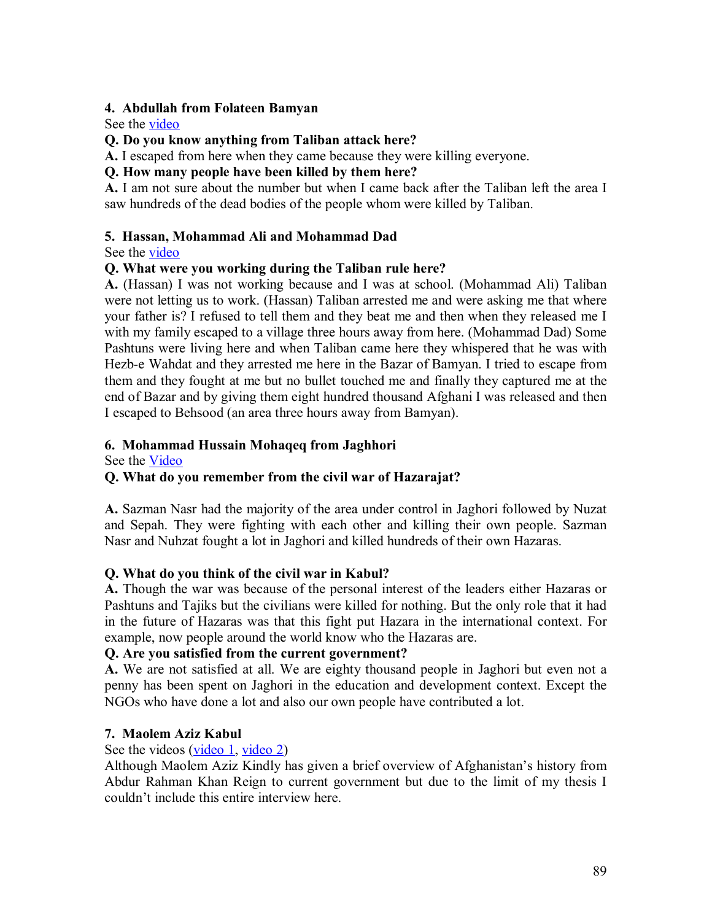#### **4. Abdullah from Folateen Bamyan**

See the video

#### **Q. Do you know anything from Taliban attack here?**

**A.** I escaped from here when they came because they were killing everyone.

#### **Q. How many people have been killed by them here?**

**A.** I am not sure about the number but when I came back after the Taliban left the area I saw hundreds of the dead bodies of the people whom were killed by Taliban.

#### **5. Hassan, Mohammad Ali and Mohammad Dad**

See the video

#### **Q. What were you working during the Taliban rule here?**

**A.** (Hassan) I was not working because and I was at school. (Mohammad Ali) Taliban were not letting us to work. (Hassan) Taliban arrested me and were asking me that where your father is? I refused to tell them and they beat me and then when they released me I with my family escaped to a village three hours away from here. (Mohammad Dad) Some Pashtuns were living here and when Taliban came here they whispered that he was with Hezb-e Wahdat and they arrested me here in the Bazar of Bamyan. I tried to escape from them and they fought at me but no bullet touched me and finally they captured me at the end of Bazar and by giving them eight hundred thousand Afghani I was released and then I escaped to Behsood (an area three hours away from Bamyan).

#### **6. Mohammad Hussain Mohaqeq from Jaghhori**

See the Video

#### **Q. What do you remember from the civil war of Hazarajat?**

**A.** Sazman Nasr had the majority of the area under control in Jaghori followed by Nuzat and Sepah. They were fighting with each other and killing their own people. Sazman Nasr and Nuhzat fought a lot in Jaghori and killed hundreds of their own Hazaras.

#### **Q. What do you think of the civil war in Kabul?**

**A.** Though the war was because of the personal interest of the leaders either Hazaras or Pashtuns and Tajiks but the civilians were killed for nothing. But the only role that it had in the future of Hazaras was that this fight put Hazara in the international context. For example, now people around the world know who the Hazaras are.

#### **Q. Are you satisfied from the current government?**

**A.** We are not satisfied at all. We are eighty thousand people in Jaghori but even not a penny has been spent on Jaghori in the education and development context. Except the NGOs who have done a lot and also our own people have contributed a lot.

#### **7. Maolem Aziz Kabul**

See the videos (video 1, video 2)

Although Maolem Aziz Kindly has given a brief overview of Afghanistan's history from Abdur Rahman Khan Reign to current government but due to the limit of my thesis I couldn't include this entire interview here.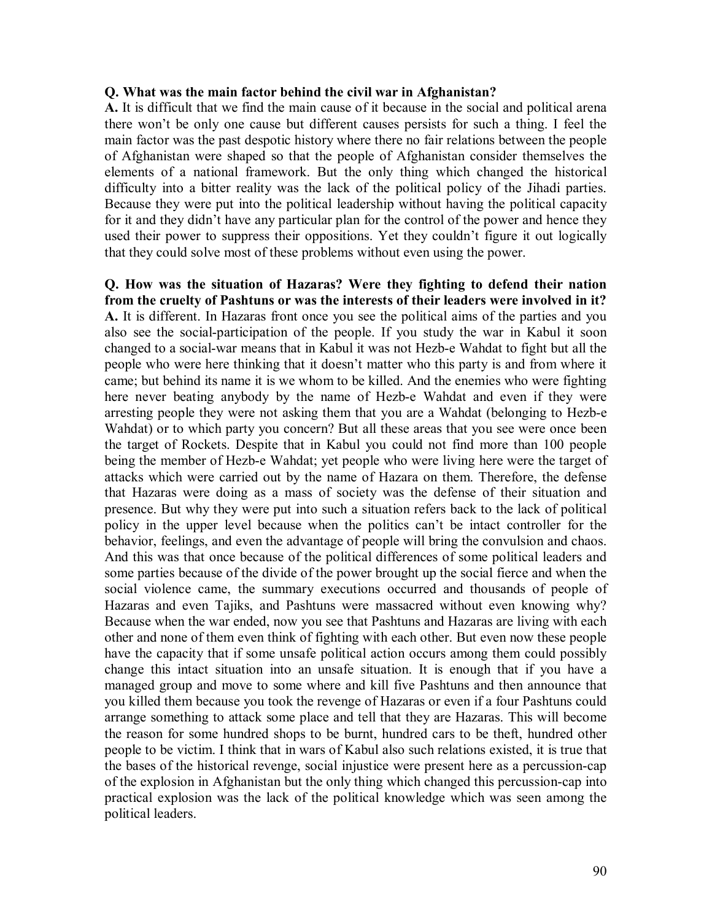#### **Q. What was the main factor behind the civil war in Afghanistan?**

**A.** It is difficult that we find the main cause of it because in the social and political arena there won't be only one cause but different causes persists for such a thing. I feel the main factor was the past despotic history where there no fair relations between the people of Afghanistan were shaped so that the people of Afghanistan consider themselves the elements of a national framework. But the only thing which changed the historical difficulty into a bitter reality was the lack of the political policy of the Jihadi parties. Because they were put into the political leadership without having the political capacity for it and they didn't have any particular plan for the control of the power and hence they used their power to suppress their oppositions. Yet they couldn't figure it out logically that they could solve most of these problems without even using the power.

**Q. How was the situation of Hazaras? Were they fighting to defend their nation from the cruelty of Pashtuns or was the interests of their leaders were involved in it? A.** It is different. In Hazaras front once you see the political aims of the parties and you also see the social-participation of the people. If you study the war in Kabul it soon changed to a social-war means that in Kabul it was not Hezb-e Wahdat to fight but all the people who were here thinking that it doesn't matter who this party is and from where it came; but behind its name it is we whom to be killed. And the enemies who were fighting here never beating anybody by the name of Hezb-e Wahdat and even if they were arresting people they were not asking them that you are a Wahdat (belonging to Hezb-e Wahdat) or to which party you concern? But all these areas that you see were once been the target of Rockets. Despite that in Kabul you could not find more than 100 people being the member of Hezb-e Wahdat; yet people who were living here were the target of attacks which were carried out by the name of Hazara on them. Therefore, the defense that Hazaras were doing as a mass of society was the defense of their situation and presence. But why they were put into such a situation refers back to the lack of political policy in the upper level because when the politics can't be intact controller for the behavior, feelings, and even the advantage of people will bring the convulsion and chaos. And this was that once because of the political differences of some political leaders and some parties because of the divide of the power brought up the social fierce and when the social violence came, the summary executions occurred and thousands of people of Hazaras and even Tajiks, and Pashtuns were massacred without even knowing why? Because when the war ended, now you see that Pashtuns and Hazaras are living with each other and none of them even think of fighting with each other. But even now these people have the capacity that if some unsafe political action occurs among them could possibly change this intact situation into an unsafe situation. It is enough that if you have a managed group and move to some where and kill five Pashtuns and then announce that you killed them because you took the revenge of Hazaras or even if a four Pashtuns could arrange something to attack some place and tell that they are Hazaras. This will become the reason for some hundred shops to be burnt, hundred cars to be theft, hundred other people to be victim. I think that in wars of Kabul also such relations existed, it is true that the bases of the historical revenge, social injustice were present here as a percussion-cap of the explosion in Afghanistan but the only thing which changed this percussion-cap into practical explosion was the lack of the political knowledge which was seen among the political leaders.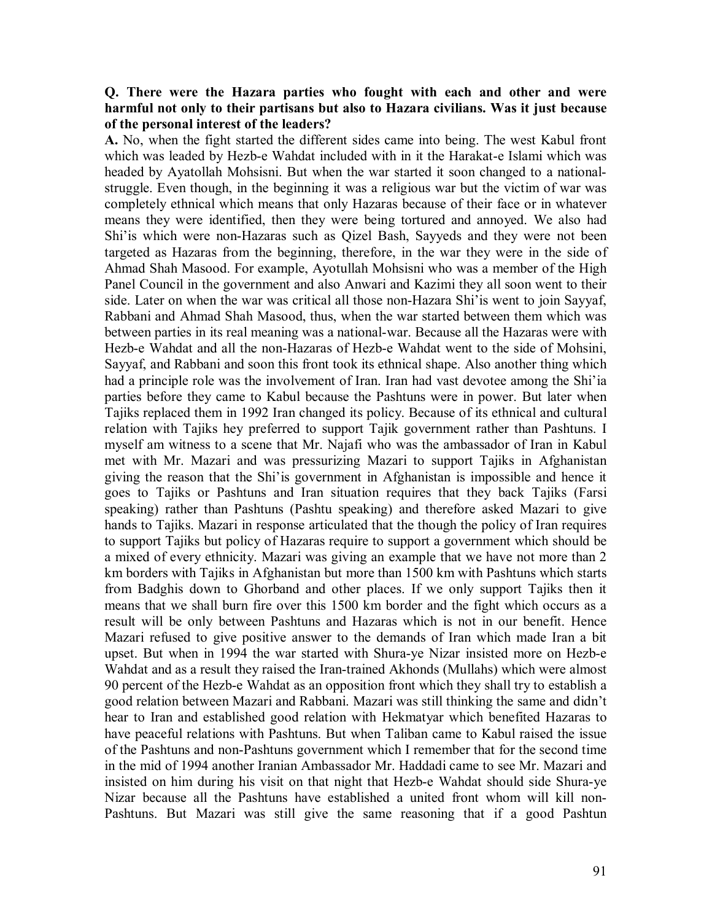#### **Q. There were the Hazara parties who fought with each and other and were harmful not only to their partisans but also to Hazara civilians. Was it just because of the personal interest of the leaders?**

**A.** No, when the fight started the different sides came into being. The west Kabul front which was leaded by Hezb-e Wahdat included with in it the Harakat-e Islami which was headed by Ayatollah Mohsisni. But when the war started it soon changed to a nationalstruggle. Even though, in the beginning it was a religious war but the victim of war was completely ethnical which means that only Hazaras because of their face or in whatever means they were identified, then they were being tortured and annoyed. We also had Shi'is which were non-Hazaras such as Qizel Bash, Sayyeds and they were not been targeted as Hazaras from the beginning, therefore, in the war they were in the side of Ahmad Shah Masood. For example, Ayotullah Mohsisni who was a member of the High Panel Council in the government and also Anwari and Kazimi they all soon went to their side. Later on when the war was critical all those non-Hazara Shi'is went to join Sayyaf, Rabbani and Ahmad Shah Masood, thus, when the war started between them which was between parties in its real meaning was a national-war. Because all the Hazaras were with Hezb-e Wahdat and all the non-Hazaras of Hezb-e Wahdat went to the side of Mohsini, Sayyaf, and Rabbani and soon this front took its ethnical shape. Also another thing which had a principle role was the involvement of Iran. Iran had vast devotee among the Shi'ia parties before they came to Kabul because the Pashtuns were in power. But later when Tajiks replaced them in 1992 Iran changed its policy. Because of its ethnical and cultural relation with Tajiks hey preferred to support Tajik government rather than Pashtuns. I myself am witness to a scene that Mr. Najafi who was the ambassador of Iran in Kabul met with Mr. Mazari and was pressurizing Mazari to support Tajiks in Afghanistan giving the reason that the Shi'is government in Afghanistan is impossible and hence it goes to Tajiks or Pashtuns and Iran situation requires that they back Tajiks (Farsi speaking) rather than Pashtuns (Pashtu speaking) and therefore asked Mazari to give hands to Tajiks. Mazari in response articulated that the though the policy of Iran requires to support Tajiks but policy of Hazaras require to support a government which should be a mixed of every ethnicity. Mazari was giving an example that we have not more than 2 km borders with Tajiks in Afghanistan but more than 1500 km with Pashtuns which starts from Badghis down to Ghorband and other places. If we only support Tajiks then it means that we shall burn fire over this 1500 km border and the fight which occurs as a result will be only between Pashtuns and Hazaras which is not in our benefit. Hence Mazari refused to give positive answer to the demands of Iran which made Iran a bit upset. But when in 1994 the war started with Shura-ye Nizar insisted more on Hezb-e Wahdat and as a result they raised the Iran-trained Akhonds (Mullahs) which were almost 90 percent of the Hezb-e Wahdat as an opposition front which they shall try to establish a good relation between Mazari and Rabbani. Mazari was still thinking the same and didn't hear to Iran and established good relation with Hekmatyar which benefited Hazaras to have peaceful relations with Pashtuns. But when Taliban came to Kabul raised the issue of the Pashtuns and non-Pashtuns government which I remember that for the second time in the mid of 1994 another Iranian Ambassador Mr. Haddadi came to see Mr. Mazari and insisted on him during his visit on that night that Hezb-e Wahdat should side Shura-ye Nizar because all the Pashtuns have established a united front whom will kill non-Pashtuns. But Mazari was still give the same reasoning that if a good Pashtun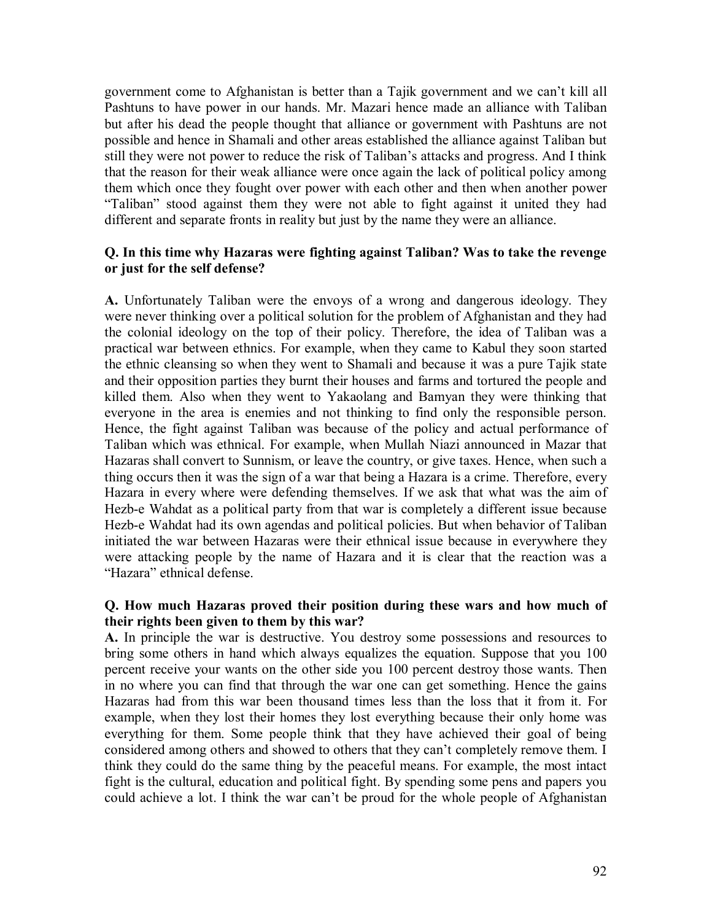government come to Afghanistan is better than a Tajik government and we canít kill all Pashtuns to have power in our hands. Mr. Mazari hence made an alliance with Taliban but after his dead the people thought that alliance or government with Pashtuns are not possible and hence in Shamali and other areas established the alliance against Taliban but still they were not power to reduce the risk of Taliban's attacks and progress. And I think that the reason for their weak alliance were once again the lack of political policy among them which once they fought over power with each other and then when another power "Taliban" stood against them they were not able to fight against it united they had different and separate fronts in reality but just by the name they were an alliance.

#### **Q. In this time why Hazaras were fighting against Taliban? Was to take the revenge or just for the self defense?**

**A.** Unfortunately Taliban were the envoys of a wrong and dangerous ideology. They were never thinking over a political solution for the problem of Afghanistan and they had the colonial ideology on the top of their policy. Therefore, the idea of Taliban was a practical war between ethnics. For example, when they came to Kabul they soon started the ethnic cleansing so when they went to Shamali and because it was a pure Tajik state and their opposition parties they burnt their houses and farms and tortured the people and killed them. Also when they went to Yakaolang and Bamyan they were thinking that everyone in the area is enemies and not thinking to find only the responsible person. Hence, the fight against Taliban was because of the policy and actual performance of Taliban which was ethnical. For example, when Mullah Niazi announced in Mazar that Hazaras shall convert to Sunnism, or leave the country, or give taxes. Hence, when such a thing occurs then it was the sign of a war that being a Hazara is a crime. Therefore, every Hazara in every where were defending themselves. If we ask that what was the aim of Hezb-e Wahdat as a political party from that war is completely a different issue because Hezb-e Wahdat had its own agendas and political policies. But when behavior of Taliban initiated the war between Hazaras were their ethnical issue because in everywhere they were attacking people by the name of Hazara and it is clear that the reaction was a "Hazara" ethnical defense.

#### **Q. How much Hazaras proved their position during these wars and how much of their rights been given to them by this war?**

**A.** In principle the war is destructive. You destroy some possessions and resources to bring some others in hand which always equalizes the equation. Suppose that you 100 percent receive your wants on the other side you 100 percent destroy those wants. Then in no where you can find that through the war one can get something. Hence the gains Hazaras had from this war been thousand times less than the loss that it from it. For example, when they lost their homes they lost everything because their only home was everything for them. Some people think that they have achieved their goal of being considered among others and showed to others that they can't completely remove them. I think they could do the same thing by the peaceful means. For example, the most intact fight is the cultural, education and political fight. By spending some pens and papers you could achieve a lot. I think the war can't be proud for the whole people of Afghanistan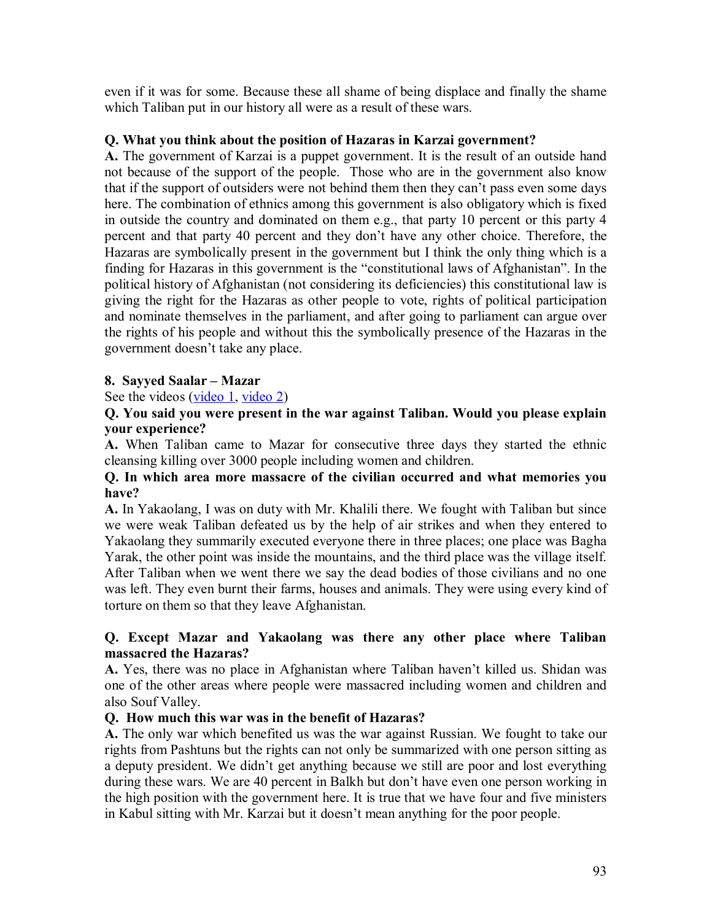even if it was for some. Because these all shame of being displace and finally the shame which Taliban put in our history all were as a result of these wars.

#### **Q. What you think about the position of Hazaras in Karzai government?**

**A.** The government of Karzai is a puppet government. It is the result of an outside hand not because of the support of the people. Those who are in the government also know that if the support of outsiders were not behind them then they can't pass even some days here. The combination of ethnics among this government is also obligatory which is fixed in outside the country and dominated on them e.g., that party 10 percent or this party 4 percent and that party 40 percent and they don't have any other choice. Therefore, the Hazaras are symbolically present in the government but I think the only thing which is a finding for Hazaras in this government is the "constitutional laws of Afghanistan". In the political history of Afghanistan (not considering its deficiencies) this constitutional law is giving the right for the Hazaras as other people to vote, rights of political participation and nominate themselves in the parliament, and after going to parliament can argue over the rights of his people and without this the symbolically presence of the Hazaras in the government doesn't take any place.

#### **8. Sayyed Saalar – Mazar**

See the videos (video 1, video 2)

#### **Q. You said you were present in the war against Taliban. Would you please explain your experience?**

**A.** When Taliban came to Mazar for consecutive three days they started the ethnic cleansing killing over 3000 people including women and children.

#### **Q. In which area more massacre of the civilian occurred and what memories you have?**

**A.** In Yakaolang, I was on duty with Mr. Khalili there. We fought with Taliban but since we were weak Taliban defeated us by the help of air strikes and when they entered to Yakaolang they summarily executed everyone there in three places; one place was Bagha Yarak, the other point was inside the mountains, and the third place was the village itself. After Taliban when we went there we say the dead bodies of those civilians and no one was left. They even burnt their farms, houses and animals. They were using every kind of torture on them so that they leave Afghanistan.

#### **Q. Except Mazar and Yakaolang was there any other place where Taliban massacred the Hazaras?**

A. Yes, there was no place in Afghanistan where Taliban haven't killed us. Shidan was one of the other areas where people were massacred including women and children and also Souf Valley.

#### **Q. How much this war was in the benefit of Hazaras?**

**A.** The only war which benefited us was the war against Russian. We fought to take our rights from Pashtuns but the rights can not only be summarized with one person sitting as a deputy president. We didn't get anything because we still are poor and lost everything during these wars. We are 40 percent in Balkh but don't have even one person working in the high position with the government here. It is true that we have four and five ministers in Kabul sitting with Mr. Karzai but it doesn't mean anything for the poor people.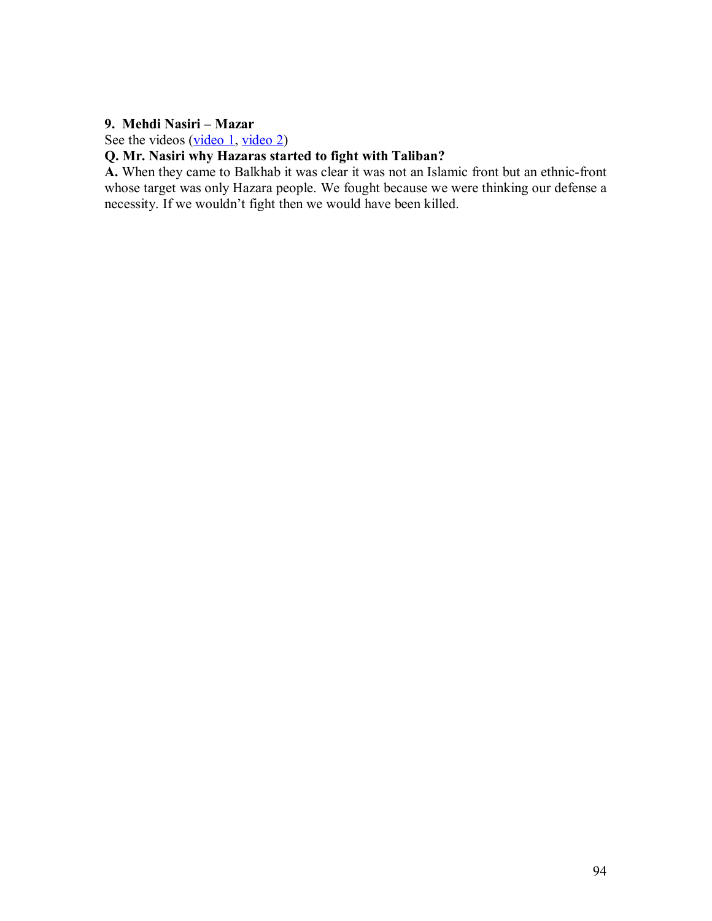#### **9. Mehdi Nasiri – Mazar**

See the videos (video 1, video 2)

### **Q. Mr. Nasiri why Hazaras started to fight with Taliban?**

**A.** When they came to Balkhab it was clear it was not an Islamic front but an ethnic-front whose target was only Hazara people. We fought because we were thinking our defense a necessity. If we wouldn't fight then we would have been killed.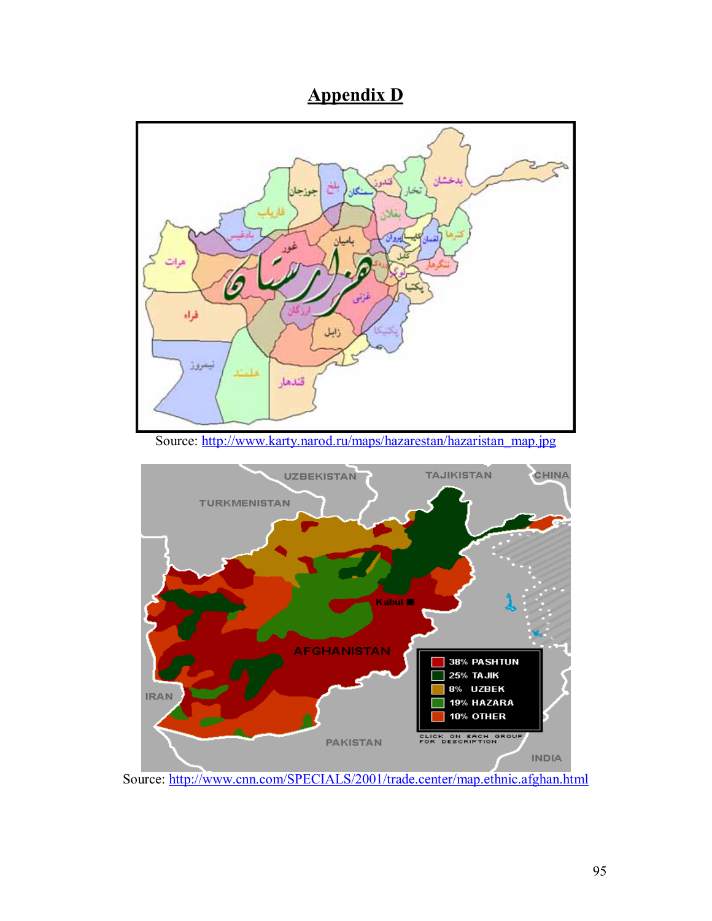## **Appendix D**



Source: http://www.karty.narod.ru/maps/hazarestan/hazaristan\_map.jpg



Source: http://www.cnn.com/SPECIALS/2001/trade.center/map.ethnic.afghan.html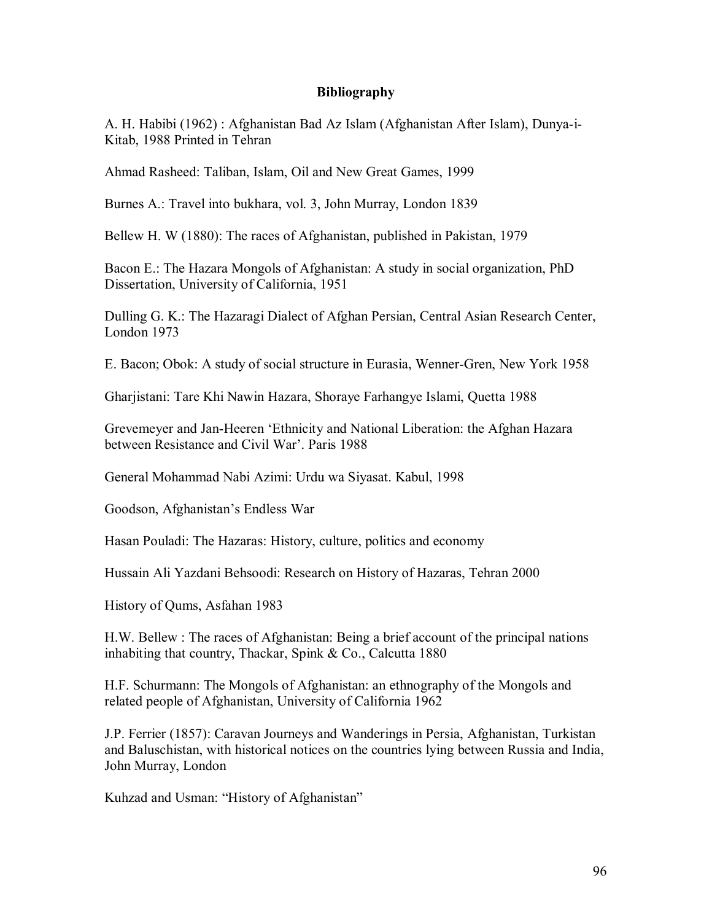#### **Bibliography**

A. H. Habibi (1962) : Afghanistan Bad Az Islam (Afghanistan After Islam), Dunya-i-Kitab, 1988 Printed in Tehran

Ahmad Rasheed: Taliban, Islam, Oil and New Great Games, 1999

Burnes A.: Travel into bukhara, vol. 3, John Murray, London 1839

Bellew H. W (1880): The races of Afghanistan, published in Pakistan, 1979

Bacon E.: The Hazara Mongols of Afghanistan: A study in social organization, PhD Dissertation, University of California, 1951

Dulling G. K.: The Hazaragi Dialect of Afghan Persian, Central Asian Research Center, London 1973

E. Bacon; Obok: A study of social structure in Eurasia, Wenner-Gren, New York 1958

Gharjistani: Tare Khi Nawin Hazara, Shoraye Farhangye Islami, Quetta 1988

Grevemeyer and Jan-Heeren 'Ethnicity and National Liberation: the Afghan Hazara between Resistance and Civil War'. Paris 1988

General Mohammad Nabi Azimi: Urdu wa Siyasat. Kabul, 1998

Goodson, Afghanistan's Endless War

Hasan Pouladi: The Hazaras: History, culture, politics and economy

Hussain Ali Yazdani Behsoodi: Research on History of Hazaras, Tehran 2000

History of Qums, Asfahan 1983

H.W. Bellew : The races of Afghanistan: Being a brief account of the principal nations inhabiting that country, Thackar, Spink & Co., Calcutta 1880

H.F. Schurmann: The Mongols of Afghanistan: an ethnography of the Mongols and related people of Afghanistan, University of California 1962

J.P. Ferrier (1857): Caravan Journeys and Wanderings in Persia, Afghanistan, Turkistan and Baluschistan, with historical notices on the countries lying between Russia and India, John Murray, London

Kuhzad and Usman: "History of Afghanistan"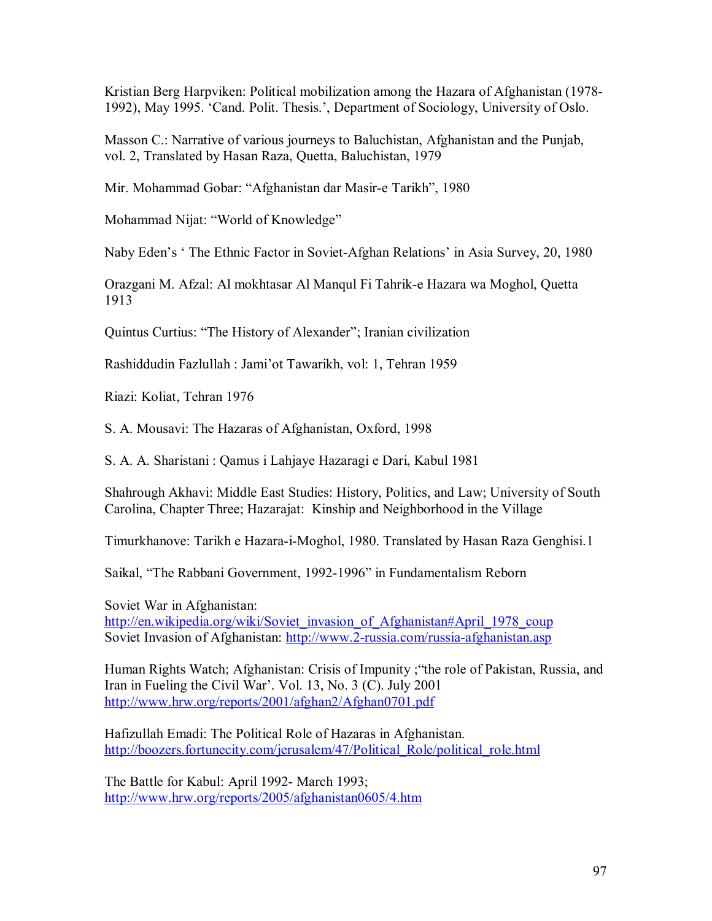Kristian Berg Harpviken: Political mobilization among the Hazara of Afghanistan (1978- 1992), May 1995. 'Cand. Polit. Thesis.', Department of Sociology, University of Oslo.

Masson C.: Narrative of various journeys to Baluchistan, Afghanistan and the Punjab, vol. 2, Translated by Hasan Raza, Quetta, Baluchistan, 1979

Mir. Mohammad Gobar: "Afghanistan dar Masir-e Tarikh", 1980

Mohammad Nijat: "World of Knowledge"

Naby Eden's 'The Ethnic Factor in Soviet-Afghan Relations' in Asia Survey, 20, 1980

Orazgani M. Afzal: Al mokhtasar Al Manqul Fi Tahrik-e Hazara wa Moghol, Quetta 1913

Quintus Curtius: "The History of Alexander"; Iranian civilization

Rashiddudin Fazlullah : Jami'ot Tawarikh, vol: 1, Tehran 1959

Riazi: Koliat, Tehran 1976

S. A. Mousavi: The Hazaras of Afghanistan, Oxford, 1998

S. A. A. Sharistani : Qamus i Lahjaye Hazaragi e Dari, Kabul 1981

Shahrough Akhavi: Middle East Studies: History, Politics, and Law; University of South Carolina, Chapter Three; Hazarajat: Kinship and Neighborhood in the Village

Timurkhanove: Tarikh e Hazara-i-Moghol, 1980. Translated by Hasan Raza Genghisi.1

Saikal, "The Rabbani Government, 1992-1996" in Fundamentalism Reborn

Soviet War in Afghanistan: http://en.wikipedia.org/wiki/Soviet\_invasion\_of\_Afghanistan#April\_1978\_coup Soviet Invasion of Afghanistan: http://www.2-russia.com/russia-afghanistan.asp

Human Rights Watch; Afghanistan: Crisis of Impunity; "the role of Pakistan, Russia, and Iran in Fueling the Civil War'. Vol.  $13$ , No.  $3$  (C). July 2001 http://www.hrw.org/reports/2001/afghan2/Afghan0701.pdf

Hafizullah Emadi: The Political Role of Hazaras in Afghanistan. http://boozers.fortunecity.com/jerusalem/47/Political\_Role/political\_role.html

The Battle for Kabul: April 1992- March 1993; http://www.hrw.org/reports/2005/afghanistan0605/4.htm